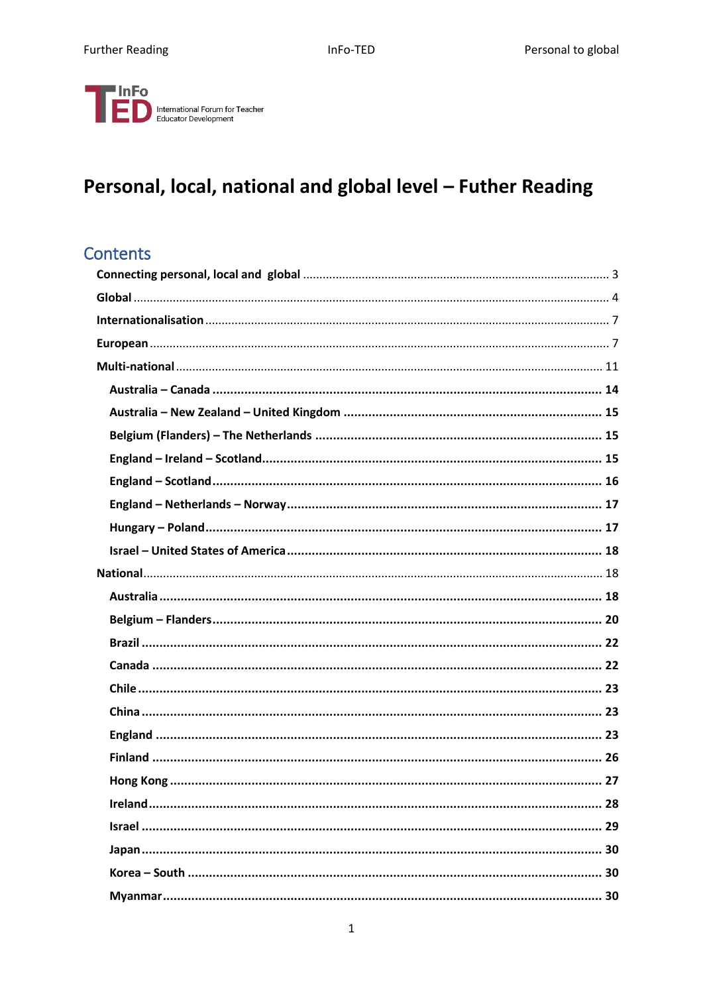

# Personal, local, national and global level - Futher Reading

## Contents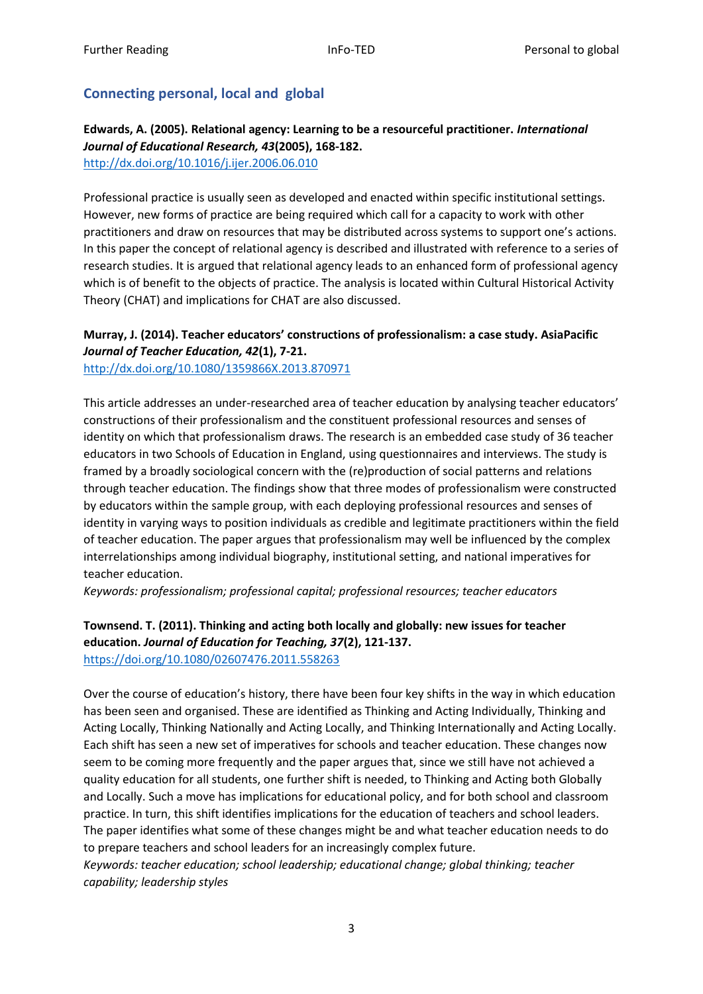### <span id="page-2-0"></span>**Connecting personal, local and global**

## **Edwards, A. (2005). Relational agency: Learning to be a resourceful practitioner.** *International Journal of Educational Research, 43***(2005), 168-182.**

<http://dx.doi.org/10.1016/j.ijer.2006.06.010>

Professional practice is usually seen as developed and enacted within specific institutional settings. However, new forms of practice are being required which call for a capacity to work with other practitioners and draw on resources that may be distributed across systems to support one's actions. In this paper the concept of relational agency is described and illustrated with reference to a series of research studies. It is argued that relational agency leads to an enhanced form of professional agency which is of benefit to the objects of practice. The analysis is located within Cultural Historical Activity Theory (CHAT) and implications for CHAT are also discussed.

#### **Murray, J. (2014). Teacher educators' constructions of professionalism: a case study. AsiaPacific**  *Journal of Teacher Education, 42***(1), 7-21.**

<http://dx.doi.org/10.1080/1359866X.2013.870971>

This article addresses an under-researched area of teacher education by analysing teacher educators' constructions of their professionalism and the constituent professional resources and senses of identity on which that professionalism draws. The research is an embedded case study of 36 teacher educators in two Schools of Education in England, using questionnaires and interviews. The study is framed by a broadly sociological concern with the (re)production of social patterns and relations through teacher education. The findings show that three modes of professionalism were constructed by educators within the sample group, with each deploying professional resources and senses of identity in varying ways to position individuals as credible and legitimate practitioners within the field of teacher education. The paper argues that professionalism may well be influenced by the complex interrelationships among individual biography, institutional setting, and national imperatives for teacher education.

*Keywords: professionalism; professional capital; professional resources; teacher educators* 

### **Townsend. T. (2011). Thinking and acting both locally and globally: new issues for teacher education.** *Journal of Education for Teaching, 37***(2), 121-137.**  <https://doi.org/10.1080/02607476.2011.558263>

Over the course of education's history, there have been four key shifts in the way in which education has been seen and organised. These are identified as Thinking and Acting Individually, Thinking and Acting Locally, Thinking Nationally and Acting Locally, and Thinking Internationally and Acting Locally. Each shift has seen a new set of imperatives for schools and teacher education. These changes now seem to be coming more frequently and the paper argues that, since we still have not achieved a quality education for all students, one further shift is needed, to Thinking and Acting both Globally and Locally. Such a move has implications for educational policy, and for both school and classroom practice. In turn, this shift identifies implications for the education of teachers and school leaders. The paper identifies what some of these changes might be and what teacher education needs to do to prepare teachers and school leaders for an increasingly complex future.

*Keywords: teacher education; school leadership; educational change; global thinking; teacher capability; leadership styles*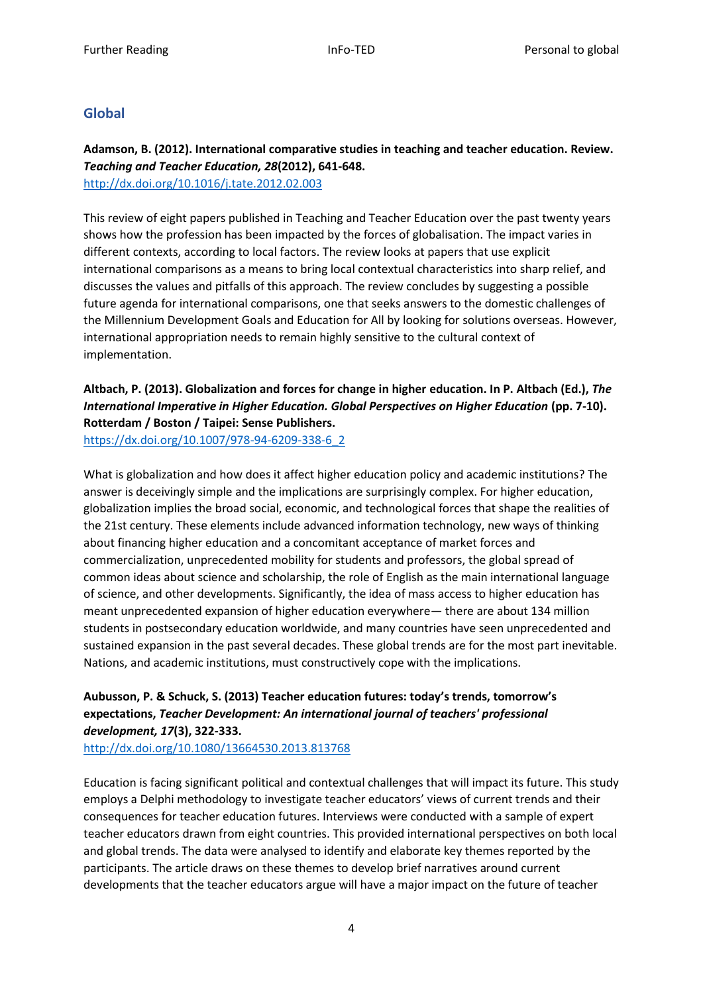### <span id="page-3-0"></span>**Global**

### **Adamson, B. (2012). International comparative studies in teaching and teacher education. Review.**  *Teaching and Teacher Education, 28***(2012), 641-648.**

<http://dx.doi.org/10.1016/j.tate.2012.02.003>

This review of eight papers published in Teaching and Teacher Education over the past twenty years shows how the profession has been impacted by the forces of globalisation. The impact varies in different contexts, according to local factors. The review looks at papers that use explicit international comparisons as a means to bring local contextual characteristics into sharp relief, and discusses the values and pitfalls of this approach. The review concludes by suggesting a possible future agenda for international comparisons, one that seeks answers to the domestic challenges of the Millennium Development Goals and Education for All by looking for solutions overseas. However, international appropriation needs to remain highly sensitive to the cultural context of implementation.

## **Altbach, P. (2013). Globalization and forces for change in higher education. In P. Altbach (Ed.),** *The International Imperative in Higher Education. Global Perspectives on Higher Education* **(pp. 7-10). Rotterdam / Boston / Taipei: Sense Publishers.**

[https://dx.doi.org/10.1007/978-94-6209-338-6\\_2](https://dx.doi.org/10.1007/978-94-6209-338-6_2)

What is globalization and how does it affect higher education policy and academic institutions? The answer is deceivingly simple and the implications are surprisingly complex. For higher education, globalization implies the broad social, economic, and technological forces that shape the realities of the 21st century. These elements include advanced information technology, new ways of thinking about financing higher education and a concomitant acceptance of market forces and commercialization, unprecedented mobility for students and professors, the global spread of common ideas about science and scholarship, the role of English as the main international language of science, and other developments. Significantly, the idea of mass access to higher education has meant unprecedented expansion of higher education everywhere— there are about 134 million students in postsecondary education worldwide, and many countries have seen unprecedented and sustained expansion in the past several decades. These global trends are for the most part inevitable. Nations, and academic institutions, must constructively cope with the implications.

## **Aubusson, P. & Schuck, S. (2013) Teacher education futures: today's trends, tomorrow's expectations,** *Teacher Development: An international journal of teachers' professional development, 17***(3), 322-333.**

<http://dx.doi.org/10.1080/13664530.2013.813768>

Education is facing significant political and contextual challenges that will impact its future. This study employs a Delphi methodology to investigate teacher educators' views of current trends and their consequences for teacher education futures. Interviews were conducted with a sample of expert teacher educators drawn from eight countries. This provided international perspectives on both local and global trends. The data were analysed to identify and elaborate key themes reported by the participants. The article draws on these themes to develop brief narratives around current developments that the teacher educators argue will have a major impact on the future of teacher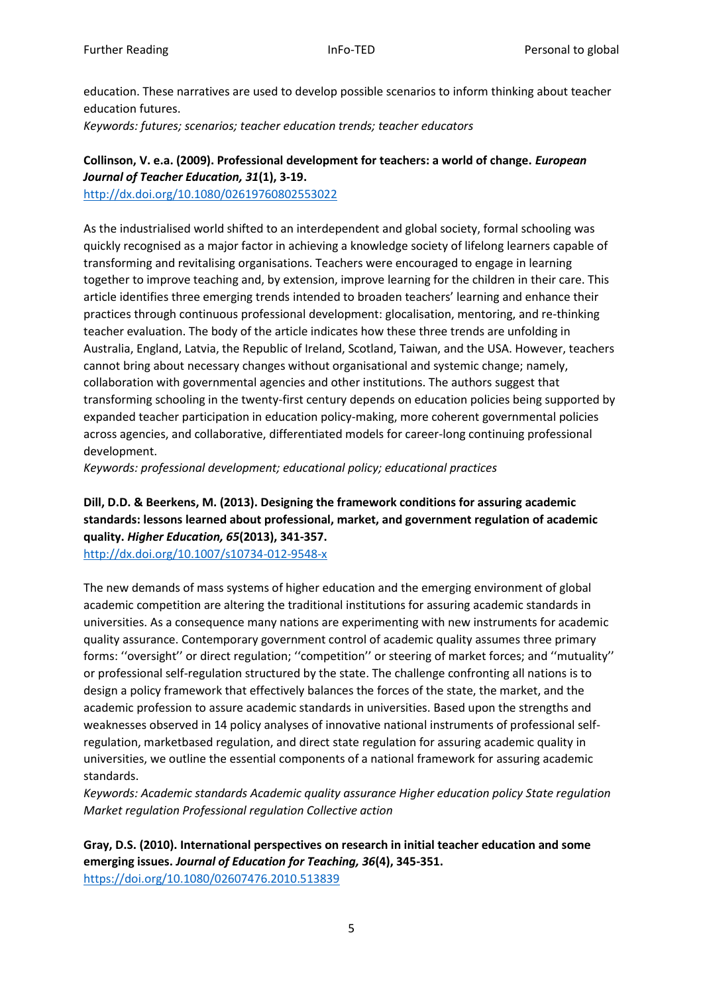education. These narratives are used to develop possible scenarios to inform thinking about teacher education futures. *Keywords: futures; scenarios; teacher education trends; teacher educators*

### **Collinson, V. e.a. (2009). Professional development for teachers: a world of change.** *European Journal of Teacher Education, 31***(1), 3-19.**

<http://dx.doi.org/10.1080/02619760802553022>

As the industrialised world shifted to an interdependent and global society, formal schooling was quickly recognised as a major factor in achieving a knowledge society of lifelong learners capable of transforming and revitalising organisations. Teachers were encouraged to engage in learning together to improve teaching and, by extension, improve learning for the children in their care. This article identifies three emerging trends intended to broaden teachers' learning and enhance their practices through continuous professional development: glocalisation, mentoring, and re-thinking teacher evaluation. The body of the article indicates how these three trends are unfolding in Australia, England, Latvia, the Republic of Ireland, Scotland, Taiwan, and the USA. However, teachers cannot bring about necessary changes without organisational and systemic change; namely, collaboration with governmental agencies and other institutions. The authors suggest that transforming schooling in the twenty-first century depends on education policies being supported by expanded teacher participation in education policy-making, more coherent governmental policies across agencies, and collaborative, differentiated models for career-long continuing professional development.

*Keywords: professional development; educational policy; educational practices* 

**Dill, D.D. & Beerkens, M. (2013). Designing the framework conditions for assuring academic standards: lessons learned about professional, market, and government regulation of academic quality.** *Higher Education, 65***(2013), 341-357.** 

<http://dx.doi.org/10.1007/s10734-012-9548-x>

The new demands of mass systems of higher education and the emerging environment of global academic competition are altering the traditional institutions for assuring academic standards in universities. As a consequence many nations are experimenting with new instruments for academic quality assurance. Contemporary government control of academic quality assumes three primary forms: ''oversight'' or direct regulation; ''competition'' or steering of market forces; and ''mutuality'' or professional self-regulation structured by the state. The challenge confronting all nations is to design a policy framework that effectively balances the forces of the state, the market, and the academic profession to assure academic standards in universities. Based upon the strengths and weaknesses observed in 14 policy analyses of innovative national instruments of professional selfregulation, marketbased regulation, and direct state regulation for assuring academic quality in universities, we outline the essential components of a national framework for assuring academic standards.

*Keywords: Academic standards Academic quality assurance Higher education policy State regulation Market regulation Professional regulation Collective action* 

**Gray, D.S. (2010). International perspectives on research in initial teacher education and some emerging issues.** *Journal of Education for Teaching, 36***(4), 345-351.**  <https://doi.org/10.1080/02607476.2010.513839>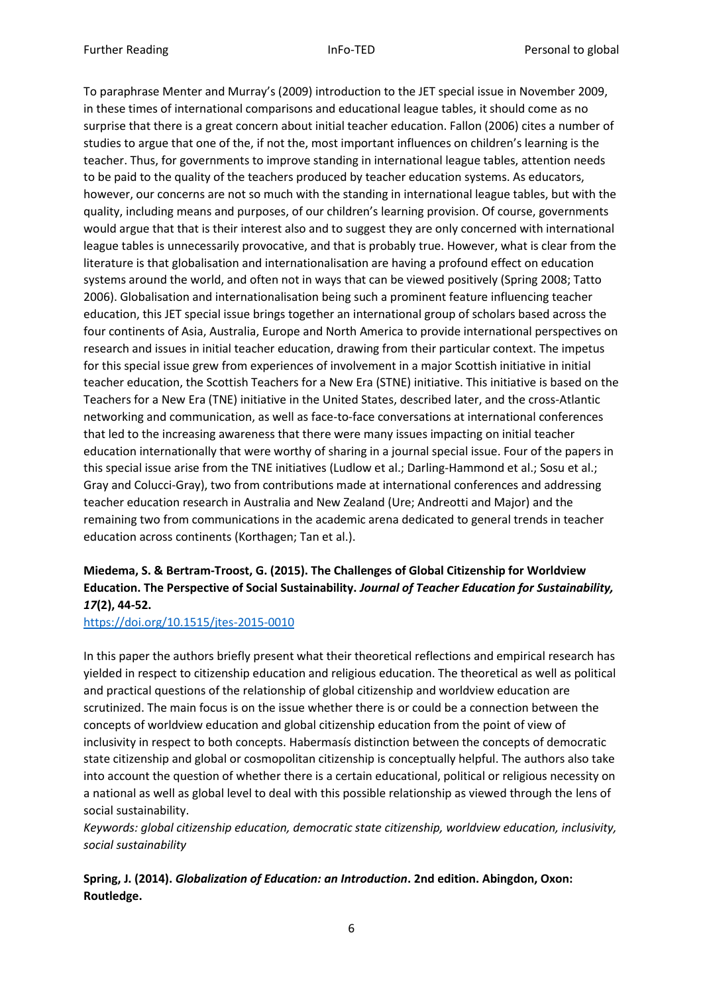To paraphrase Menter and Murray's (2009) introduction to the JET special issue in November 2009, in these times of international comparisons and educational league tables, it should come as no surprise that there is a great concern about initial teacher education. Fallon (2006) cites a number of studies to argue that one of the, if not the, most important influences on children's learning is the teacher. Thus, for governments to improve standing in international league tables, attention needs to be paid to the quality of the teachers produced by teacher education systems. As educators, however, our concerns are not so much with the standing in international league tables, but with the quality, including means and purposes, of our children's learning provision. Of course, governments would argue that that is their interest also and to suggest they are only concerned with international league tables is unnecessarily provocative, and that is probably true. However, what is clear from the literature is that globalisation and internationalisation are having a profound effect on education systems around the world, and often not in ways that can be viewed positively (Spring 2008; Tatto 2006). Globalisation and internationalisation being such a prominent feature influencing teacher education, this JET special issue brings together an international group of scholars based across the four continents of Asia, Australia, Europe and North America to provide international perspectives on research and issues in initial teacher education, drawing from their particular context. The impetus for this special issue grew from experiences of involvement in a major Scottish initiative in initial teacher education, the Scottish Teachers for a New Era (STNE) initiative. This initiative is based on the Teachers for a New Era (TNE) initiative in the United States, described later, and the cross-Atlantic networking and communication, as well as face-to-face conversations at international conferences that led to the increasing awareness that there were many issues impacting on initial teacher education internationally that were worthy of sharing in a journal special issue. Four of the papers in this special issue arise from the TNE initiatives (Ludlow et al.; Darling-Hammond et al.; Sosu et al.; Gray and Colucci-Gray), two from contributions made at international conferences and addressing teacher education research in Australia and New Zealand (Ure; Andreotti and Major) and the remaining two from communications in the academic arena dedicated to general trends in teacher education across continents (Korthagen; Tan et al.).

### **Miedema, S. & Bertram-Troost, G. (2015). The Challenges of Global Citizenship for Worldview Education. The Perspective of Social Sustainability.** *Journal of Teacher Education for Sustainability, 17***(2), 44-52.**

#### <https://doi.org/10.1515/jtes-2015-0010>

In this paper the authors briefly present what their theoretical reflections and empirical research has yielded in respect to citizenship education and religious education. The theoretical as well as political and practical questions of the relationship of global citizenship and worldview education are scrutinized. The main focus is on the issue whether there is or could be a connection between the concepts of worldview education and global citizenship education from the point of view of inclusivity in respect to both concepts. Habermasís distinction between the concepts of democratic state citizenship and global or cosmopolitan citizenship is conceptually helpful. The authors also take into account the question of whether there is a certain educational, political or religious necessity on a national as well as global level to deal with this possible relationship as viewed through the lens of social sustainability.

*Keywords: global citizenship education, democratic state citizenship, worldview education, inclusivity, social sustainability* 

#### **Spring, J. (2014).** *Globalization of Education: an Introduction***. 2nd edition. Abingdon, Oxon: Routledge.**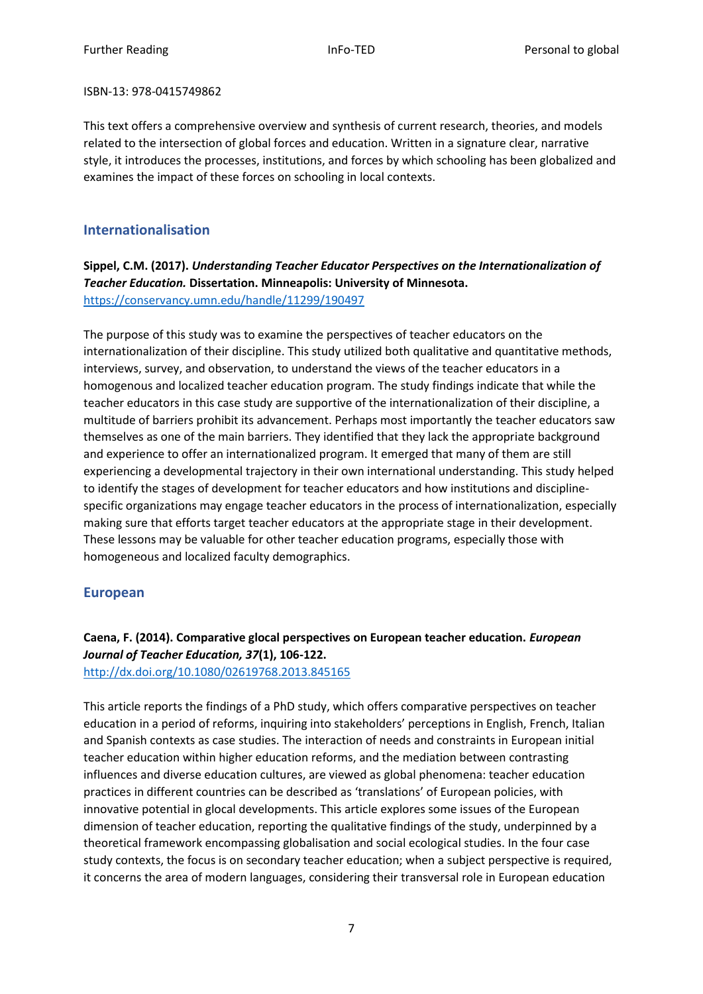ISBN-13: 978-0415749862

This text offers a comprehensive overview and synthesis of current research, theories, and models related to the intersection of global forces and education. Written in a signature clear, narrative style, it introduces the processes, institutions, and forces by which schooling has been globalized and examines the impact of these forces on schooling in local contexts.

#### <span id="page-6-0"></span>**Internationalisation**

**Sippel, C.M. (2017).** *Understanding Teacher Educator Perspectives on the Internationalization of Teacher Education.* **Dissertation. Minneapolis: University of Minnesota.**  <https://conservancy.umn.edu/handle/11299/190497>

The purpose of this study was to examine the perspectives of teacher educators on the internationalization of their discipline. This study utilized both qualitative and quantitative methods, interviews, survey, and observation, to understand the views of the teacher educators in a homogenous and localized teacher education program. The study findings indicate that while the teacher educators in this case study are supportive of the internationalization of their discipline, a multitude of barriers prohibit its advancement. Perhaps most importantly the teacher educators saw themselves as one of the main barriers. They identified that they lack the appropriate background and experience to offer an internationalized program. It emerged that many of them are still experiencing a developmental trajectory in their own international understanding. This study helped to identify the stages of development for teacher educators and how institutions and disciplinespecific organizations may engage teacher educators in the process of internationalization, especially making sure that efforts target teacher educators at the appropriate stage in their development. These lessons may be valuable for other teacher education programs, especially those with homogeneous and localized faculty demographics.

### <span id="page-6-1"></span>**European**

#### **Caena, F. (2014). Comparative glocal perspectives on European teacher education.** *European Journal of Teacher Education, 37***(1), 106-122.**  <http://dx.doi.org/10.1080/02619768.2013.845165>

This article reports the findings of a PhD study, which offers comparative perspectives on teacher education in a period of reforms, inquiring into stakeholders' perceptions in English, French, Italian and Spanish contexts as case studies. The interaction of needs and constraints in European initial teacher education within higher education reforms, and the mediation between contrasting influences and diverse education cultures, are viewed as global phenomena: teacher education practices in different countries can be described as 'translations' of European policies, with innovative potential in glocal developments. This article explores some issues of the European dimension of teacher education, reporting the qualitative findings of the study, underpinned by a theoretical framework encompassing globalisation and social ecological studies. In the four case study contexts, the focus is on secondary teacher education; when a subject perspective is required, it concerns the area of modern languages, considering their transversal role in European education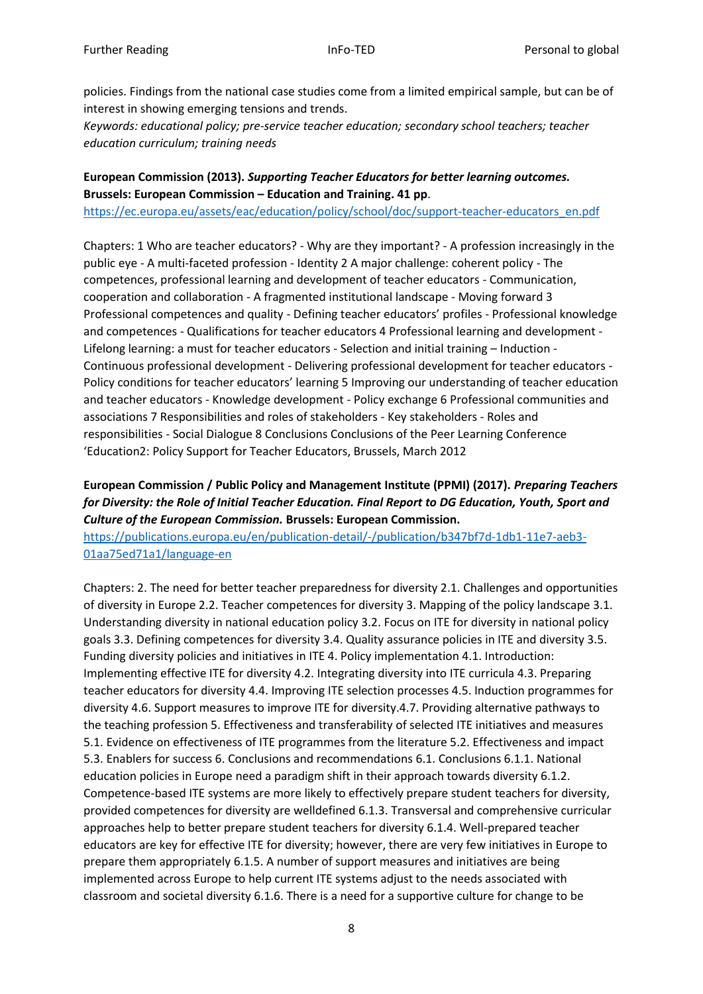policies. Findings from the national case studies come from a limited empirical sample, but can be of interest in showing emerging tensions and trends.

*Keywords: educational policy; pre-service teacher education; secondary school teachers; teacher education curriculum; training needs* 

#### **European Commission (2013).** *Supporting Teacher Educators for better learning outcomes.* **Brussels: European Commission – Education and Training. 41 pp**.

[https://ec.europa.eu/assets/eac/education/policy/school/doc/support-teacher-educators\\_en.pdf](https://ec.europa.eu/assets/eac/education/policy/school/doc/support-teacher-educators_en.pdf)

Chapters: 1 Who are teacher educators? - Why are they important? - A profession increasingly in the public eye - A multi-faceted profession - Identity 2 A major challenge: coherent policy - The competences, professional learning and development of teacher educators - Communication, cooperation and collaboration - A fragmented institutional landscape - Moving forward 3 Professional competences and quality - Defining teacher educators' profiles - Professional knowledge and competences - Qualifications for teacher educators 4 Professional learning and development - Lifelong learning: a must for teacher educators - Selection and initial training – Induction - Continuous professional development - Delivering professional development for teacher educators - Policy conditions for teacher educators' learning 5 Improving our understanding of teacher education and teacher educators - Knowledge development - Policy exchange 6 Professional communities and associations 7 Responsibilities and roles of stakeholders - Key stakeholders - Roles and responsibilities - Social Dialogue 8 Conclusions Conclusions of the Peer Learning Conference 'Education2: Policy Support for Teacher Educators, Brussels, March 2012

#### **European Commission / Public Policy and Management Institute (PPMI) (2017).** *Preparing Teachers for Diversity: the Role of Initial Teacher Education. Final Report to DG Education, Youth, Sport and Culture of the European Commission.* **Brussels: European Commission.**

[https://publications.europa.eu/en/publication-detail/-/publication/b347bf7d-1db1-11e7-aeb3-](https://publications.europa.eu/en/publication-detail/-/publication/b347bf7d-1db1-11e7-aeb3-01aa75ed71a1/language-en) [01aa75ed71a1/language-en](https://publications.europa.eu/en/publication-detail/-/publication/b347bf7d-1db1-11e7-aeb3-01aa75ed71a1/language-en)

Chapters: 2. The need for better teacher preparedness for diversity 2.1. Challenges and opportunities of diversity in Europe 2.2. Teacher competences for diversity 3. Mapping of the policy landscape 3.1. Understanding diversity in national education policy 3.2. Focus on ITE for diversity in national policy goals 3.3. Defining competences for diversity 3.4. Quality assurance policies in ITE and diversity 3.5. Funding diversity policies and initiatives in ITE 4. Policy implementation 4.1. Introduction: Implementing effective ITE for diversity 4.2. Integrating diversity into ITE curricula 4.3. Preparing teacher educators for diversity 4.4. Improving ITE selection processes 4.5. Induction programmes for diversity 4.6. Support measures to improve ITE for diversity.4.7. Providing alternative pathways to the teaching profession 5. Effectiveness and transferability of selected ITE initiatives and measures 5.1. Evidence on effectiveness of ITE programmes from the literature 5.2. Effectiveness and impact 5.3. Enablers for success 6. Conclusions and recommendations 6.1. Conclusions 6.1.1. National education policies in Europe need a paradigm shift in their approach towards diversity 6.1.2. Competence-based ITE systems are more likely to effectively prepare student teachers for diversity, provided competences for diversity are welldefined 6.1.3. Transversal and comprehensive curricular approaches help to better prepare student teachers for diversity 6.1.4. Well-prepared teacher educators are key for effective ITE for diversity; however, there are very few initiatives in Europe to prepare them appropriately 6.1.5. A number of support measures and initiatives are being implemented across Europe to help current ITE systems adjust to the needs associated with classroom and societal diversity 6.1.6. There is a need for a supportive culture for change to be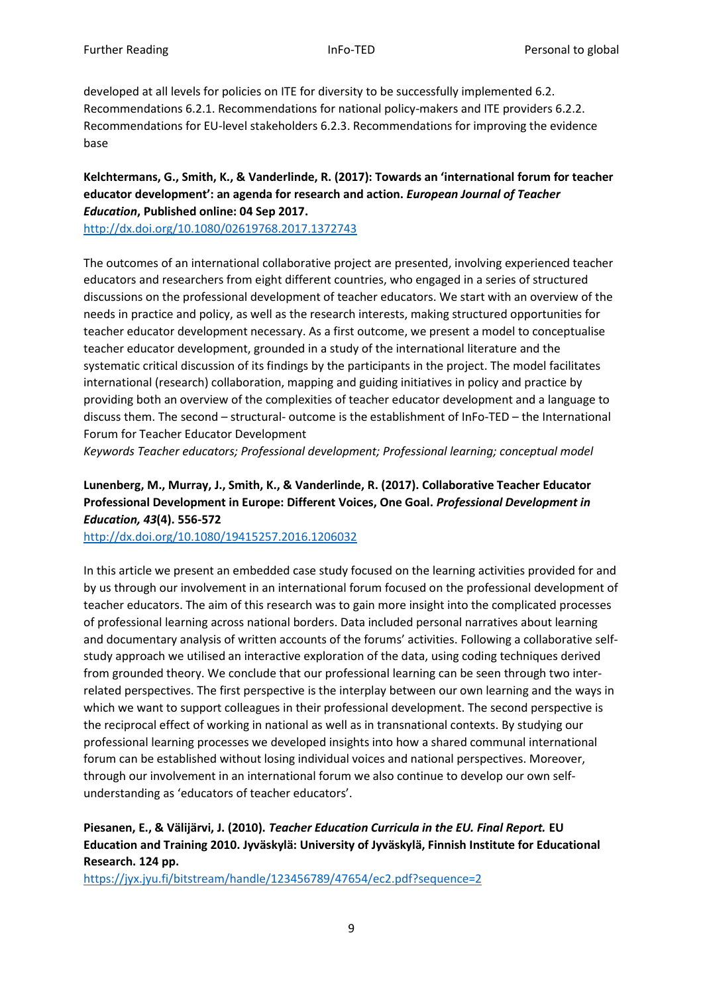developed at all levels for policies on ITE for diversity to be successfully implemented 6.2. Recommendations 6.2.1. Recommendations for national policy-makers and ITE providers 6.2.2. Recommendations for EU-level stakeholders 6.2.3. Recommendations for improving the evidence base

### **Kelchtermans, G., Smith, K., & Vanderlinde, R. (2017): Towards an 'international forum for teacher educator development': an agenda for research and action.** *European Journal of Teacher Education***, Published online: 04 Sep 2017.**

<http://dx.doi.org/10.1080/02619768.2017.1372743>

The outcomes of an international collaborative project are presented, involving experienced teacher educators and researchers from eight different countries, who engaged in a series of structured discussions on the professional development of teacher educators. We start with an overview of the needs in practice and policy, as well as the research interests, making structured opportunities for teacher educator development necessary. As a first outcome, we present a model to conceptualise teacher educator development, grounded in a study of the international literature and the systematic critical discussion of its findings by the participants in the project. The model facilitates international (research) collaboration, mapping and guiding initiatives in policy and practice by providing both an overview of the complexities of teacher educator development and a language to discuss them. The second – structural- outcome is the establishment of InFo-TED – the International Forum for Teacher Educator Development

*Keywords Teacher educators; Professional development; Professional learning; conceptual model* 

### **Lunenberg, M., Murray, J., Smith, K., & Vanderlinde, R. (2017). Collaborative Teacher Educator Professional Development in Europe: Different Voices, One Goal.** *Professional Development in Education, 43***(4). 556-572**

<http://dx.doi.org/10.1080/19415257.2016.1206032>

In this article we present an embedded case study focused on the learning activities provided for and by us through our involvement in an international forum focused on the professional development of teacher educators. The aim of this research was to gain more insight into the complicated processes of professional learning across national borders. Data included personal narratives about learning and documentary analysis of written accounts of the forums' activities. Following a collaborative selfstudy approach we utilised an interactive exploration of the data, using coding techniques derived from grounded theory. We conclude that our professional learning can be seen through two interrelated perspectives. The first perspective is the interplay between our own learning and the ways in which we want to support colleagues in their professional development. The second perspective is the reciprocal effect of working in national as well as in transnational contexts. By studying our professional learning processes we developed insights into how a shared communal international forum can be established without losing individual voices and national perspectives. Moreover, through our involvement in an international forum we also continue to develop our own selfunderstanding as 'educators of teacher educators'.

### **Piesanen, E., & Välijärvi, J. (2010).** *Teacher Education Curricula in the EU. Final Report.* **EU Education and Training 2010. Jyväskylä: University of Jyväskylä, Finnish Institute for Educational Research. 124 pp.**

<https://jyx.jyu.fi/bitstream/handle/123456789/47654/ec2.pdf?sequence=2>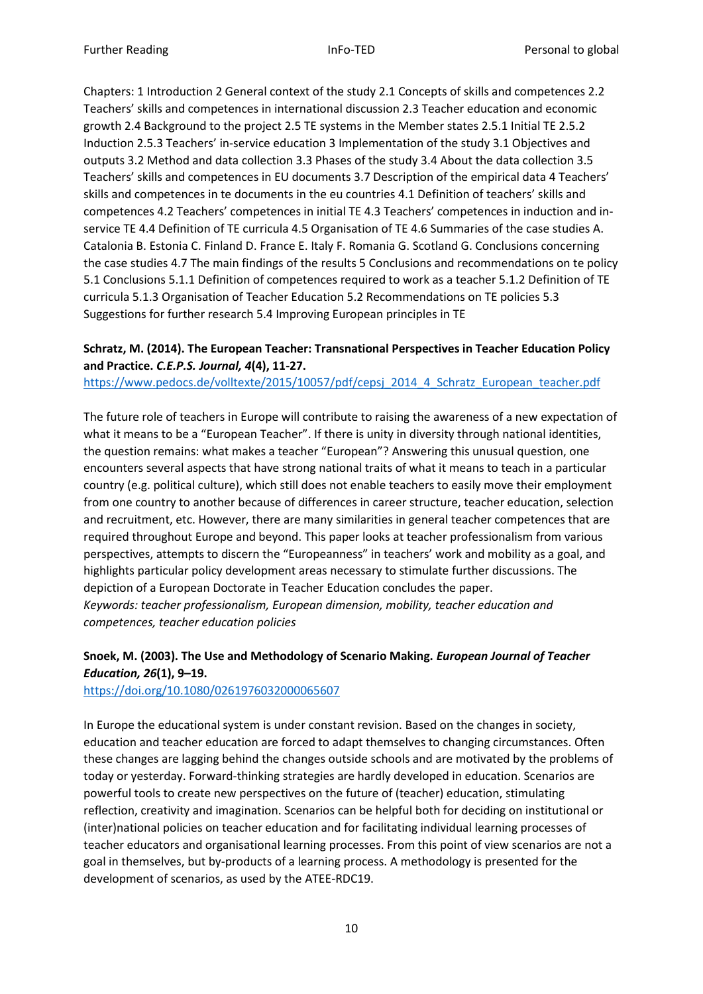Chapters: 1 Introduction 2 General context of the study 2.1 Concepts of skills and competences 2.2 Teachers' skills and competences in international discussion 2.3 Teacher education and economic growth 2.4 Background to the project 2.5 TE systems in the Member states 2.5.1 Initial TE 2.5.2 Induction 2.5.3 Teachers' in-service education 3 Implementation of the study 3.1 Objectives and outputs 3.2 Method and data collection 3.3 Phases of the study 3.4 About the data collection 3.5 Teachers' skills and competences in EU documents 3.7 Description of the empirical data 4 Teachers' skills and competences in te documents in the eu countries 4.1 Definition of teachers' skills and competences 4.2 Teachers' competences in initial TE 4.3 Teachers' competences in induction and inservice TE 4.4 Definition of TE curricula 4.5 Organisation of TE 4.6 Summaries of the case studies A. Catalonia B. Estonia C. Finland D. France E. Italy F. Romania G. Scotland G. Conclusions concerning the case studies 4.7 The main findings of the results 5 Conclusions and recommendations on te policy 5.1 Conclusions 5.1.1 Definition of competences required to work as a teacher 5.1.2 Definition of TE curricula 5.1.3 Organisation of Teacher Education 5.2 Recommendations on TE policies 5.3 Suggestions for further research 5.4 Improving European principles in TE

### **Schratz, M. (2014). The European Teacher: Transnational Perspectives in Teacher Education Policy and Practice.** *C.E.P.S. Journal, 4***(4), 11-27.**

[https://www.pedocs.de/volltexte/2015/10057/pdf/cepsj\\_2014\\_4\\_Schratz\\_European\\_teacher.pdf](https://www.pedocs.de/volltexte/2015/10057/pdf/cepsj_2014_4_Schratz_European_teacher.pdf)

The future role of teachers in Europe will contribute to raising the awareness of a new expectation of what it means to be a "European Teacher". If there is unity in diversity through national identities, the question remains: what makes a teacher "European"? Answering this unusual question, one encounters several aspects that have strong national traits of what it means to teach in a particular country (e.g. political culture), which still does not enable teachers to easily move their employment from one country to another because of differences in career structure, teacher education, selection and recruitment, etc. However, there are many similarities in general teacher competences that are required throughout Europe and beyond. This paper looks at teacher professionalism from various perspectives, attempts to discern the "Europeanness" in teachers' work and mobility as a goal, and highlights particular policy development areas necessary to stimulate further discussions. The depiction of a European Doctorate in Teacher Education concludes the paper. *Keywords: teacher professionalism, European dimension, mobility, teacher education and competences, teacher education policies* 

### **Snoek, M. (2003). The Use and Methodology of Scenario Making.** *European Journal of Teacher Education, 26***(1), 9–19.**

<https://doi.org/10.1080/0261976032000065607>

In Europe the educational system is under constant revision. Based on the changes in society, education and teacher education are forced to adapt themselves to changing circumstances. Often these changes are lagging behind the changes outside schools and are motivated by the problems of today or yesterday. Forward-thinking strategies are hardly developed in education. Scenarios are powerful tools to create new perspectives on the future of (teacher) education, stimulating reflection, creativity and imagination. Scenarios can be helpful both for deciding on institutional or (inter)national policies on teacher education and for facilitating individual learning processes of teacher educators and organisational learning processes. From this point of view scenarios are not a goal in themselves, but by-products of a learning process. A methodology is presented for the development of scenarios, as used by the ATEE-RDC19.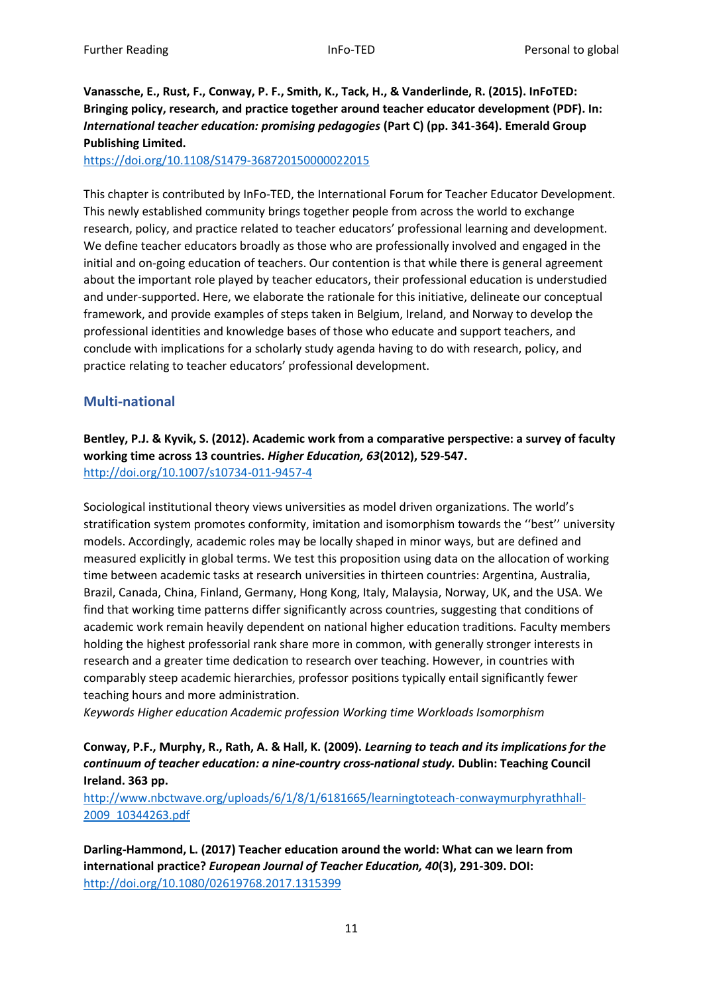**Vanassche, E., Rust, F., Conway, P. F., Smith, K., Tack, H., & Vanderlinde, R. (2015). InFoTED: Bringing policy, research, and practice together around teacher educator development (PDF). In:**  *International teacher education: promising pedagogies* **(Part C) (pp. 341-364). Emerald Group Publishing Limited.** 

#### <https://doi.org/10.1108/S1479-368720150000022015>

This chapter is contributed by InFo-TED, the International Forum for Teacher Educator Development. This newly established community brings together people from across the world to exchange research, policy, and practice related to teacher educators' professional learning and development. We define teacher educators broadly as those who are professionally involved and engaged in the initial and on-going education of teachers. Our contention is that while there is general agreement about the important role played by teacher educators, their professional education is understudied and under-supported. Here, we elaborate the rationale for this initiative, delineate our conceptual framework, and provide examples of steps taken in Belgium, Ireland, and Norway to develop the professional identities and knowledge bases of those who educate and support teachers, and conclude with implications for a scholarly study agenda having to do with research, policy, and practice relating to teacher educators' professional development.

### <span id="page-10-0"></span>**Multi-national**

**Bentley, P.J. & Kyvik, S. (2012). Academic work from a comparative perspective: a survey of faculty working time across 13 countries.** *Higher Education, 63***(2012), 529-547.**  <http://doi.org/10.1007/s10734-011-9457-4>

Sociological institutional theory views universities as model driven organizations. The world's stratification system promotes conformity, imitation and isomorphism towards the ''best'' university models. Accordingly, academic roles may be locally shaped in minor ways, but are defined and measured explicitly in global terms. We test this proposition using data on the allocation of working time between academic tasks at research universities in thirteen countries: Argentina, Australia, Brazil, Canada, China, Finland, Germany, Hong Kong, Italy, Malaysia, Norway, UK, and the USA. We find that working time patterns differ significantly across countries, suggesting that conditions of academic work remain heavily dependent on national higher education traditions. Faculty members holding the highest professorial rank share more in common, with generally stronger interests in research and a greater time dedication to research over teaching. However, in countries with comparably steep academic hierarchies, professor positions typically entail significantly fewer teaching hours and more administration.

*Keywords Higher education Academic profession Working time Workloads Isomorphism* 

**Conway, P.F., Murphy, R., Rath, A. & Hall, K. (2009).** *Learning to teach and its implications for the continuum of teacher education: a nine-country cross-national study.* **Dublin: Teaching Council Ireland. 363 pp.** 

[http://www.nbctwave.org/uploads/6/1/8/1/6181665/learningtoteach-conwaymurphyrathhall-](http://www.nbctwave.org/uploads/6/1/8/1/6181665/learningtoteach-conwaymurphyrathhall-2009_10344263.pdf)[2009\\_10344263.pdf](http://www.nbctwave.org/uploads/6/1/8/1/6181665/learningtoteach-conwaymurphyrathhall-2009_10344263.pdf)

**Darling-Hammond, L. (2017) Teacher education around the world: What can we learn from international practice?** *European Journal of Teacher Education, 40***(3), 291-309. DOI:**  <http://doi.org/10.1080/02619768.2017.1315399>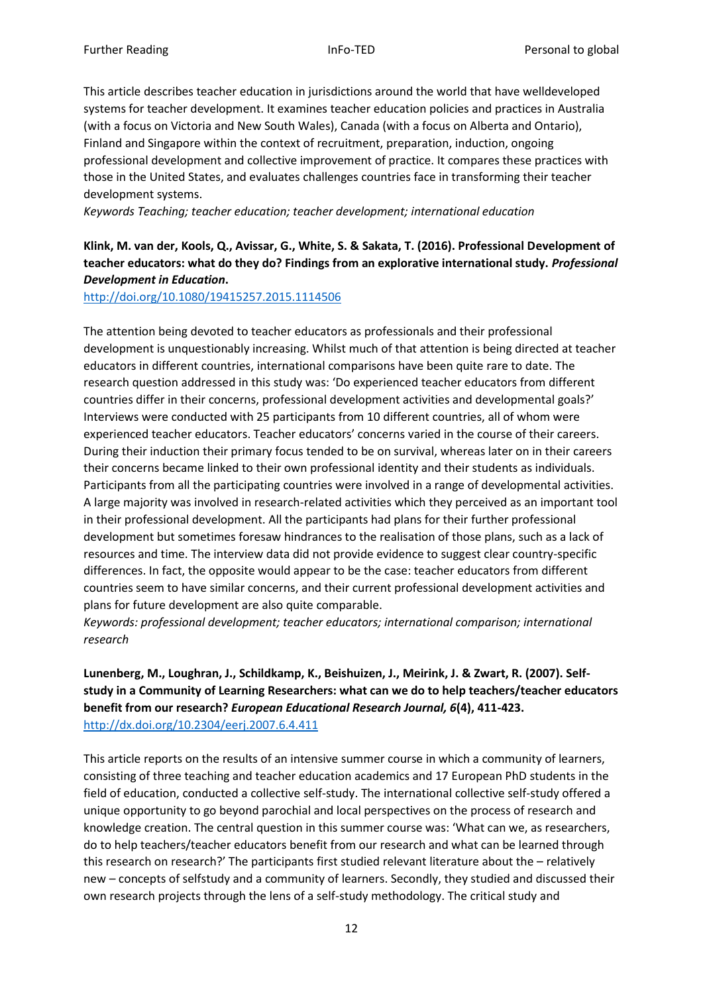This article describes teacher education in jurisdictions around the world that have welldeveloped systems for teacher development. It examines teacher education policies and practices in Australia (with a focus on Victoria and New South Wales), Canada (with a focus on Alberta and Ontario), Finland and Singapore within the context of recruitment, preparation, induction, ongoing professional development and collective improvement of practice. It compares these practices with those in the United States, and evaluates challenges countries face in transforming their teacher development systems.

*Keywords Teaching; teacher education; teacher development; international education* 

### **Klink, M. van der, Kools, Q., Avissar, G., White, S. & Sakata, T. (2016). Professional Development of teacher educators: what do they do? Findings from an explorative international study.** *Professional Development in Education***.**

<http://doi.org/10.1080/19415257.2015.1114506>

The attention being devoted to teacher educators as professionals and their professional development is unquestionably increasing. Whilst much of that attention is being directed at teacher educators in different countries, international comparisons have been quite rare to date. The research question addressed in this study was: 'Do experienced teacher educators from different countries differ in their concerns, professional development activities and developmental goals?' Interviews were conducted with 25 participants from 10 different countries, all of whom were experienced teacher educators. Teacher educators' concerns varied in the course of their careers. During their induction their primary focus tended to be on survival, whereas later on in their careers their concerns became linked to their own professional identity and their students as individuals. Participants from all the participating countries were involved in a range of developmental activities. A large majority was involved in research-related activities which they perceived as an important tool in their professional development. All the participants had plans for their further professional development but sometimes foresaw hindrances to the realisation of those plans, such as a lack of resources and time. The interview data did not provide evidence to suggest clear country-specific differences. In fact, the opposite would appear to be the case: teacher educators from different countries seem to have similar concerns, and their current professional development activities and plans for future development are also quite comparable.

*Keywords: professional development; teacher educators; international comparison; international research* 

### **Lunenberg, M., Loughran, J., Schildkamp, K., Beishuizen, J., Meirink, J. & Zwart, R. (2007). Selfstudy in a Community of Learning Researchers: what can we do to help teachers/teacher educators benefit from our research?** *European Educational Research Journal, 6***(4), 411-423.**  <http://dx.doi.org/10.2304/eerj.2007.6.4.411>

This article reports on the results of an intensive summer course in which a community of learners, consisting of three teaching and teacher education academics and 17 European PhD students in the field of education, conducted a collective self-study. The international collective self-study offered a unique opportunity to go beyond parochial and local perspectives on the process of research and knowledge creation. The central question in this summer course was: 'What can we, as researchers, do to help teachers/teacher educators benefit from our research and what can be learned through this research on research?' The participants first studied relevant literature about the – relatively new – concepts of selfstudy and a community of learners. Secondly, they studied and discussed their own research projects through the lens of a self-study methodology. The critical study and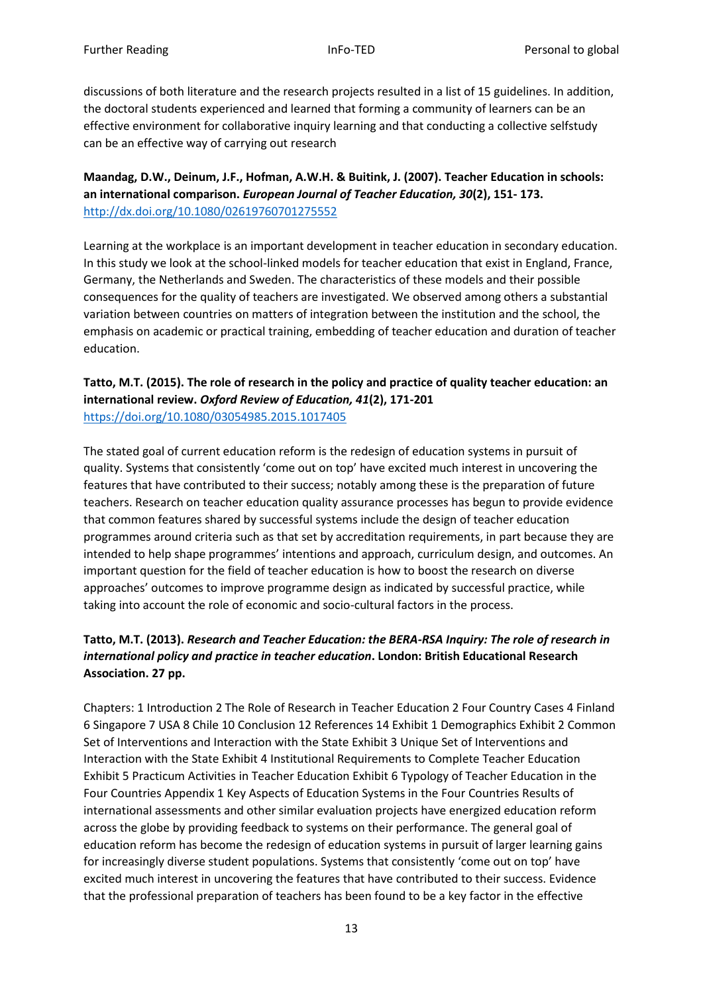discussions of both literature and the research projects resulted in a list of 15 guidelines. In addition, the doctoral students experienced and learned that forming a community of learners can be an effective environment for collaborative inquiry learning and that conducting a collective selfstudy can be an effective way of carrying out research

**Maandag, D.W., Deinum, J.F., Hofman, A.W.H. & Buitink, J. (2007). Teacher Education in schools: an international comparison.** *European Journal of Teacher Education, 30***(2), 151- 173.**  <http://dx.doi.org/10.1080/02619760701275552>

Learning at the workplace is an important development in teacher education in secondary education. In this study we look at the school-linked models for teacher education that exist in England, France, Germany, the Netherlands and Sweden. The characteristics of these models and their possible consequences for the quality of teachers are investigated. We observed among others a substantial variation between countries on matters of integration between the institution and the school, the emphasis on academic or practical training, embedding of teacher education and duration of teacher education.

### **Tatto, M.T. (2015). The role of research in the policy and practice of quality teacher education: an international review.** *Oxford Review of Education, 41***(2), 171-201** <https://doi.org/10.1080/03054985.2015.1017405>

The stated goal of current education reform is the redesign of education systems in pursuit of quality. Systems that consistently 'come out on top' have excited much interest in uncovering the features that have contributed to their success; notably among these is the preparation of future teachers. Research on teacher education quality assurance processes has begun to provide evidence that common features shared by successful systems include the design of teacher education programmes around criteria such as that set by accreditation requirements, in part because they are intended to help shape programmes' intentions and approach, curriculum design, and outcomes. An important question for the field of teacher education is how to boost the research on diverse approaches' outcomes to improve programme design as indicated by successful practice, while taking into account the role of economic and socio-cultural factors in the process.

### **Tatto, M.T. (2013).** *Research and Teacher Education: the BERA-RSA Inquiry: The role of research in international policy and practice in teacher education***. London: British Educational Research Association. 27 pp.**

Chapters: 1 Introduction 2 The Role of Research in Teacher Education 2 Four Country Cases 4 Finland 6 Singapore 7 USA 8 Chile 10 Conclusion 12 References 14 Exhibit 1 Demographics Exhibit 2 Common Set of Interventions and Interaction with the State Exhibit 3 Unique Set of Interventions and Interaction with the State Exhibit 4 Institutional Requirements to Complete Teacher Education Exhibit 5 Practicum Activities in Teacher Education Exhibit 6 Typology of Teacher Education in the Four Countries Appendix 1 Key Aspects of Education Systems in the Four Countries Results of international assessments and other similar evaluation projects have energized education reform across the globe by providing feedback to systems on their performance. The general goal of education reform has become the redesign of education systems in pursuit of larger learning gains for increasingly diverse student populations. Systems that consistently 'come out on top' have excited much interest in uncovering the features that have contributed to their success. Evidence that the professional preparation of teachers has been found to be a key factor in the effective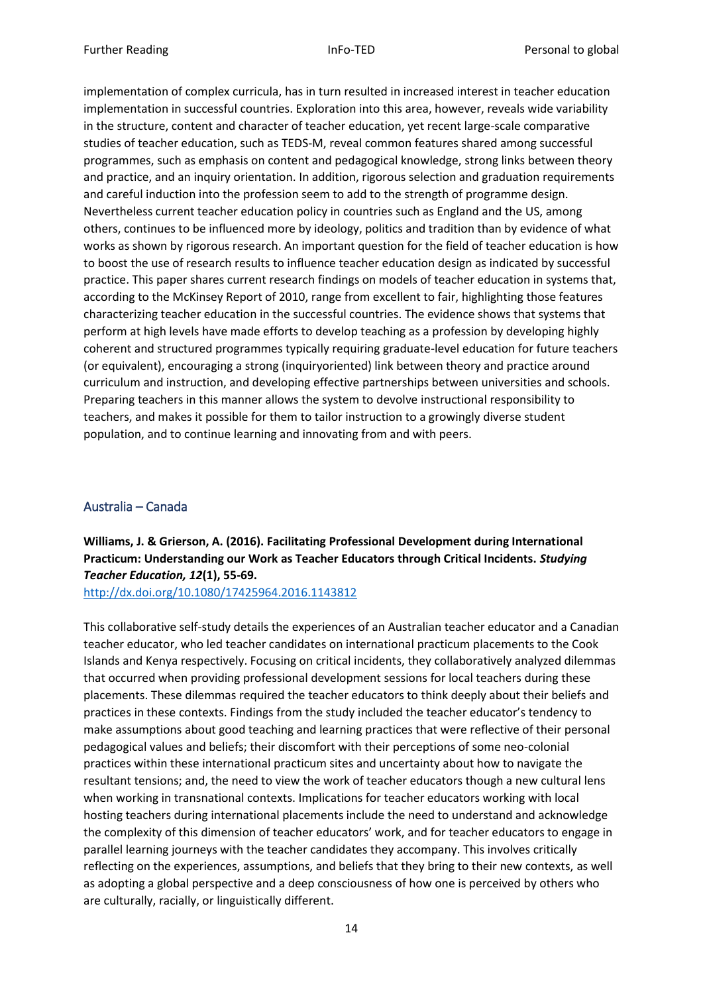implementation of complex curricula, has in turn resulted in increased interest in teacher education implementation in successful countries. Exploration into this area, however, reveals wide variability in the structure, content and character of teacher education, yet recent large-scale comparative studies of teacher education, such as TEDS-M, reveal common features shared among successful programmes, such as emphasis on content and pedagogical knowledge, strong links between theory and practice, and an inquiry orientation. In addition, rigorous selection and graduation requirements and careful induction into the profession seem to add to the strength of programme design. Nevertheless current teacher education policy in countries such as England and the US, among others, continues to be influenced more by ideology, politics and tradition than by evidence of what works as shown by rigorous research. An important question for the field of teacher education is how to boost the use of research results to influence teacher education design as indicated by successful practice. This paper shares current research findings on models of teacher education in systems that, according to the McKinsey Report of 2010, range from excellent to fair, highlighting those features characterizing teacher education in the successful countries. The evidence shows that systems that perform at high levels have made efforts to develop teaching as a profession by developing highly coherent and structured programmes typically requiring graduate-level education for future teachers (or equivalent), encouraging a strong (inquiryoriented) link between theory and practice around curriculum and instruction, and developing effective partnerships between universities and schools. Preparing teachers in this manner allows the system to devolve instructional responsibility to teachers, and makes it possible for them to tailor instruction to a growingly diverse student population, and to continue learning and innovating from and with peers.

#### <span id="page-13-0"></span>Australia – Canada

**Williams, J. & Grierson, A. (2016). Facilitating Professional Development during International Practicum: Understanding our Work as Teacher Educators through Critical Incidents.** *Studying Teacher Education, 12***(1), 55-69.** 

<http://dx.doi.org/10.1080/17425964.2016.1143812>

This collaborative self-study details the experiences of an Australian teacher educator and a Canadian teacher educator, who led teacher candidates on international practicum placements to the Cook Islands and Kenya respectively. Focusing on critical incidents, they collaboratively analyzed dilemmas that occurred when providing professional development sessions for local teachers during these placements. These dilemmas required the teacher educators to think deeply about their beliefs and practices in these contexts. Findings from the study included the teacher educator's tendency to make assumptions about good teaching and learning practices that were reflective of their personal pedagogical values and beliefs; their discomfort with their perceptions of some neo-colonial practices within these international practicum sites and uncertainty about how to navigate the resultant tensions; and, the need to view the work of teacher educators though a new cultural lens when working in transnational contexts. Implications for teacher educators working with local hosting teachers during international placements include the need to understand and acknowledge the complexity of this dimension of teacher educators' work, and for teacher educators to engage in parallel learning journeys with the teacher candidates they accompany. This involves critically reflecting on the experiences, assumptions, and beliefs that they bring to their new contexts, as well as adopting a global perspective and a deep consciousness of how one is perceived by others who are culturally, racially, or linguistically different.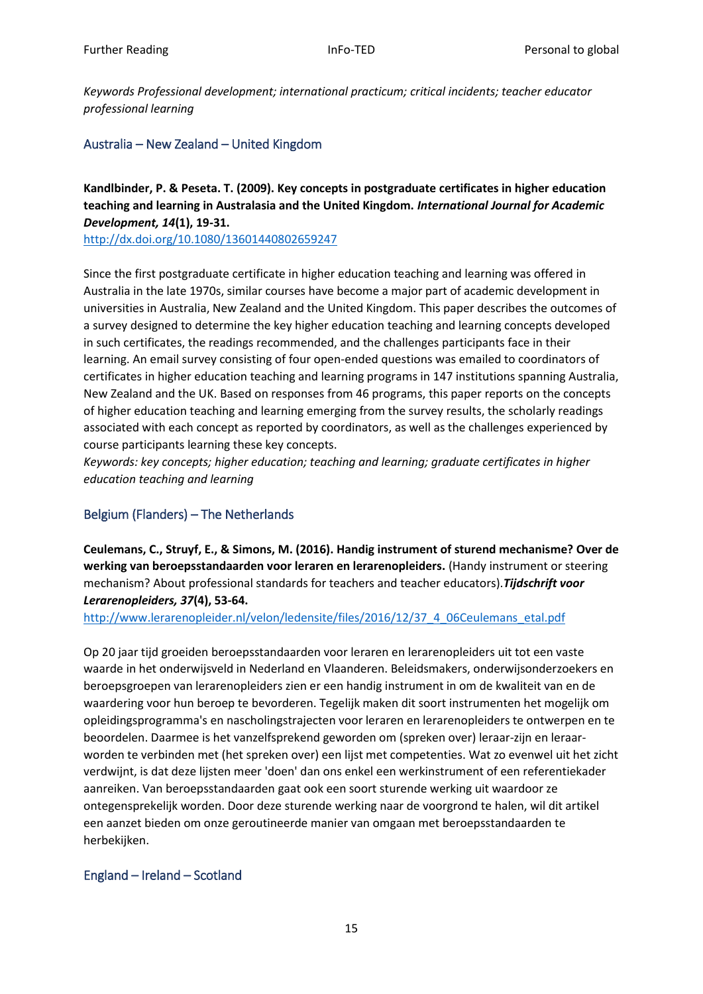*Keywords Professional development; international practicum; critical incidents; teacher educator professional learning* 

<span id="page-14-0"></span>Australia – New Zealand – United Kingdom

### **Kandlbinder, P. & Peseta. T. (2009). Key concepts in postgraduate certificates in higher education teaching and learning in Australasia and the United Kingdom.** *International Journal for Academic Development, 14***(1), 19-31.**

<http://dx.doi.org/10.1080/13601440802659247>

Since the first postgraduate certificate in higher education teaching and learning was offered in Australia in the late 1970s, similar courses have become a major part of academic development in universities in Australia, New Zealand and the United Kingdom. This paper describes the outcomes of a survey designed to determine the key higher education teaching and learning concepts developed in such certificates, the readings recommended, and the challenges participants face in their learning. An email survey consisting of four open-ended questions was emailed to coordinators of certificates in higher education teaching and learning programs in 147 institutions spanning Australia, New Zealand and the UK. Based on responses from 46 programs, this paper reports on the concepts of higher education teaching and learning emerging from the survey results, the scholarly readings associated with each concept as reported by coordinators, as well as the challenges experienced by course participants learning these key concepts.

*Keywords: key concepts; higher education; teaching and learning; graduate certificates in higher education teaching and learning* 

### <span id="page-14-1"></span>Belgium (Flanders) – The Netherlands

**Ceulemans, C., Struyf, E., & Simons, M. (2016). Handig instrument of sturend mechanisme? Over de werking van beroepsstandaarden voor leraren en lerarenopleiders.** (Handy instrument or steering mechanism? About professional standards for teachers and teacher educators).*Tijdschrift voor Lerarenopleiders, 37***(4), 53-64.**

[http://www.lerarenopleider.nl/velon/ledensite/files/2016/12/37\\_4\\_06Ceulemans\\_etal.pdf](http://www.lerarenopleider.nl/velon/ledensite/files/2016/12/37_4_06Ceulemans_etal.pdf)

Op 20 jaar tijd groeiden beroepsstandaarden voor leraren en lerarenopleiders uit tot een vaste waarde in het onderwijsveld in Nederland en Vlaanderen. Beleidsmakers, onderwijsonderzoekers en beroepsgroepen van lerarenopleiders zien er een handig instrument in om de kwaliteit van en de waardering voor hun beroep te bevorderen. Tegelijk maken dit soort instrumenten het mogelijk om opleidingsprogramma's en nascholingstrajecten voor leraren en lerarenopleiders te ontwerpen en te beoordelen. Daarmee is het vanzelfsprekend geworden om (spreken over) leraar-zijn en leraarworden te verbinden met (het spreken over) een lijst met competenties. Wat zo evenwel uit het zicht verdwijnt, is dat deze lijsten meer 'doen' dan ons enkel een werkinstrument of een referentiekader aanreiken. Van beroepsstandaarden gaat ook een soort sturende werking uit waardoor ze ontegensprekelijk worden. Door deze sturende werking naar de voorgrond te halen, wil dit artikel een aanzet bieden om onze geroutineerde manier van omgaan met beroepsstandaarden te herbekijken.

#### <span id="page-14-2"></span>England – Ireland – Scotland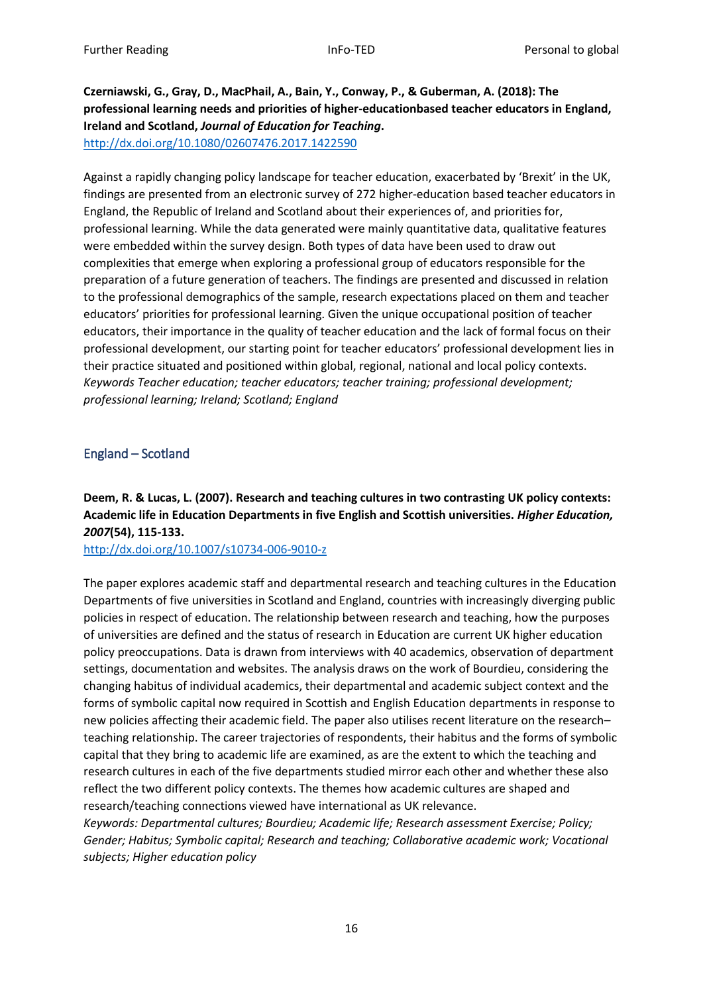**Czerniawski, G., Gray, D., MacPhail, A., Bain, Y., Conway, P., & Guberman, A. (2018): The professional learning needs and priorities of higher-educationbased teacher educators in England, Ireland and Scotland,** *Journal of Education for Teaching***.**  <http://dx.doi.org/10.1080/02607476.2017.1422590>

Against a rapidly changing policy landscape for teacher education, exacerbated by 'Brexit' in the UK, findings are presented from an electronic survey of 272 higher-education based teacher educators in England, the Republic of Ireland and Scotland about their experiences of, and priorities for, professional learning. While the data generated were mainly quantitative data, qualitative features were embedded within the survey design. Both types of data have been used to draw out complexities that emerge when exploring a professional group of educators responsible for the preparation of a future generation of teachers. The findings are presented and discussed in relation to the professional demographics of the sample, research expectations placed on them and teacher educators' priorities for professional learning. Given the unique occupational position of teacher educators, their importance in the quality of teacher education and the lack of formal focus on their professional development, our starting point for teacher educators' professional development lies in their practice situated and positioned within global, regional, national and local policy contexts. *Keywords Teacher education; teacher educators; teacher training; professional development; professional learning; Ireland; Scotland; England*

### <span id="page-15-0"></span>England – Scotland

**Deem, R. & Lucas, L. (2007). Research and teaching cultures in two contrasting UK policy contexts: Academic life in Education Departments in five English and Scottish universities.** *Higher Education, 2007***(54), 115-133.** 

<http://dx.doi.org/10.1007/s10734-006-9010-z>

The paper explores academic staff and departmental research and teaching cultures in the Education Departments of five universities in Scotland and England, countries with increasingly diverging public policies in respect of education. The relationship between research and teaching, how the purposes of universities are defined and the status of research in Education are current UK higher education policy preoccupations. Data is drawn from interviews with 40 academics, observation of department settings, documentation and websites. The analysis draws on the work of Bourdieu, considering the changing habitus of individual academics, their departmental and academic subject context and the forms of symbolic capital now required in Scottish and English Education departments in response to new policies affecting their academic field. The paper also utilises recent literature on the research– teaching relationship. The career trajectories of respondents, their habitus and the forms of symbolic capital that they bring to academic life are examined, as are the extent to which the teaching and research cultures in each of the five departments studied mirror each other and whether these also reflect the two different policy contexts. The themes how academic cultures are shaped and research/teaching connections viewed have international as UK relevance.

*Keywords: Departmental cultures; Bourdieu; Academic life; Research assessment Exercise; Policy; Gender; Habitus; Symbolic capital; Research and teaching; Collaborative academic work; Vocational subjects; Higher education policy*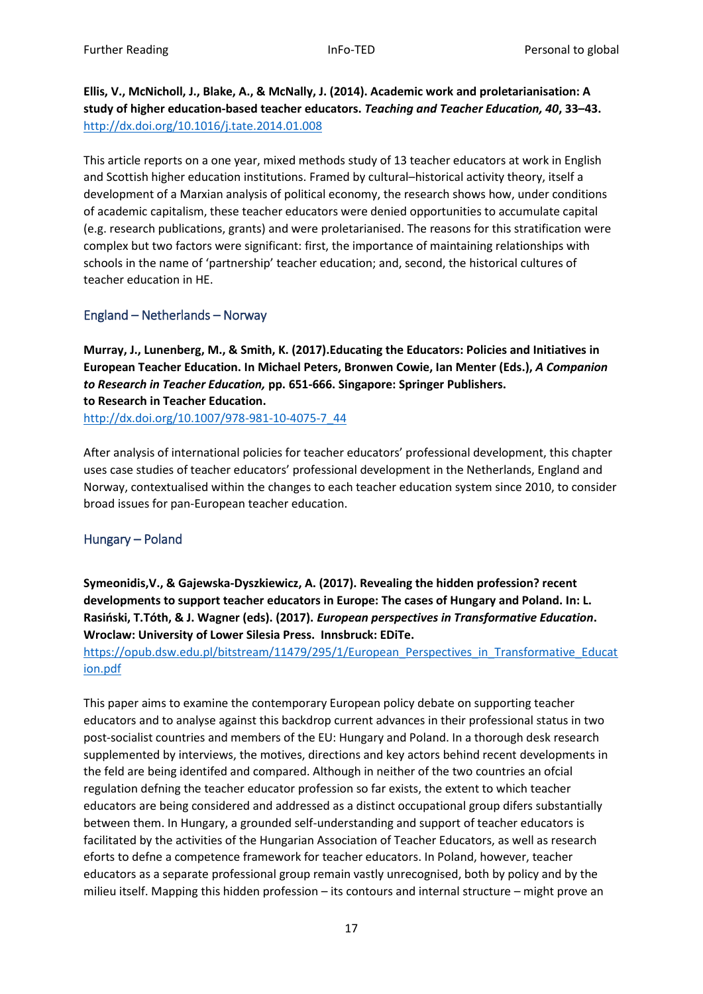**Ellis, V., McNicholl, J., Blake, A., & McNally, J. (2014). Academic work and proletarianisation: A study of higher education-based teacher educators.** *Teaching and Teacher Education, 40***, 33–43.**  <http://dx.doi.org/10.1016/j.tate.2014.01.008>

This article reports on a one year, mixed methods study of 13 teacher educators at work in English and Scottish higher education institutions. Framed by cultural–historical activity theory, itself a development of a Marxian analysis of political economy, the research shows how, under conditions of academic capitalism, these teacher educators were denied opportunities to accumulate capital (e.g. research publications, grants) and were proletarianised. The reasons for this stratification were complex but two factors were significant: first, the importance of maintaining relationships with schools in the name of 'partnership' teacher education; and, second, the historical cultures of teacher education in HE.

### <span id="page-16-0"></span>England – Netherlands – Norway

**Murray, J., Lunenberg, M., & Smith, K. (2017).Educating the Educators: Policies and Initiatives in European Teacher Education. In Michael Peters, Bronwen Cowie, Ian Menter (Eds.),** *A Companion to Research in Teacher Education,* **pp. 651-666. Singapore: Springer Publishers. to Research in Teacher Education.** [http://dx.doi.org/10.1007/978-981-10-4075-7\\_44](http://dx.doi.org/10.1007/978-981-10-4075-7_44)

After analysis of international policies for teacher educators' professional development, this chapter uses case studies of teacher educators' professional development in the Netherlands, England and Norway, contextualised within the changes to each teacher education system since 2010, to consider broad issues for pan-European teacher education.

### <span id="page-16-1"></span>Hungary – Poland

**Symeonidis,V., & Gajewska-Dyszkiewicz, A. (2017). Revealing the hidden profession? recent developments to support teacher educators in Europe: The cases of Hungary and Poland. In: L. Rasiński, T.Tóth, & J. Wagner (eds). (2017).** *European perspectives in Transformative Education***. Wroclaw: University of Lower Silesia Press. Innsbruck: EDiTe.** 

[https://opub.dsw.edu.pl/bitstream/11479/295/1/European\\_Perspectives\\_in\\_Transformative\\_Educat](https://opub.dsw.edu.pl/bitstream/11479/295/1/European_Perspectives_in_Transformative_Education.pdf) [ion.pdf](https://opub.dsw.edu.pl/bitstream/11479/295/1/European_Perspectives_in_Transformative_Education.pdf)

This paper aims to examine the contemporary European policy debate on supporting teacher educators and to analyse against this backdrop current advances in their professional status in two post-socialist countries and members of the EU: Hungary and Poland. In a thorough desk research supplemented by interviews, the motives, directions and key actors behind recent developments in the feld are being identifed and compared. Although in neither of the two countries an ofcial regulation defning the teacher educator profession so far exists, the extent to which teacher educators are being considered and addressed as a distinct occupational group difers substantially between them. In Hungary, a grounded self-understanding and support of teacher educators is facilitated by the activities of the Hungarian Association of Teacher Educators, as well as research eforts to defne a competence framework for teacher educators. In Poland, however, teacher educators as a separate professional group remain vastly unrecognised, both by policy and by the milieu itself. Mapping this hidden profession – its contours and internal structure – might prove an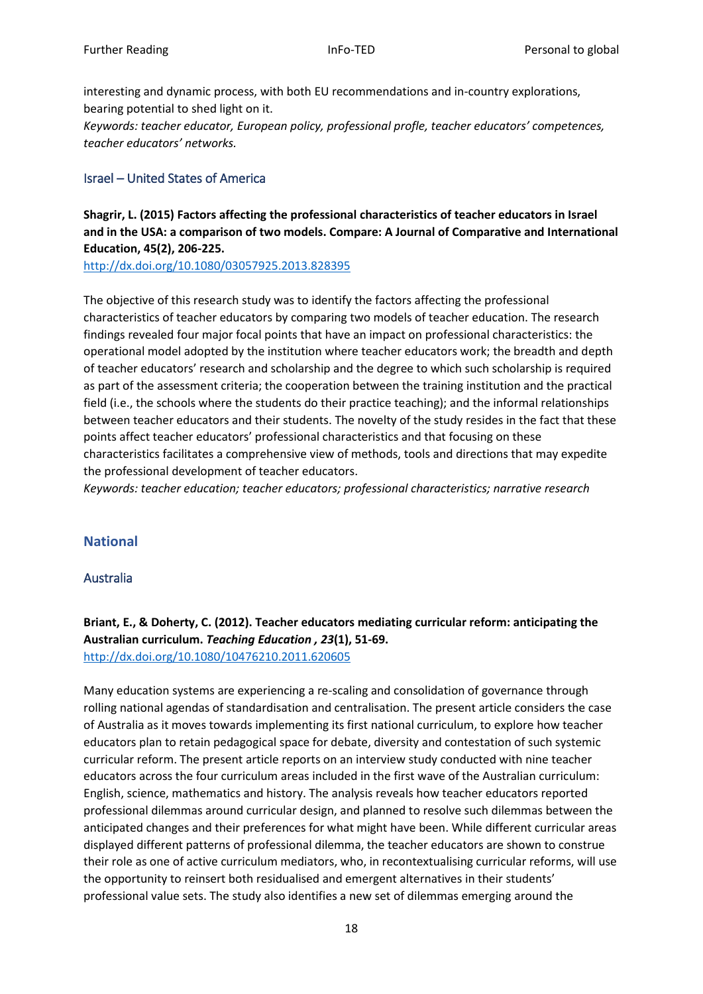interesting and dynamic process, with both EU recommendations and in-country explorations, bearing potential to shed light on it.

*Keywords: teacher educator, European policy, professional profle, teacher educators' competences, teacher educators' networks.*

### <span id="page-17-0"></span>Israel – United States of America

### **Shagrir, L. (2015) Factors affecting the professional characteristics of teacher educators in Israel and in the USA: a comparison of two models. Compare: A Journal of Comparative and International Education, 45(2), 206-225.**

<http://dx.doi.org/10.1080/03057925.2013.828395>

The objective of this research study was to identify the factors affecting the professional characteristics of teacher educators by comparing two models of teacher education. The research findings revealed four major focal points that have an impact on professional characteristics: the operational model adopted by the institution where teacher educators work; the breadth and depth of teacher educators' research and scholarship and the degree to which such scholarship is required as part of the assessment criteria; the cooperation between the training institution and the practical field (i.e., the schools where the students do their practice teaching); and the informal relationships between teacher educators and their students. The novelty of the study resides in the fact that these points affect teacher educators' professional characteristics and that focusing on these characteristics facilitates a comprehensive view of methods, tools and directions that may expedite the professional development of teacher educators.

*Keywords: teacher education; teacher educators; professional characteristics; narrative research* 

### <span id="page-17-1"></span>**National**

### <span id="page-17-2"></span>Australia

#### **Briant, E., & Doherty, C. (2012). Teacher educators mediating curricular reform: anticipating the Australian curriculum.** *Teaching Education , 23***(1), 51-69.**  <http://dx.doi.org/10.1080/10476210.2011.620605>

Many education systems are experiencing a re-scaling and consolidation of governance through rolling national agendas of standardisation and centralisation. The present article considers the case of Australia as it moves towards implementing its first national curriculum, to explore how teacher educators plan to retain pedagogical space for debate, diversity and contestation of such systemic curricular reform. The present article reports on an interview study conducted with nine teacher educators across the four curriculum areas included in the first wave of the Australian curriculum: English, science, mathematics and history. The analysis reveals how teacher educators reported professional dilemmas around curricular design, and planned to resolve such dilemmas between the anticipated changes and their preferences for what might have been. While different curricular areas displayed different patterns of professional dilemma, the teacher educators are shown to construe their role as one of active curriculum mediators, who, in recontextualising curricular reforms, will use the opportunity to reinsert both residualised and emergent alternatives in their students' professional value sets. The study also identifies a new set of dilemmas emerging around the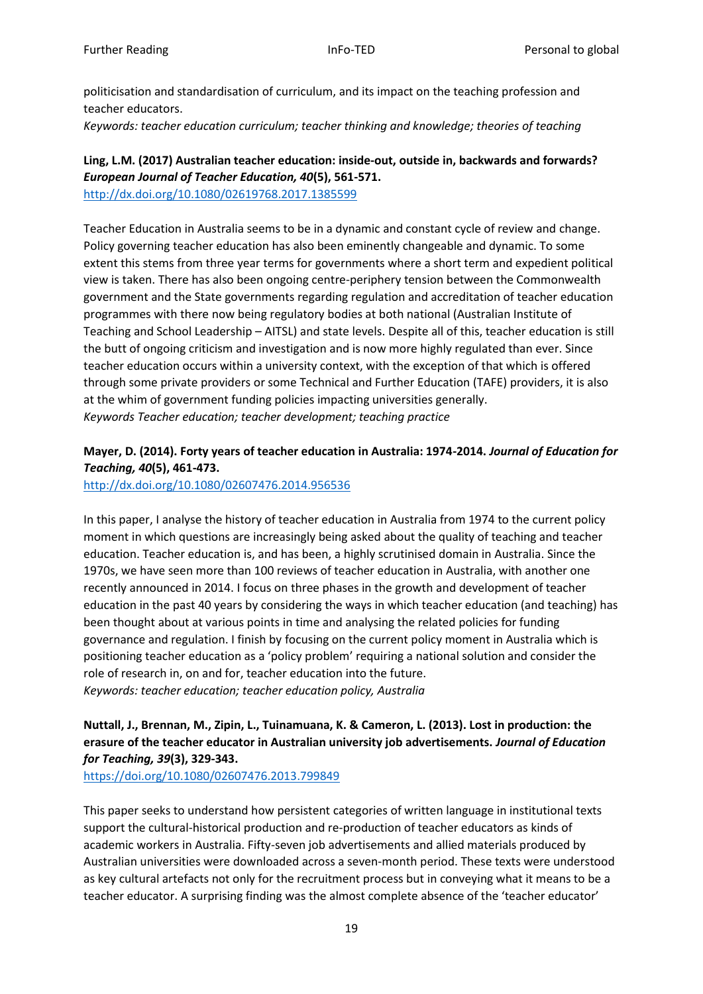politicisation and standardisation of curriculum, and its impact on the teaching profession and teacher educators.

*Keywords: teacher education curriculum; teacher thinking and knowledge; theories of teaching* 

## **Ling, L.M. (2017) Australian teacher education: inside-out, outside in, backwards and forwards?**  *European Journal of Teacher Education, 40***(5), 561-571.**

<http://dx.doi.org/10.1080/02619768.2017.1385599>

Teacher Education in Australia seems to be in a dynamic and constant cycle of review and change. Policy governing teacher education has also been eminently changeable and dynamic. To some extent this stems from three year terms for governments where a short term and expedient political view is taken. There has also been ongoing centre-periphery tension between the Commonwealth government and the State governments regarding regulation and accreditation of teacher education programmes with there now being regulatory bodies at both national (Australian Institute of Teaching and School Leadership – AITSL) and state levels. Despite all of this, teacher education is still the butt of ongoing criticism and investigation and is now more highly regulated than ever. Since teacher education occurs within a university context, with the exception of that which is offered through some private providers or some Technical and Further Education (TAFE) providers, it is also at the whim of government funding policies impacting universities generally. *Keywords Teacher education; teacher development; teaching practice*

### **Mayer, D. (2014). Forty years of teacher education in Australia: 1974-2014.** *Journal of Education for Teaching, 40***(5), 461-473.**

<http://dx.doi.org/10.1080/02607476.2014.956536>

In this paper, I analyse the history of teacher education in Australia from 1974 to the current policy moment in which questions are increasingly being asked about the quality of teaching and teacher education. Teacher education is, and has been, a highly scrutinised domain in Australia. Since the 1970s, we have seen more than 100 reviews of teacher education in Australia, with another one recently announced in 2014. I focus on three phases in the growth and development of teacher education in the past 40 years by considering the ways in which teacher education (and teaching) has been thought about at various points in time and analysing the related policies for funding governance and regulation. I finish by focusing on the current policy moment in Australia which is positioning teacher education as a 'policy problem' requiring a national solution and consider the role of research in, on and for, teacher education into the future. *Keywords: teacher education; teacher education policy, Australia* 

### **Nuttall, J., Brennan, M., Zipin, L., Tuinamuana, K. & Cameron, L. (2013). Lost in production: the erasure of the teacher educator in Australian university job advertisements.** *Journal of Education for Teaching, 39***(3), 329-343.**

<https://doi.org/10.1080/02607476.2013.799849>

This paper seeks to understand how persistent categories of written language in institutional texts support the cultural-historical production and re-production of teacher educators as kinds of academic workers in Australia. Fifty-seven job advertisements and allied materials produced by Australian universities were downloaded across a seven-month period. These texts were understood as key cultural artefacts not only for the recruitment process but in conveying what it means to be a teacher educator. A surprising finding was the almost complete absence of the 'teacher educator'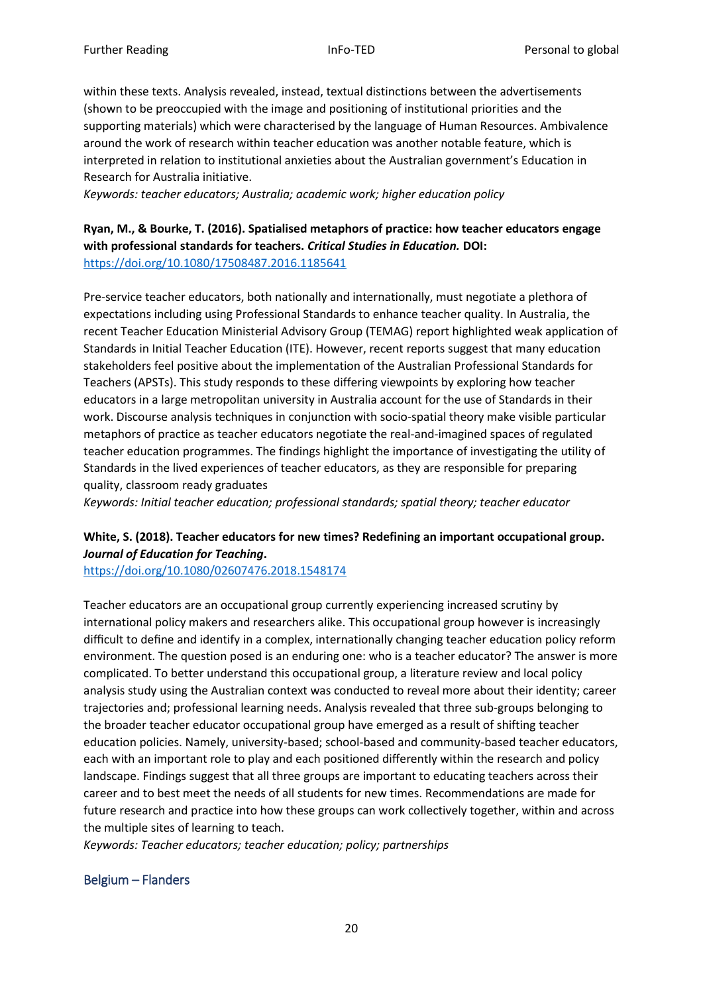within these texts. Analysis revealed, instead, textual distinctions between the advertisements (shown to be preoccupied with the image and positioning of institutional priorities and the supporting materials) which were characterised by the language of Human Resources. Ambivalence around the work of research within teacher education was another notable feature, which is interpreted in relation to institutional anxieties about the Australian government's Education in Research for Australia initiative.

*Keywords: teacher educators; Australia; academic work; higher education policy* 

### **Ryan, M., & Bourke, T. (2016). Spatialised metaphors of practice: how teacher educators engage with professional standards for teachers.** *Critical Studies in Education.* **DOI:**  <https://doi.org/10.1080/17508487.2016.1185641>

Pre-service teacher educators, both nationally and internationally, must negotiate a plethora of expectations including using Professional Standards to enhance teacher quality. In Australia, the recent Teacher Education Ministerial Advisory Group (TEMAG) report highlighted weak application of Standards in Initial Teacher Education (ITE). However, recent reports suggest that many education stakeholders feel positive about the implementation of the Australian Professional Standards for Teachers (APSTs). This study responds to these differing viewpoints by exploring how teacher educators in a large metropolitan university in Australia account for the use of Standards in their work. Discourse analysis techniques in conjunction with socio-spatial theory make visible particular metaphors of practice as teacher educators negotiate the real-and-imagined spaces of regulated teacher education programmes. The findings highlight the importance of investigating the utility of Standards in the lived experiences of teacher educators, as they are responsible for preparing quality, classroom ready graduates

*Keywords: Initial teacher education; professional standards; spatial theory; teacher educator*

### **White, S. (2018). Teacher educators for new times? Redefining an important occupational group.**  *Journal of Education for Teaching***.**

<https://doi.org/10.1080/02607476.2018.1548174>

Teacher educators are an occupational group currently experiencing increased scrutiny by international policy makers and researchers alike. This occupational group however is increasingly difficult to define and identify in a complex, internationally changing teacher education policy reform environment. The question posed is an enduring one: who is a teacher educator? The answer is more complicated. To better understand this occupational group, a literature review and local policy analysis study using the Australian context was conducted to reveal more about their identity; career trajectories and; professional learning needs. Analysis revealed that three sub-groups belonging to the broader teacher educator occupational group have emerged as a result of shifting teacher education policies. Namely, university-based; school-based and community-based teacher educators, each with an important role to play and each positioned differently within the research and policy landscape. Findings suggest that all three groups are important to educating teachers across their career and to best meet the needs of all students for new times. Recommendations are made for future research and practice into how these groups can work collectively together, within and across the multiple sites of learning to teach.

*Keywords: Teacher educators; teacher education; policy; partnerships*

<span id="page-19-0"></span>Belgium – Flanders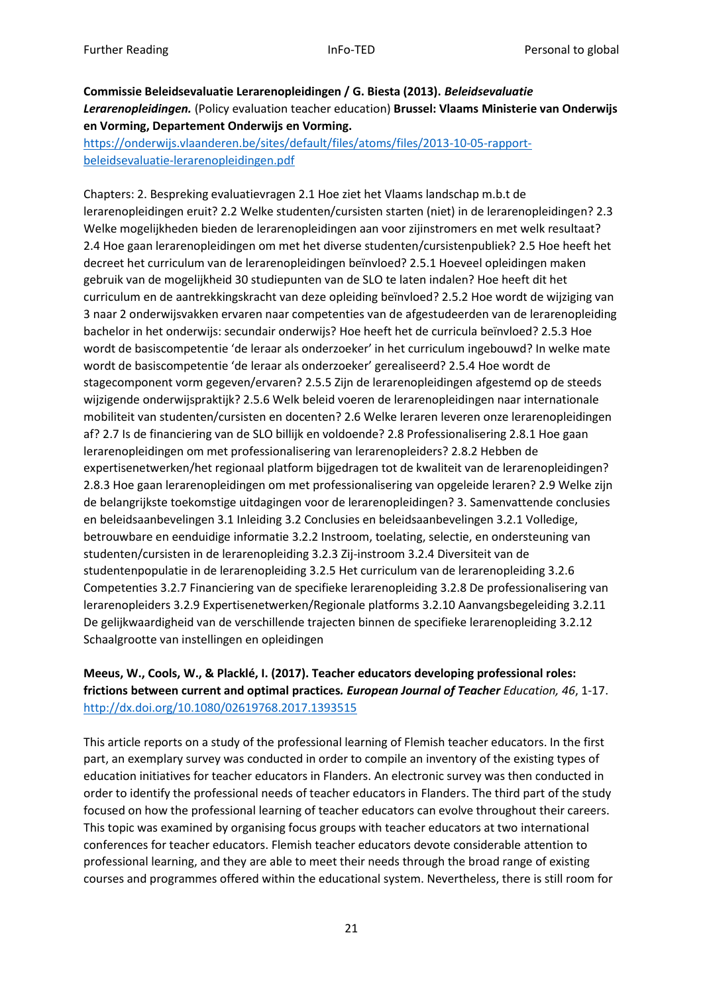**Commissie Beleidsevaluatie Lerarenopleidingen / G. Biesta (2013).** *Beleidsevaluatie Lerarenopleidingen.* (Policy evaluation teacher education) **Brussel: Vlaams Ministerie van Onderwijs en Vorming, Departement Onderwijs en Vorming.**

[https://onderwijs.vlaanderen.be/sites/default/files/atoms/files/2013-10-05-rapport](https://onderwijs.vlaanderen.be/sites/default/files/atoms/files/2013-10-05-rapport-beleidsevaluatie-lerarenopleidingen.pdf)[beleidsevaluatie-lerarenopleidingen.pdf](https://onderwijs.vlaanderen.be/sites/default/files/atoms/files/2013-10-05-rapport-beleidsevaluatie-lerarenopleidingen.pdf)

Chapters: 2. Bespreking evaluatievragen 2.1 Hoe ziet het Vlaams landschap m.b.t de lerarenopleidingen eruit? 2.2 Welke studenten/cursisten starten (niet) in de lerarenopleidingen? 2.3 Welke mogelijkheden bieden de lerarenopleidingen aan voor zijinstromers en met welk resultaat? 2.4 Hoe gaan lerarenopleidingen om met het diverse studenten/cursistenpubliek? 2.5 Hoe heeft het decreet het curriculum van de lerarenopleidingen beïnvloed? 2.5.1 Hoeveel opleidingen maken gebruik van de mogelijkheid 30 studiepunten van de SLO te laten indalen? Hoe heeft dit het curriculum en de aantrekkingskracht van deze opleiding beïnvloed? 2.5.2 Hoe wordt de wijziging van 3 naar 2 onderwijsvakken ervaren naar competenties van de afgestudeerden van de lerarenopleiding bachelor in het onderwijs: secundair onderwijs? Hoe heeft het de curricula beïnvloed? 2.5.3 Hoe wordt de basiscompetentie 'de leraar als onderzoeker' in het curriculum ingebouwd? In welke mate wordt de basiscompetentie 'de leraar als onderzoeker' gerealiseerd? 2.5.4 Hoe wordt de stagecomponent vorm gegeven/ervaren? 2.5.5 Zijn de lerarenopleidingen afgestemd op de steeds wijzigende onderwijspraktijk? 2.5.6 Welk beleid voeren de lerarenopleidingen naar internationale mobiliteit van studenten/cursisten en docenten? 2.6 Welke leraren leveren onze lerarenopleidingen af? 2.7 Is de financiering van de SLO billijk en voldoende? 2.8 Professionalisering 2.8.1 Hoe gaan lerarenopleidingen om met professionalisering van lerarenopleiders? 2.8.2 Hebben de expertisenetwerken/het regionaal platform bijgedragen tot de kwaliteit van de lerarenopleidingen? 2.8.3 Hoe gaan lerarenopleidingen om met professionalisering van opgeleide leraren? 2.9 Welke zijn de belangrijkste toekomstige uitdagingen voor de lerarenopleidingen? 3. Samenvattende conclusies en beleidsaanbevelingen 3.1 Inleiding 3.2 Conclusies en beleidsaanbevelingen 3.2.1 Volledige, betrouwbare en eenduidige informatie 3.2.2 Instroom, toelating, selectie, en ondersteuning van studenten/cursisten in de lerarenopleiding 3.2.3 Zij-instroom 3.2.4 Diversiteit van de studentenpopulatie in de lerarenopleiding 3.2.5 Het curriculum van de lerarenopleiding 3.2.6 Competenties 3.2.7 Financiering van de specifieke lerarenopleiding 3.2.8 De professionalisering van lerarenopleiders 3.2.9 Expertisenetwerken/Regionale platforms 3.2.10 Aanvangsbegeleiding 3.2.11 De gelijkwaardigheid van de verschillende trajecten binnen de specifieke lerarenopleiding 3.2.12 Schaalgrootte van instellingen en opleidingen

**Meeus, W., Cools, W., & Placklé, I. (2017). Teacher educators developing professional roles: frictions between current and optimal practices***. European Journal of Teacher Education, 46*, 1-17. <http://dx.doi.org/10.1080/02619768.2017.1393515>

This article reports on a study of the professional learning of Flemish teacher educators. In the first part, an exemplary survey was conducted in order to compile an inventory of the existing types of education initiatives for teacher educators in Flanders. An electronic survey was then conducted in order to identify the professional needs of teacher educators in Flanders. The third part of the study focused on how the professional learning of teacher educators can evolve throughout their careers. This topic was examined by organising focus groups with teacher educators at two international conferences for teacher educators. Flemish teacher educators devote considerable attention to professional learning, and they are able to meet their needs through the broad range of existing courses and programmes offered within the educational system. Nevertheless, there is still room for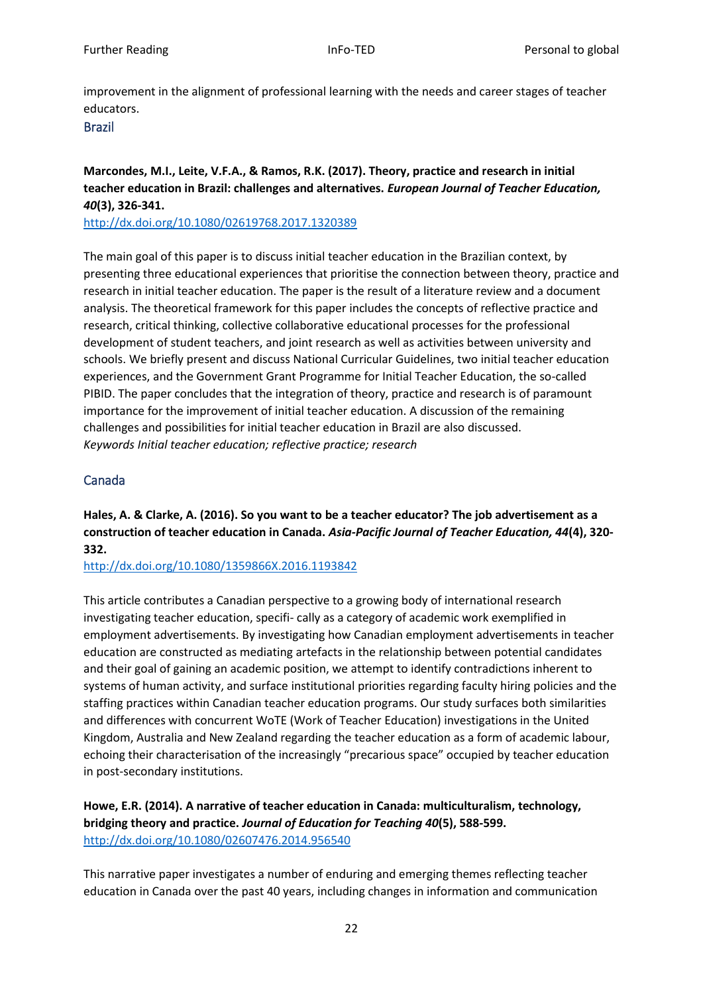improvement in the alignment of professional learning with the needs and career stages of teacher educators.

<span id="page-21-0"></span>Brazil

### **Marcondes, M.I., Leite, V.F.A., & Ramos, R.K. (2017). Theory, practice and research in initial teacher education in Brazil: challenges and alternatives.** *European Journal of Teacher Education, 40***(3), 326-341.**

<http://dx.doi.org/10.1080/02619768.2017.1320389>

The main goal of this paper is to discuss initial teacher education in the Brazilian context, by presenting three educational experiences that prioritise the connection between theory, practice and research in initial teacher education. The paper is the result of a literature review and a document analysis. The theoretical framework for this paper includes the concepts of reflective practice and research, critical thinking, collective collaborative educational processes for the professional development of student teachers, and joint research as well as activities between university and schools. We briefly present and discuss National Curricular Guidelines, two initial teacher education experiences, and the Government Grant Programme for Initial Teacher Education, the so-called PIBID. The paper concludes that the integration of theory, practice and research is of paramount importance for the improvement of initial teacher education. A discussion of the remaining challenges and possibilities for initial teacher education in Brazil are also discussed. *Keywords Initial teacher education; reflective practice; research*

### <span id="page-21-1"></span>Canada

**Hales, A. & Clarke, A. (2016). So you want to be a teacher educator? The job advertisement as a construction of teacher education in Canada.** *Asia-Pacific Journal of Teacher Education, 44***(4), 320- 332.** 

<http://dx.doi.org/10.1080/1359866X.2016.1193842>

This article contributes a Canadian perspective to a growing body of international research investigating teacher education, specifi- cally as a category of academic work exemplified in employment advertisements. By investigating how Canadian employment advertisements in teacher education are constructed as mediating artefacts in the relationship between potential candidates and their goal of gaining an academic position, we attempt to identify contradictions inherent to systems of human activity, and surface institutional priorities regarding faculty hiring policies and the staffing practices within Canadian teacher education programs. Our study surfaces both similarities and differences with concurrent WoTE (Work of Teacher Education) investigations in the United Kingdom, Australia and New Zealand regarding the teacher education as a form of academic labour, echoing their characterisation of the increasingly "precarious space" occupied by teacher education in post-secondary institutions.

### **Howe, E.R. (2014). A narrative of teacher education in Canada: multiculturalism, technology, bridging theory and practice.** *Journal of Education for Teaching 40***(5), 588-599.** <http://dx.doi.org/10.1080/02607476.2014.956540>

This narrative paper investigates a number of enduring and emerging themes reflecting teacher education in Canada over the past 40 years, including changes in information and communication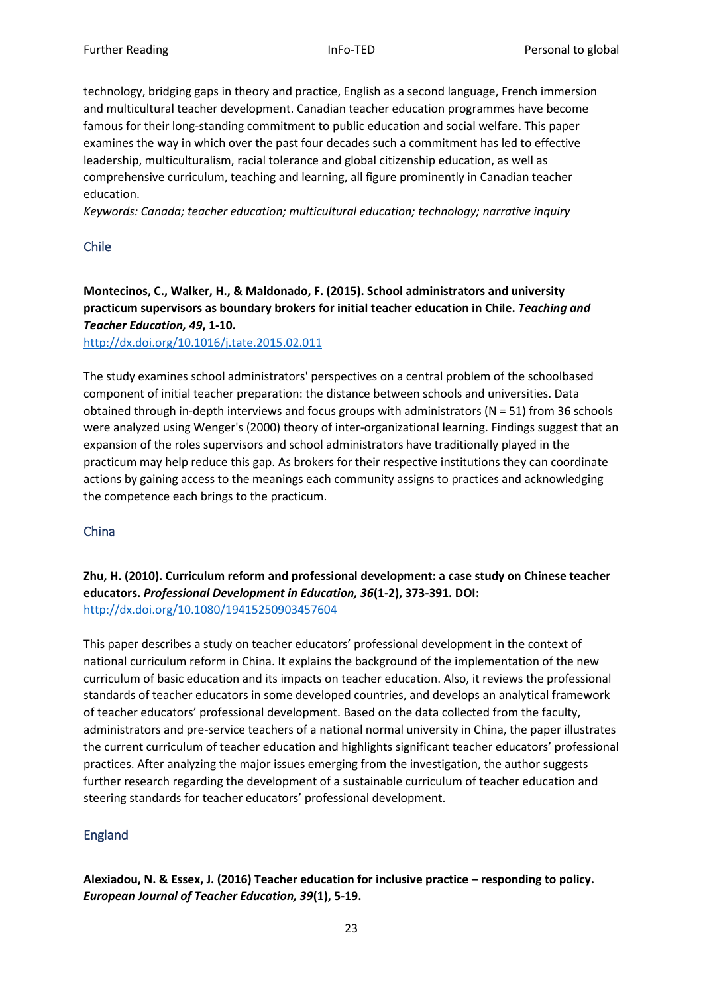technology, bridging gaps in theory and practice, English as a second language, French immersion and multicultural teacher development. Canadian teacher education programmes have become famous for their long-standing commitment to public education and social welfare. This paper examines the way in which over the past four decades such a commitment has led to effective leadership, multiculturalism, racial tolerance and global citizenship education, as well as comprehensive curriculum, teaching and learning, all figure prominently in Canadian teacher education.

*Keywords: Canada; teacher education; multicultural education; technology; narrative inquiry*

### <span id="page-22-0"></span>Chile

**Montecinos, C., Walker, H., & Maldonado, F. (2015). School administrators and university practicum supervisors as boundary brokers for initial teacher education in Chile.** *Teaching and Teacher Education, 49***, 1-10.** 

<http://dx.doi.org/10.1016/j.tate.2015.02.011>

The study examines school administrators' perspectives on a central problem of the schoolbased component of initial teacher preparation: the distance between schools and universities. Data obtained through in-depth interviews and focus groups with administrators (N = 51) from 36 schools were analyzed using Wenger's (2000) theory of inter-organizational learning. Findings suggest that an expansion of the roles supervisors and school administrators have traditionally played in the practicum may help reduce this gap. As brokers for their respective institutions they can coordinate actions by gaining access to the meanings each community assigns to practices and acknowledging the competence each brings to the practicum.

### <span id="page-22-1"></span>China

**Zhu, H. (2010). Curriculum reform and professional development: a case study on Chinese teacher educators.** *Professional Development in Education, 36***(1-2), 373-391. DOI:**  <http://dx.doi.org/10.1080/19415250903457604>

This paper describes a study on teacher educators' professional development in the context of national curriculum reform in China. It explains the background of the implementation of the new curriculum of basic education and its impacts on teacher education. Also, it reviews the professional standards of teacher educators in some developed countries, and develops an analytical framework of teacher educators' professional development. Based on the data collected from the faculty, administrators and pre-service teachers of a national normal university in China, the paper illustrates the current curriculum of teacher education and highlights significant teacher educators' professional practices. After analyzing the major issues emerging from the investigation, the author suggests further research regarding the development of a sustainable curriculum of teacher education and steering standards for teacher educators' professional development.

### <span id="page-22-2"></span>England

**Alexiadou, N. & Essex, J. (2016) Teacher education for inclusive practice – responding to policy.**  *European Journal of Teacher Education, 39***(1), 5-19.**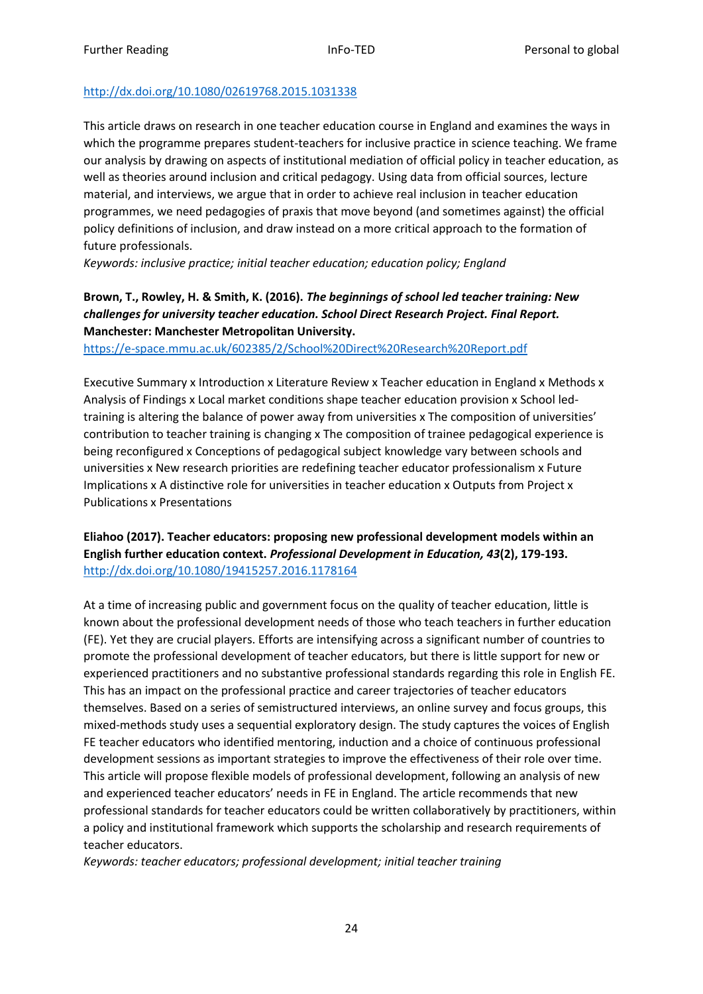#### <http://dx.doi.org/10.1080/02619768.2015.1031338>

This article draws on research in one teacher education course in England and examines the ways in which the programme prepares student-teachers for inclusive practice in science teaching. We frame our analysis by drawing on aspects of institutional mediation of official policy in teacher education, as well as theories around inclusion and critical pedagogy. Using data from official sources, lecture material, and interviews, we argue that in order to achieve real inclusion in teacher education programmes, we need pedagogies of praxis that move beyond (and sometimes against) the official policy definitions of inclusion, and draw instead on a more critical approach to the formation of future professionals.

*Keywords: inclusive practice; initial teacher education; education policy; England* 

### **Brown, T., Rowley, H. & Smith, K. (2016).** *The beginnings of school led teacher training: New challenges for university teacher education. School Direct Research Project. Final Report.* **Manchester: Manchester Metropolitan University.**

<https://e-space.mmu.ac.uk/602385/2/School%20Direct%20Research%20Report.pdf>

Executive Summary x Introduction x Literature Review x Teacher education in England x Methods x Analysis of Findings x Local market conditions shape teacher education provision x School ledtraining is altering the balance of power away from universities x The composition of universities' contribution to teacher training is changing x The composition of trainee pedagogical experience is being reconfigured x Conceptions of pedagogical subject knowledge vary between schools and universities x New research priorities are redefining teacher educator professionalism x Future Implications x A distinctive role for universities in teacher education x Outputs from Project x Publications x Presentations

### **Eliahoo (2017). Teacher educators: proposing new professional development models within an English further education context.** *Professional Development in Education, 43***(2), 179-193.**  <http://dx.doi.org/10.1080/19415257.2016.1178164>

At a time of increasing public and government focus on the quality of teacher education, little is known about the professional development needs of those who teach teachers in further education (FE). Yet they are crucial players. Efforts are intensifying across a significant number of countries to promote the professional development of teacher educators, but there is little support for new or experienced practitioners and no substantive professional standards regarding this role in English FE. This has an impact on the professional practice and career trajectories of teacher educators themselves. Based on a series of semistructured interviews, an online survey and focus groups, this mixed-methods study uses a sequential exploratory design. The study captures the voices of English FE teacher educators who identified mentoring, induction and a choice of continuous professional development sessions as important strategies to improve the effectiveness of their role over time. This article will propose flexible models of professional development, following an analysis of new and experienced teacher educators' needs in FE in England. The article recommends that new professional standards for teacher educators could be written collaboratively by practitioners, within a policy and institutional framework which supports the scholarship and research requirements of teacher educators.

*Keywords: teacher educators; professional development; initial teacher training*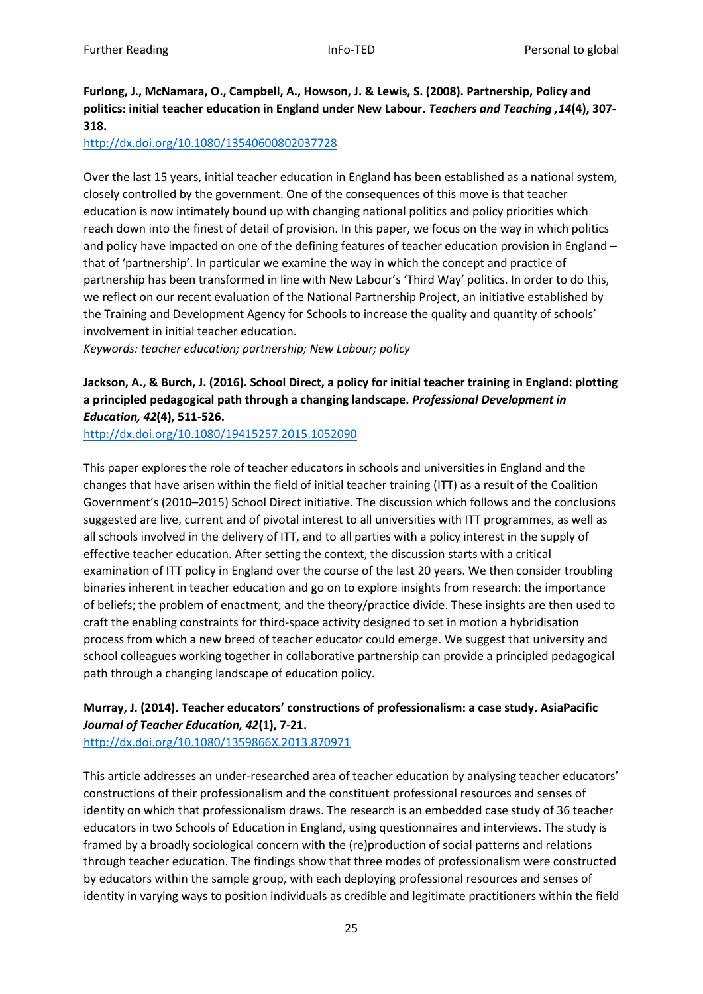### **Furlong, J., McNamara, O., Campbell, A., Howson, J. & Lewis, S. (2008). Partnership, Policy and politics: initial teacher education in England under New Labour.** *Teachers and Teaching ,14***(4), 307- 318.**

### <http://dx.doi.org/10.1080/13540600802037728>

Over the last 15 years, initial teacher education in England has been established as a national system, closely controlled by the government. One of the consequences of this move is that teacher education is now intimately bound up with changing national politics and policy priorities which reach down into the finest of detail of provision. In this paper, we focus on the way in which politics and policy have impacted on one of the defining features of teacher education provision in England – that of 'partnership'. In particular we examine the way in which the concept and practice of partnership has been transformed in line with New Labour's 'Third Way' politics. In order to do this, we reflect on our recent evaluation of the National Partnership Project, an initiative established by the Training and Development Agency for Schools to increase the quality and quantity of schools' involvement in initial teacher education.

*Keywords: teacher education; partnership; New Labour; policy* 

### **Jackson, A., & Burch, J. (2016). School Direct, a policy for initial teacher training in England: plotting a principled pedagogical path through a changing landscape.** *Professional Development in Education, 42***(4), 511-526.**

<http://dx.doi.org/10.1080/19415257.2015.1052090>

This paper explores the role of teacher educators in schools and universities in England and the changes that have arisen within the field of initial teacher training (ITT) as a result of the Coalition Government's (2010–2015) School Direct initiative. The discussion which follows and the conclusions suggested are live, current and of pivotal interest to all universities with ITT programmes, as well as all schools involved in the delivery of ITT, and to all parties with a policy interest in the supply of effective teacher education. After setting the context, the discussion starts with a critical examination of ITT policy in England over the course of the last 20 years. We then consider troubling binaries inherent in teacher education and go on to explore insights from research: the importance of beliefs; the problem of enactment; and the theory/practice divide. These insights are then used to craft the enabling constraints for third-space activity designed to set in motion a hybridisation process from which a new breed of teacher educator could emerge. We suggest that university and school colleagues working together in collaborative partnership can provide a principled pedagogical path through a changing landscape of education policy.

### **Murray, J. (2014). Teacher educators' constructions of professionalism: a case study. AsiaPacific**  *Journal of Teacher Education, 42***(1), 7-21.**

<http://dx.doi.org/10.1080/1359866X.2013.870971>

This article addresses an under-researched area of teacher education by analysing teacher educators' constructions of their professionalism and the constituent professional resources and senses of identity on which that professionalism draws. The research is an embedded case study of 36 teacher educators in two Schools of Education in England, using questionnaires and interviews. The study is framed by a broadly sociological concern with the (re)production of social patterns and relations through teacher education. The findings show that three modes of professionalism were constructed by educators within the sample group, with each deploying professional resources and senses of identity in varying ways to position individuals as credible and legitimate practitioners within the field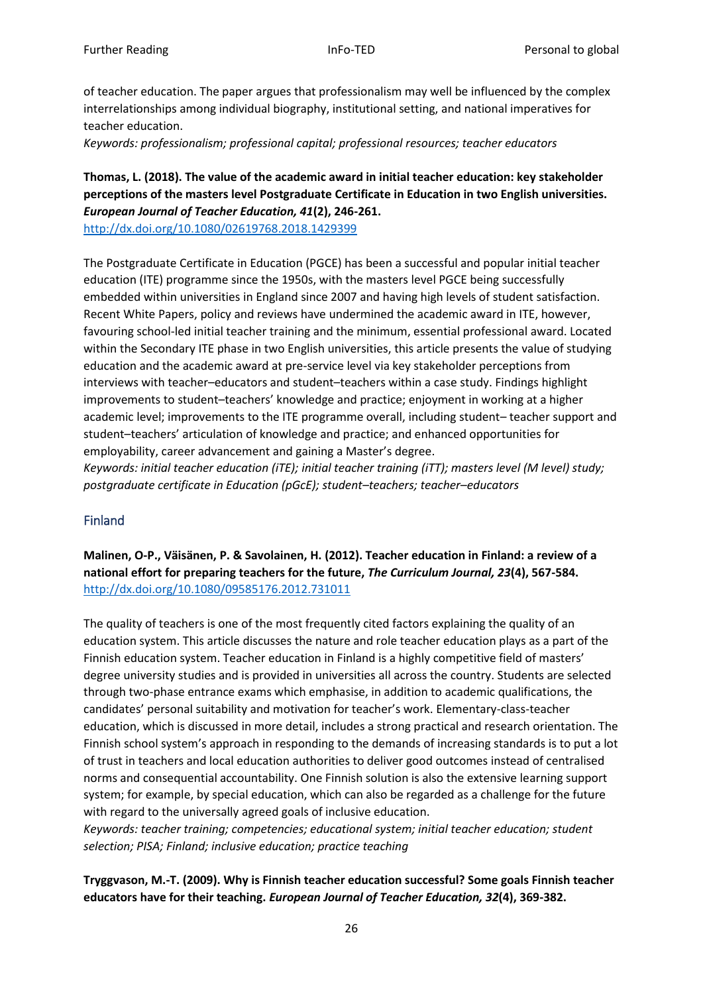of teacher education. The paper argues that professionalism may well be influenced by the complex interrelationships among individual biography, institutional setting, and national imperatives for teacher education.

*Keywords: professionalism; professional capital; professional resources; teacher educators* 

## **Thomas, L. (2018). The value of the academic award in initial teacher education: key stakeholder perceptions of the masters level Postgraduate Certificate in Education in two English universities.**  *European Journal of Teacher Education, 41***(2), 246-261.**

<http://dx.doi.org/10.1080/02619768.2018.1429399>

The Postgraduate Certificate in Education (PGCE) has been a successful and popular initial teacher education (ITE) programme since the 1950s, with the masters level PGCE being successfully embedded within universities in England since 2007 and having high levels of student satisfaction. Recent White Papers, policy and reviews have undermined the academic award in ITE, however, favouring school-led initial teacher training and the minimum, essential professional award. Located within the Secondary ITE phase in two English universities, this article presents the value of studying education and the academic award at pre-service level via key stakeholder perceptions from interviews with teacher–educators and student–teachers within a case study. Findings highlight improvements to student–teachers' knowledge and practice; enjoyment in working at a higher academic level; improvements to the ITE programme overall, including student– teacher support and student–teachers' articulation of knowledge and practice; and enhanced opportunities for employability, career advancement and gaining a Master's degree.

*Keywords: initial teacher education (iTE); initial teacher training (iTT); masters level (M level) study; postgraduate certificate in Education (pGcE); student–teachers; teacher–educators*

### <span id="page-25-0"></span>Finland

**Malinen, O-P., Väisänen, P. & Savolainen, H. (2012). Teacher education in Finland: a review of a national effort for preparing teachers for the future,** *The Curriculum Journal, 23***(4), 567-584.**  <http://dx.doi.org/10.1080/09585176.2012.731011>

The quality of teachers is one of the most frequently cited factors explaining the quality of an education system. This article discusses the nature and role teacher education plays as a part of the Finnish education system. Teacher education in Finland is a highly competitive field of masters' degree university studies and is provided in universities all across the country. Students are selected through two-phase entrance exams which emphasise, in addition to academic qualifications, the candidates' personal suitability and motivation for teacher's work. Elementary-class-teacher education, which is discussed in more detail, includes a strong practical and research orientation. The Finnish school system's approach in responding to the demands of increasing standards is to put a lot of trust in teachers and local education authorities to deliver good outcomes instead of centralised norms and consequential accountability. One Finnish solution is also the extensive learning support system; for example, by special education, which can also be regarded as a challenge for the future with regard to the universally agreed goals of inclusive education.

*Keywords: teacher training; competencies; educational system; initial teacher education; student selection; PISA; Finland; inclusive education; practice teaching* 

**Tryggvason, M.-T. (2009). Why is Finnish teacher education successful? Some goals Finnish teacher educators have for their teaching.** *European Journal of Teacher Education, 32***(4), 369-382.**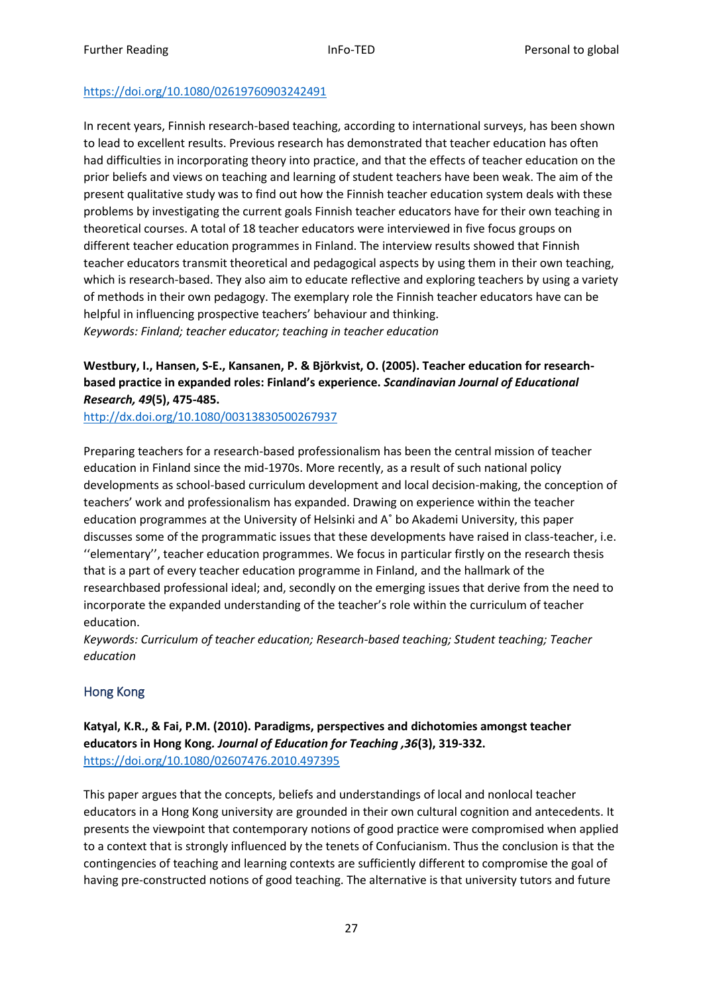#### <https://doi.org/10.1080/02619760903242491>

In recent years, Finnish research-based teaching, according to international surveys, has been shown to lead to excellent results. Previous research has demonstrated that teacher education has often had difficulties in incorporating theory into practice, and that the effects of teacher education on the prior beliefs and views on teaching and learning of student teachers have been weak. The aim of the present qualitative study was to find out how the Finnish teacher education system deals with these problems by investigating the current goals Finnish teacher educators have for their own teaching in theoretical courses. A total of 18 teacher educators were interviewed in five focus groups on different teacher education programmes in Finland. The interview results showed that Finnish teacher educators transmit theoretical and pedagogical aspects by using them in their own teaching, which is research-based. They also aim to educate reflective and exploring teachers by using a variety of methods in their own pedagogy. The exemplary role the Finnish teacher educators have can be helpful in influencing prospective teachers' behaviour and thinking. *Keywords: Finland; teacher educator; teaching in teacher education* 

### **Westbury, I., Hansen, S-E., Kansanen, P. & Björkvist, O. (2005). Teacher education for researchbased practice in expanded roles: Finland's experience.** *Scandinavian Journal of Educational Research, 49***(5), 475-485.**

<http://dx.doi.org/10.1080/00313830500267937>

Preparing teachers for a research-based professionalism has been the central mission of teacher education in Finland since the mid-1970s. More recently, as a result of such national policy developments as school-based curriculum development and local decision-making, the conception of teachers' work and professionalism has expanded. Drawing on experience within the teacher education programmes at the University of Helsinki and A˚ bo Akademi University, this paper discusses some of the programmatic issues that these developments have raised in class-teacher, i.e. ''elementary'', teacher education programmes. We focus in particular firstly on the research thesis that is a part of every teacher education programme in Finland, and the hallmark of the researchbased professional ideal; and, secondly on the emerging issues that derive from the need to incorporate the expanded understanding of the teacher's role within the curriculum of teacher education.

*Keywords: Curriculum of teacher education; Research-based teaching; Student teaching; Teacher education* 

### <span id="page-26-0"></span>Hong Kong

**Katyal, K.R., & Fai, P.M. (2010). Paradigms, perspectives and dichotomies amongst teacher educators in Hong Kong***. Journal of Education for Teaching ,36***(3), 319-332.** <https://doi.org/10.1080/02607476.2010.497395>

This paper argues that the concepts, beliefs and understandings of local and nonlocal teacher educators in a Hong Kong university are grounded in their own cultural cognition and antecedents. It presents the viewpoint that contemporary notions of good practice were compromised when applied to a context that is strongly influenced by the tenets of Confucianism. Thus the conclusion is that the contingencies of teaching and learning contexts are sufficiently different to compromise the goal of having pre-constructed notions of good teaching. The alternative is that university tutors and future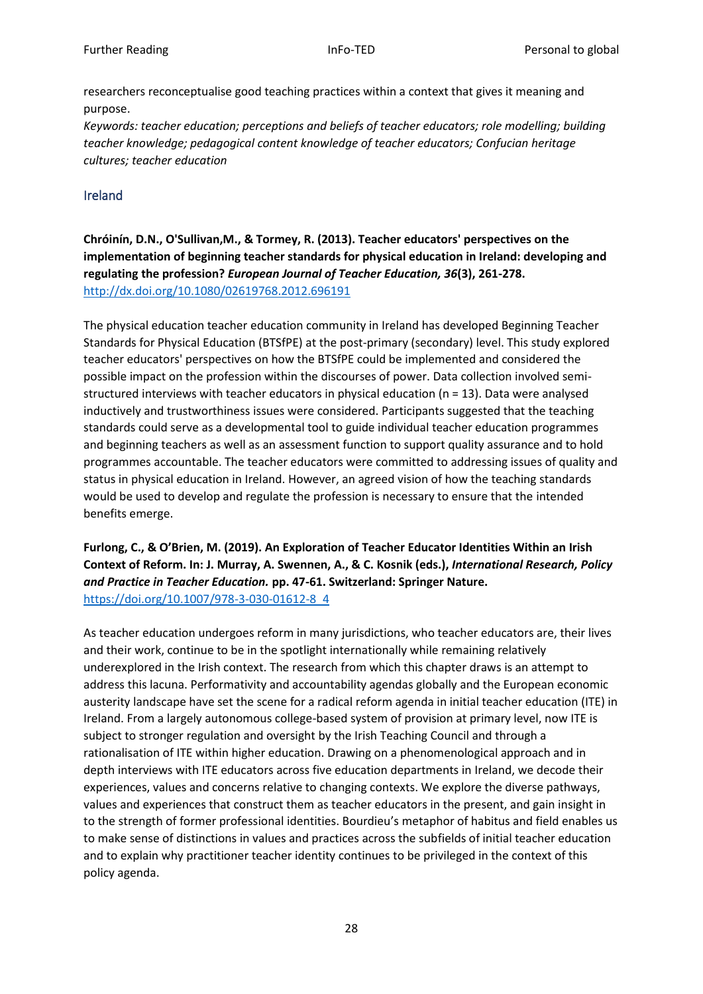researchers reconceptualise good teaching practices within a context that gives it meaning and purpose.

*Keywords: teacher education; perceptions and beliefs of teacher educators; role modelling; building teacher knowledge; pedagogical content knowledge of teacher educators; Confucian heritage cultures; teacher education* 

### <span id="page-27-0"></span>Ireland

**Chróinín, D.N., O'Sullivan,M., & Tormey, R. (2013). Teacher educators' perspectives on the implementation of beginning teacher standards for physical education in Ireland: developing and regulating the profession?** *European Journal of Teacher Education, 36***(3), 261-278.**  <http://dx.doi.org/10.1080/02619768.2012.696191>

The physical education teacher education community in Ireland has developed Beginning Teacher Standards for Physical Education (BTSfPE) at the post-primary (secondary) level. This study explored teacher educators' perspectives on how the BTSfPE could be implemented and considered the possible impact on the profession within the discourses of power. Data collection involved semistructured interviews with teacher educators in physical education (n = 13). Data were analysed inductively and trustworthiness issues were considered. Participants suggested that the teaching standards could serve as a developmental tool to guide individual teacher education programmes and beginning teachers as well as an assessment function to support quality assurance and to hold programmes accountable. The teacher educators were committed to addressing issues of quality and status in physical education in Ireland. However, an agreed vision of how the teaching standards would be used to develop and regulate the profession is necessary to ensure that the intended benefits emerge.

**Furlong, C., & O'Brien, M. (2019). An Exploration of Teacher Educator Identities Within an Irish Context of Reform. In: J. Murray, A. Swennen, A., & C. Kosnik (eds.),** *International Research, Policy and Practice in Teacher Education.* **pp. 47-61. Switzerland: Springer Nature.** [https://doi.org/10.1007/978-3-030-01612-8\\_4](https://doi.org/10.1007/978-3-030-01612-8_4)

As teacher education undergoes reform in many jurisdictions, who teacher educators are, their lives and their work, continue to be in the spotlight internationally while remaining relatively underexplored in the Irish context. The research from which this chapter draws is an attempt to address this lacuna. Performativity and accountability agendas globally and the European economic austerity landscape have set the scene for a radical reform agenda in initial teacher education (ITE) in Ireland. From a largely autonomous college-based system of provision at primary level, now ITE is subject to stronger regulation and oversight by the Irish Teaching Council and through a rationalisation of ITE within higher education. Drawing on a phenomenological approach and in depth interviews with ITE educators across five education departments in Ireland, we decode their experiences, values and concerns relative to changing contexts. We explore the diverse pathways, values and experiences that construct them as teacher educators in the present, and gain insight in to the strength of former professional identities. Bourdieu's metaphor of habitus and field enables us to make sense of distinctions in values and practices across the subfields of initial teacher education and to explain why practitioner teacher identity continues to be privileged in the context of this policy agenda.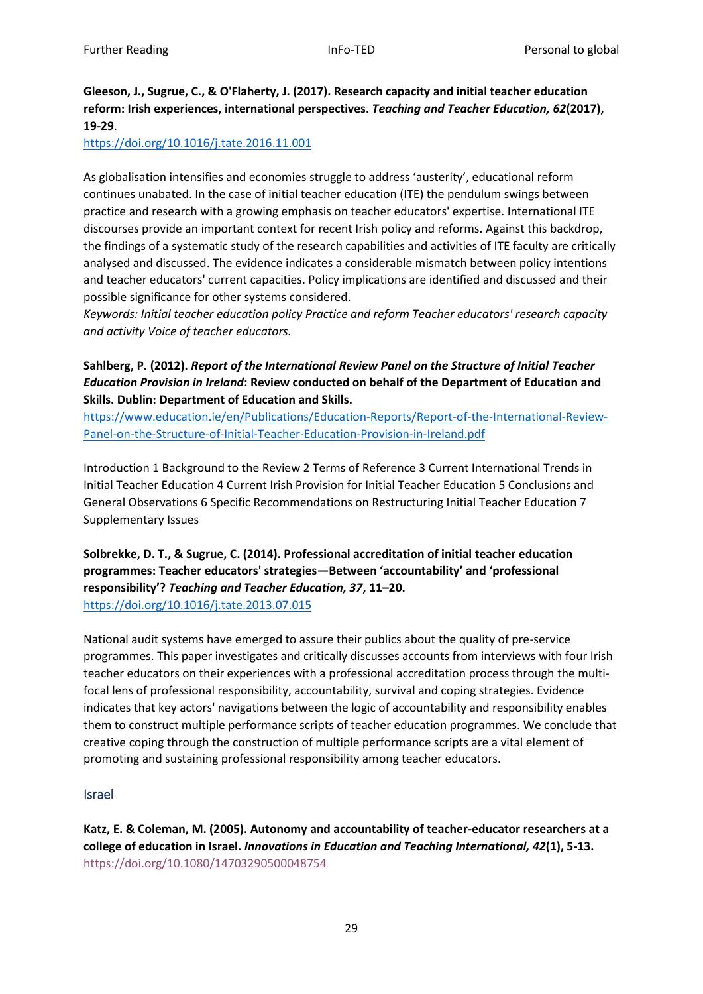### **Gleeson, J., Sugrue, C., & O'Flaherty, J. (2017). Research capacity and initial teacher education reform: Irish experiences, international perspectives.** *Teaching and Teacher Education, 62***(2017), 19-29**.

### <https://doi.org/10.1016/j.tate.2016.11.001>

As globalisation intensifies and economies struggle to address 'austerity', educational reform continues unabated. In the case of initial teacher education (ITE) the pendulum swings between practice and research with a growing emphasis on teacher educators' expertise. International ITE discourses provide an important context for recent Irish policy and reforms. Against this backdrop, the findings of a systematic study of the research capabilities and activities of ITE faculty are critically analysed and discussed. The evidence indicates a considerable mismatch between policy intentions and teacher educators' current capacities. Policy implications are identified and discussed and their possible significance for other systems considered.

*Keywords: Initial teacher education policy Practice and reform Teacher educators' research capacity and activity Voice of teacher educators.*

#### **Sahlberg, P. (2012).** *Report of the International Review Panel on the Structure of Initial Teacher Education Provision in Ireland***: Review conducted on behalf of the Department of Education and Skills. Dublin: Department of Education and Skills.**

[https://www.education.ie/en/Publications/Education-Reports/Report-of-the-International-Review-](https://www.education.ie/en/Publications/Education-Reports/Report-of-the-International-Review-Panel-on-the-Structure-of-Initial-Teacher-Education-Provision-in-Ireland.pdf)[Panel-on-the-Structure-of-Initial-Teacher-Education-Provision-in-Ireland.pdf](https://www.education.ie/en/Publications/Education-Reports/Report-of-the-International-Review-Panel-on-the-Structure-of-Initial-Teacher-Education-Provision-in-Ireland.pdf)

Introduction 1 Background to the Review 2 Terms of Reference 3 Current International Trends in Initial Teacher Education 4 Current Irish Provision for Initial Teacher Education 5 Conclusions and General Observations 6 Specific Recommendations on Restructuring Initial Teacher Education 7 Supplementary Issues

**Solbrekke, D. T., & Sugrue, C. (2014). Professional accreditation of initial teacher education programmes: Teacher educators' strategies—Between 'accountability' and 'professional responsibility'?** *Teaching and Teacher Education, 37***, 11–20.** <https://doi.org/10.1016/j.tate.2013.07.015>

National audit systems have emerged to assure their publics about the quality of pre-service programmes. This paper investigates and critically discusses accounts from interviews with four Irish teacher educators on their experiences with a professional accreditation process through the multifocal lens of professional responsibility, accountability, survival and coping strategies. Evidence indicates that key actors' navigations between the logic of accountability and responsibility enables them to construct multiple performance scripts of teacher education programmes. We conclude that creative coping through the construction of multiple performance scripts are a vital element of promoting and sustaining professional responsibility among teacher educators.

#### <span id="page-28-0"></span>Israel

**Katz, E. & Coleman, M. (2005). Autonomy and accountability of teacher-educator researchers at a college of education in Israel.** *Innovations in Education and Teaching International, 42***(1), 5-13.**  <https://doi.org/10.1080/14703290500048754>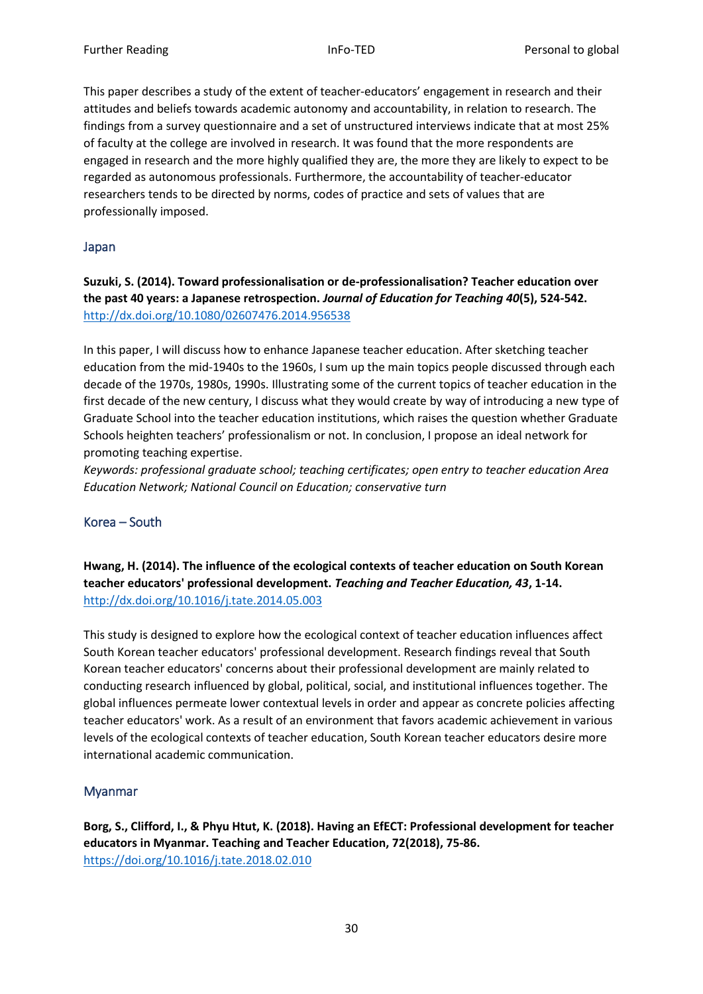This paper describes a study of the extent of teacher-educators' engagement in research and their attitudes and beliefs towards academic autonomy and accountability, in relation to research. The findings from a survey questionnaire and a set of unstructured interviews indicate that at most 25% of faculty at the college are involved in research. It was found that the more respondents are engaged in research and the more highly qualified they are, the more they are likely to expect to be regarded as autonomous professionals. Furthermore, the accountability of teacher‐educator researchers tends to be directed by norms, codes of practice and sets of values that are professionally imposed.

#### <span id="page-29-0"></span>Japan

**Suzuki, S. (2014). Toward professionalisation or de-professionalisation? Teacher education over the past 40 years: a Japanese retrospection.** *Journal of Education for Teaching 40***(5), 524-542.** <http://dx.doi.org/10.1080/02607476.2014.956538>

In this paper, I will discuss how to enhance Japanese teacher education. After sketching teacher education from the mid-1940s to the 1960s, I sum up the main topics people discussed through each decade of the 1970s, 1980s, 1990s. Illustrating some of the current topics of teacher education in the first decade of the new century, I discuss what they would create by way of introducing a new type of Graduate School into the teacher education institutions, which raises the question whether Graduate Schools heighten teachers' professionalism or not. In conclusion, I propose an ideal network for promoting teaching expertise.

*Keywords: professional graduate school; teaching certificates; open entry to teacher education Area Education Network; National Council on Education; conservative turn*

#### <span id="page-29-1"></span>Korea – South

**Hwang, H. (2014). The influence of the ecological contexts of teacher education on South Korean teacher educators' professional development.** *Teaching and Teacher Education, 43***, 1-14.**  <http://dx.doi.org/10.1016/j.tate.2014.05.003>

This study is designed to explore how the ecological context of teacher education influences affect South Korean teacher educators' professional development. Research findings reveal that South Korean teacher educators' concerns about their professional development are mainly related to conducting research influenced by global, political, social, and institutional influences together. The global influences permeate lower contextual levels in order and appear as concrete policies affecting teacher educators' work. As a result of an environment that favors academic achievement in various levels of the ecological contexts of teacher education, South Korean teacher educators desire more international academic communication.

### <span id="page-29-2"></span>Myanmar

**Borg, S., Clifford, I., & Phyu Htut, K. (2018). Having an EfECT: Professional development for teacher educators in Myanmar. Teaching and Teacher Education, 72(2018), 75-86.**  <https://doi.org/10.1016/j.tate.2018.02.010>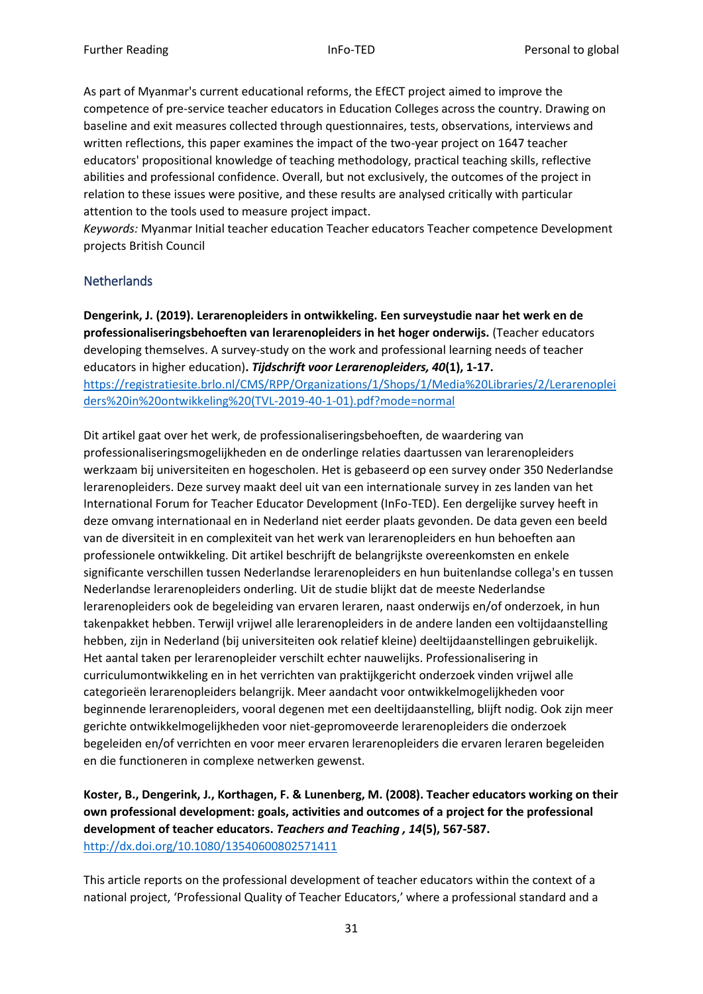As part of Myanmar's current educational reforms, the EfECT project aimed to improve the competence of pre-service teacher educators in Education Colleges across the country. Drawing on baseline and exit measures collected through questionnaires, tests, observations, interviews and written reflections, this paper examines the impact of the two-year project on 1647 teacher educators' propositional knowledge of teaching methodology, practical teaching skills, reflective abilities and professional confidence. Overall, but not exclusively, the outcomes of the project in relation to these issues were positive, and these results are analysed critically with particular attention to the tools used to measure project impact.

*Keywords:* Myanmar Initial teacher education Teacher educators Teacher competence Development projects British Council

#### <span id="page-30-0"></span>**Netherlands**

**Dengerink, J. (2019). Lerarenopleiders in ontwikkeling. Een surveystudie naar het werk en de professionaliseringsbehoeften van lerarenopleiders in het hoger onderwijs.** (Teacher educators developing themselves. A survey-study on the work and professional learning needs of teacher educators in higher education)**.** *Tijdschrift voor Lerarenopleiders, 40***(1), 1-17.** [https://registratiesite.brlo.nl/CMS/RPP/Organizations/1/Shops/1/Media%20Libraries/2/Lerarenoplei](https://registratiesite.brlo.nl/CMS/RPP/Organizations/1/Shops/1/Media%20Libraries/2/Lerarenopleiders%20in%20ontwikkeling%20(TVL-2019-40-1-01).pdf?mode=normal) [ders%20in%20ontwikkeling%20\(TVL-2019-40-1-01\).pdf?mode=normal](https://registratiesite.brlo.nl/CMS/RPP/Organizations/1/Shops/1/Media%20Libraries/2/Lerarenopleiders%20in%20ontwikkeling%20(TVL-2019-40-1-01).pdf?mode=normal)

Dit artikel gaat over het werk, de professionaliseringsbehoeften, de waardering van professionaliseringsmogelijkheden en de onderlinge relaties daartussen van lerarenopleiders werkzaam bij universiteiten en hogescholen. Het is gebaseerd op een survey onder 350 Nederlandse lerarenopleiders. Deze survey maakt deel uit van een internationale survey in zes landen van het International Forum for Teacher Educator Development (InFo-TED). Een dergelijke survey heeft in deze omvang internationaal en in Nederland niet eerder plaats gevonden. De data geven een beeld van de diversiteit in en complexiteit van het werk van lerarenopleiders en hun behoeften aan professionele ontwikkeling. Dit artikel beschrijft de belangrijkste overeenkomsten en enkele significante verschillen tussen Nederlandse lerarenopleiders en hun buitenlandse collega's en tussen Nederlandse lerarenopleiders onderling. Uit de studie blijkt dat de meeste Nederlandse lerarenopleiders ook de begeleiding van ervaren leraren, naast onderwijs en/of onderzoek, in hun takenpakket hebben. Terwijl vrijwel alle lerarenopleiders in de andere landen een voltijdaanstelling hebben, zijn in Nederland (bij universiteiten ook relatief kleine) deeltijdaanstellingen gebruikelijk. Het aantal taken per lerarenopleider verschilt echter nauwelijks. Professionalisering in curriculumontwikkeling en in het verrichten van praktijkgericht onderzoek vinden vrijwel alle categorieën lerarenopleiders belangrijk. Meer aandacht voor ontwikkelmogelijkheden voor beginnende lerarenopleiders, vooral degenen met een deeltijdaanstelling, blijft nodig. Ook zijn meer gerichte ontwikkelmogelijkheden voor niet-gepromoveerde lerarenopleiders die onderzoek begeleiden en/of verrichten en voor meer ervaren lerarenopleiders die ervaren leraren begeleiden en die functioneren in complexe netwerken gewenst.

**Koster, B., Dengerink, J., Korthagen, F. & Lunenberg, M. (2008). Teacher educators working on their own professional development: goals, activities and outcomes of a project for the professional development of teacher educators.** *Teachers and Teaching , 14***(5), 567-587.**  <http://dx.doi.org/10.1080/13540600802571411>

This article reports on the professional development of teacher educators within the context of a national project, 'Professional Quality of Teacher Educators,' where a professional standard and a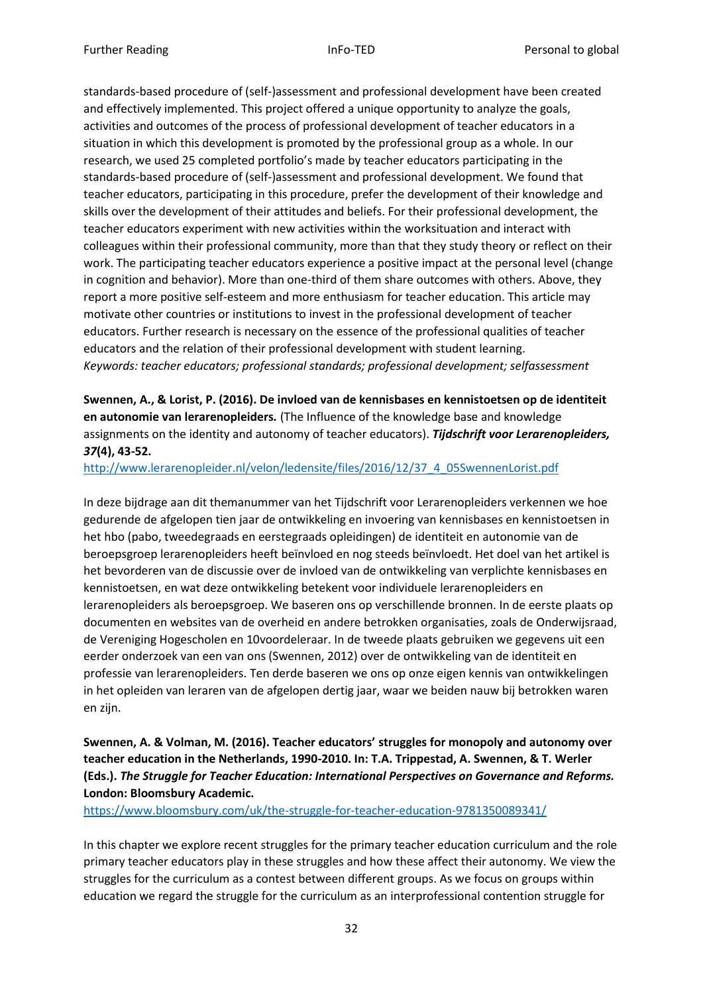standards-based procedure of (self-)assessment and professional development have been created and effectively implemented. This project offered a unique opportunity to analyze the goals, activities and outcomes of the process of professional development of teacher educators in a situation in which this development is promoted by the professional group as a whole. In our research, we used 25 completed portfolio's made by teacher educators participating in the standards-based procedure of (self-)assessment and professional development. We found that teacher educators, participating in this procedure, prefer the development of their knowledge and skills over the development of their attitudes and beliefs. For their professional development, the teacher educators experiment with new activities within the worksituation and interact with colleagues within their professional community, more than that they study theory or reflect on their work. The participating teacher educators experience a positive impact at the personal level (change in cognition and behavior). More than one-third of them share outcomes with others. Above, they report a more positive self-esteem and more enthusiasm for teacher education. This article may motivate other countries or institutions to invest in the professional development of teacher educators. Further research is necessary on the essence of the professional qualities of teacher educators and the relation of their professional development with student learning. *Keywords: teacher educators; professional standards; professional development; selfassessment* 

**Swennen, A., & Lorist, P. (2016). De invloed van de kennisbases en kennistoetsen op de identiteit en autonomie van lerarenopleiders***.* (The Influence of the knowledge base and knowledge assignments on the identity and autonomy of teacher educators). *Tijdschrift voor Lerarenopleiders, 37***(4), 43-52.**

[http://www.lerarenopleider.nl/velon/ledensite/files/2016/12/37\\_4\\_05SwennenLorist.pdf](http://www.lerarenopleider.nl/velon/ledensite/files/2016/12/37_4_05SwennenLorist.pdf)

In deze bijdrage aan dit themanummer van het Tijdschrift voor Lerarenopleiders verkennen we hoe gedurende de afgelopen tien jaar de ontwikkeling en invoering van kennisbases en kennistoetsen in het hbo (pabo, tweedegraads en eerstegraads opleidingen) de identiteit en autonomie van de beroepsgroep lerarenopleiders heeft beïnvloed en nog steeds beïnvloedt. Het doel van het artikel is het bevorderen van de discussie over de invloed van de ontwikkeling van verplichte kennisbases en kennistoetsen, en wat deze ontwikkeling betekent voor individuele lerarenopleiders en lerarenopleiders als beroepsgroep. We baseren ons op verschillende bronnen. In de eerste plaats op documenten en websites van de overheid en andere betrokken organisaties, zoals de Onderwijsraad, de Vereniging Hogescholen en 10voordeleraar. In de tweede plaats gebruiken we gegevens uit een eerder onderzoek van een van ons (Swennen, 2012) over de ontwikkeling van de identiteit en professie van lerarenopleiders. Ten derde baseren we ons op onze eigen kennis van ontwikkelingen in het opleiden van leraren van de afgelopen dertig jaar, waar we beiden nauw bij betrokken waren en zijn.

**Swennen, A. & Volman, M. (2016). Teacher educators' struggles for monopoly and autonomy over teacher education in the Netherlands, 1990-2010. In: T.A. Trippestad, A. Swennen, & T. Werler (Eds.).** *The Struggle for Teacher Education: International Perspectives on Governance and Reforms.*  **London: Bloomsbury Academic.** 

<https://www.bloomsbury.com/uk/the-struggle-for-teacher-education-9781350089341/>

In this chapter we explore recent struggles for the primary teacher education curriculum and the role primary teacher educators play in these struggles and how these affect their autonomy. We view the struggles for the curriculum as a contest between different groups. As we focus on groups within education we regard the struggle for the curriculum as an interprofessional contention struggle for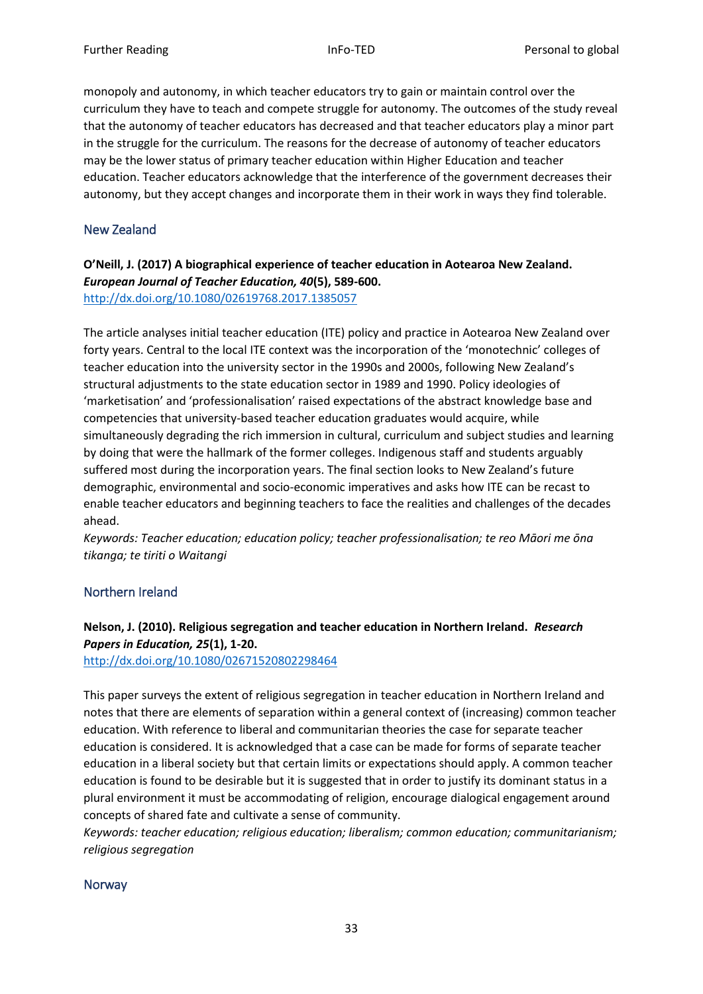monopoly and autonomy, in which teacher educators try to gain or maintain control over the curriculum they have to teach and compete struggle for autonomy. The outcomes of the study reveal that the autonomy of teacher educators has decreased and that teacher educators play a minor part in the struggle for the curriculum. The reasons for the decrease of autonomy of teacher educators may be the lower status of primary teacher education within Higher Education and teacher education. Teacher educators acknowledge that the interference of the government decreases their autonomy, but they accept changes and incorporate them in their work in ways they find tolerable.

#### <span id="page-32-0"></span>New Zealand

**O'Neill, J. (2017) A biographical experience of teacher education in Aotearoa New Zealand.**  *European Journal of Teacher Education, 40***(5), 589-600.**  <http://dx.doi.org/10.1080/02619768.2017.1385057>

The article analyses initial teacher education (ITE) policy and practice in Aotearoa New Zealand over forty years. Central to the local ITE context was the incorporation of the 'monotechnic' colleges of teacher education into the university sector in the 1990s and 2000s, following New Zealand's structural adjustments to the state education sector in 1989 and 1990. Policy ideologies of 'marketisation' and 'professionalisation' raised expectations of the abstract knowledge base and competencies that university-based teacher education graduates would acquire, while simultaneously degrading the rich immersion in cultural, curriculum and subject studies and learning by doing that were the hallmark of the former colleges. Indigenous staff and students arguably suffered most during the incorporation years. The final section looks to New Zealand's future demographic, environmental and socio-economic imperatives and asks how ITE can be recast to enable teacher educators and beginning teachers to face the realities and challenges of the decades ahead.

*Keywords: Teacher education; education policy; teacher professionalisation; te reo Māori me ōna tikanga; te tiriti o Waitangi* 

#### <span id="page-32-1"></span>Northern Ireland

## **Nelson, J. (2010). Religious segregation and teacher education in Northern Ireland.** *Research Papers in Education, 25***(1), 1-20.**

<http://dx.doi.org/10.1080/02671520802298464>

This paper surveys the extent of religious segregation in teacher education in Northern Ireland and notes that there are elements of separation within a general context of (increasing) common teacher education. With reference to liberal and communitarian theories the case for separate teacher education is considered. It is acknowledged that a case can be made for forms of separate teacher education in a liberal society but that certain limits or expectations should apply. A common teacher education is found to be desirable but it is suggested that in order to justify its dominant status in a plural environment it must be accommodating of religion, encourage dialogical engagement around concepts of shared fate and cultivate a sense of community.

*Keywords: teacher education; religious education; liberalism; common education; communitarianism; religious segregation*

#### <span id="page-32-2"></span>**Norway**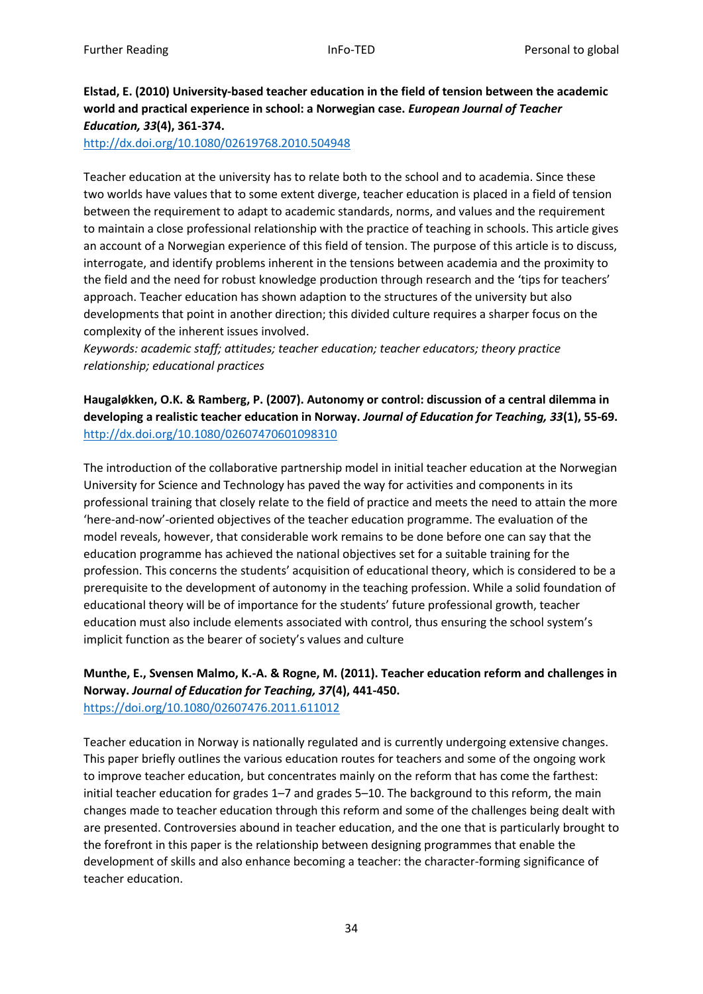### **Elstad, E. (2010) University‐based teacher education in the field of tension between the academic world and practical experience in school: a Norwegian case.** *European Journal of Teacher Education, 33***(4), 361-374.**

<http://dx.doi.org/10.1080/02619768.2010.504948>

Teacher education at the university has to relate both to the school and to academia. Since these two worlds have values that to some extent diverge, teacher education is placed in a field of tension between the requirement to adapt to academic standards, norms, and values and the requirement to maintain a close professional relationship with the practice of teaching in schools. This article gives an account of a Norwegian experience of this field of tension. The purpose of this article is to discuss, interrogate, and identify problems inherent in the tensions between academia and the proximity to the field and the need for robust knowledge production through research and the 'tips for teachers' approach. Teacher education has shown adaption to the structures of the university but also developments that point in another direction; this divided culture requires a sharper focus on the complexity of the inherent issues involved.

*Keywords: academic staff; attitudes; teacher education; teacher educators; theory practice relationship; educational practices*

**Haugaløkken, O.K. & Ramberg, P. (2007). Autonomy or control: discussion of a central dilemma in developing a realistic teacher education in Norway.** *Journal of Education for Teaching, 33***(1), 55-69.**  <http://dx.doi.org/10.1080/02607470601098310>

The introduction of the collaborative partnership model in initial teacher education at the Norwegian University for Science and Technology has paved the way for activities and components in its professional training that closely relate to the field of practice and meets the need to attain the more 'here-and-now'-oriented objectives of the teacher education programme. The evaluation of the model reveals, however, that considerable work remains to be done before one can say that the education programme has achieved the national objectives set for a suitable training for the profession. This concerns the students' acquisition of educational theory, which is considered to be a prerequisite to the development of autonomy in the teaching profession. While a solid foundation of educational theory will be of importance for the students' future professional growth, teacher education must also include elements associated with control, thus ensuring the school system's implicit function as the bearer of society's values and culture

**Munthe, E., Svensen Malmo, K.-A. & Rogne, M. (2011). Teacher education reform and challenges in Norway.** *Journal of Education for Teaching, 37***(4), 441-450.** <https://doi.org/10.1080/02607476.2011.611012>

Teacher education in Norway is nationally regulated and is currently undergoing extensive changes. This paper briefly outlines the various education routes for teachers and some of the ongoing work to improve teacher education, but concentrates mainly on the reform that has come the farthest: initial teacher education for grades 1–7 and grades 5–10. The background to this reform, the main changes made to teacher education through this reform and some of the challenges being dealt with are presented. Controversies abound in teacher education, and the one that is particularly brought to the forefront in this paper is the relationship between designing programmes that enable the development of skills and also enhance becoming a teacher: the character-forming significance of teacher education.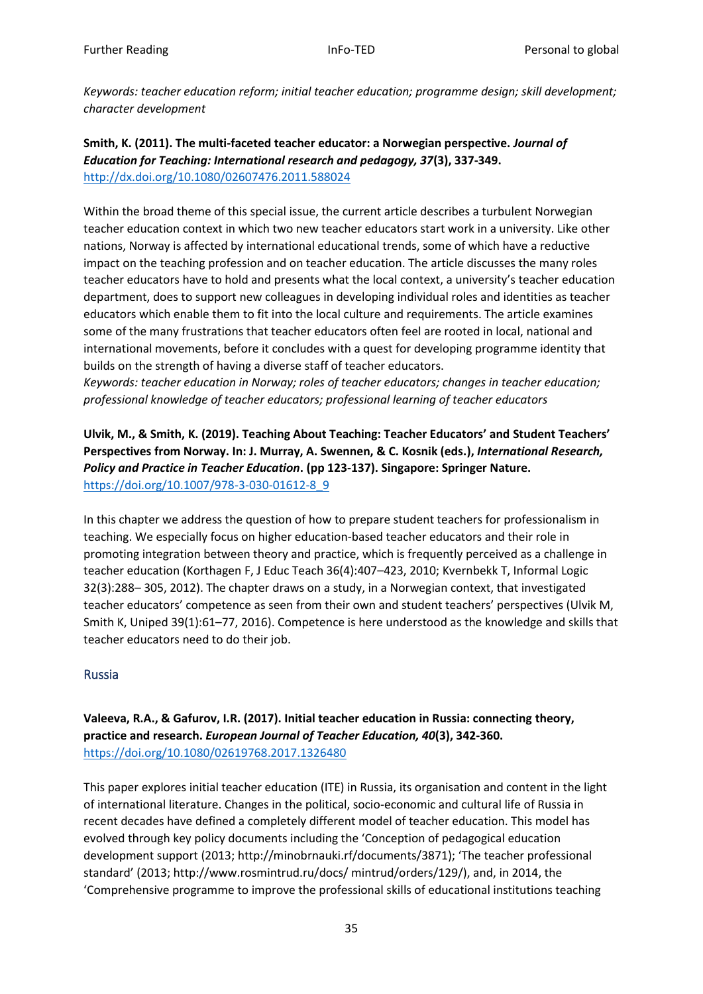*Keywords: teacher education reform; initial teacher education; programme design; skill development; character development* 

**Smith, K. (2011). The multi-faceted teacher educator: a Norwegian perspective.** *Journal of Education for Teaching: International research and pedagogy, 37***(3), 337-349.**  <http://dx.doi.org/10.1080/02607476.2011.588024>

Within the broad theme of this special issue, the current article describes a turbulent Norwegian teacher education context in which two new teacher educators start work in a university. Like other nations, Norway is affected by international educational trends, some of which have a reductive impact on the teaching profession and on teacher education. The article discusses the many roles teacher educators have to hold and presents what the local context, a university's teacher education department, does to support new colleagues in developing individual roles and identities as teacher educators which enable them to fit into the local culture and requirements. The article examines some of the many frustrations that teacher educators often feel are rooted in local, national and international movements, before it concludes with a quest for developing programme identity that builds on the strength of having a diverse staff of teacher educators.

*Keywords: teacher education in Norway; roles of teacher educators; changes in teacher education; professional knowledge of teacher educators; professional learning of teacher educators* 

**Ulvik, M., & Smith, K. (2019). Teaching About Teaching: Teacher Educators' and Student Teachers' Perspectives from Norway. In: J. Murray, A. Swennen, & C. Kosnik (eds.),** *International Research, Policy and Practice in Teacher Education***. (pp 123-137). Singapore: Springer Nature.**  [https://doi.org/10.1007/978-3-030-01612-8\\_9](https://doi.org/10.1007/978-3-030-01612-8_9)

In this chapter we address the question of how to prepare student teachers for professionalism in teaching. We especially focus on higher education-based teacher educators and their role in promoting integration between theory and practice, which is frequently perceived as a challenge in teacher education (Korthagen F, J Educ Teach 36(4):407–423, 2010; Kvernbekk T, Informal Logic 32(3):288– 305, 2012). The chapter draws on a study, in a Norwegian context, that investigated teacher educators' competence as seen from their own and student teachers' perspectives (Ulvik M, Smith K, Uniped 39(1):61–77, 2016). Competence is here understood as the knowledge and skills that teacher educators need to do their job.

### <span id="page-34-0"></span>Russia

**Valeeva, R.A., & Gafurov, I.R. (2017). Initial teacher education in Russia: connecting theory, practice and research.** *European Journal of Teacher Education, 40***(3), 342-360.**  <https://doi.org/10.1080/02619768.2017.1326480>

This paper explores initial teacher education (ITE) in Russia, its organisation and content in the light of international literature. Changes in the political, socio-economic and cultural life of Russia in recent decades have defined a completely different model of teacher education. This model has evolved through key policy documents including the 'Conception of pedagogical education development support (2013; http://minobrnauki.rf/documents/3871); 'The teacher professional standard' (2013; http://www.rosmintrud.ru/docs/ mintrud/orders/129/), and, in 2014, the 'Comprehensive programme to improve the professional skills of educational institutions teaching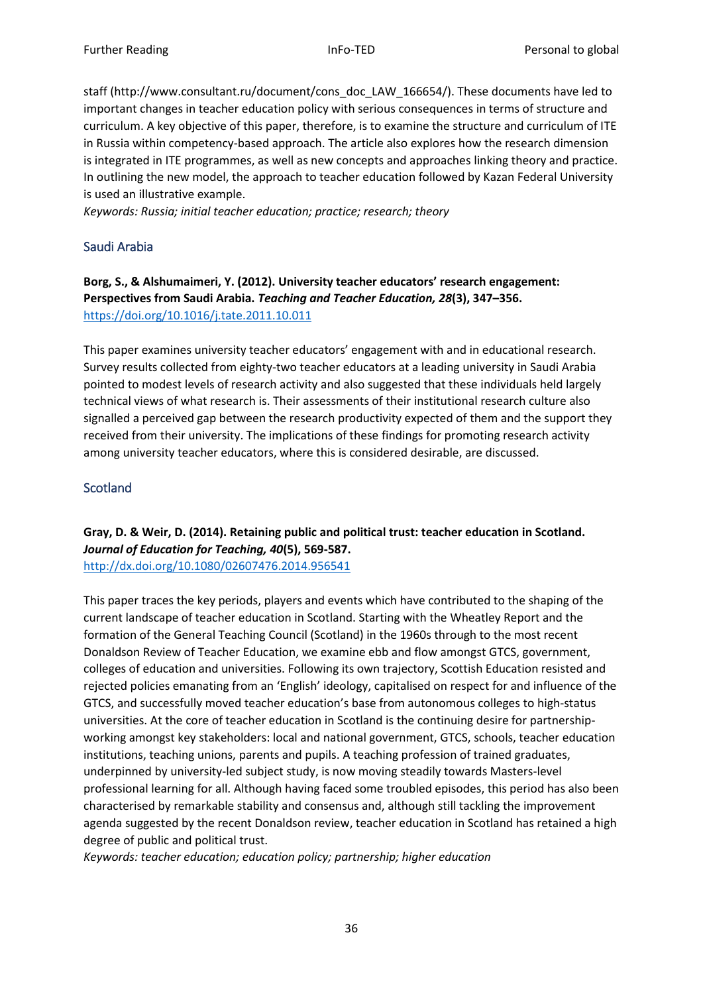staff (http://www.consultant.ru/document/cons\_doc\_LAW\_166654/). These documents have led to important changes in teacher education policy with serious consequences in terms of structure and curriculum. A key objective of this paper, therefore, is to examine the structure and curriculum of ITE in Russia within competency-based approach. The article also explores how the research dimension is integrated in ITE programmes, as well as new concepts and approaches linking theory and practice. In outlining the new model, the approach to teacher education followed by Kazan Federal University is used an illustrative example.

*Keywords: Russia; initial teacher education; practice; research; theory*

### <span id="page-35-0"></span>Saudi Arabia

**Borg, S., & Alshumaimeri, Y. (2012). University teacher educators' research engagement: Perspectives from Saudi Arabia.** *Teaching and Teacher Education, 28***(3), 347–356.**  <https://doi.org/10.1016/j.tate.2011.10.011>

This paper examines university teacher educators' engagement with and in educational research. Survey results collected from eighty-two teacher educators at a leading university in Saudi Arabia pointed to modest levels of research activity and also suggested that these individuals held largely technical views of what research is. Their assessments of their institutional research culture also signalled a perceived gap between the research productivity expected of them and the support they received from their university. The implications of these findings for promoting research activity among university teacher educators, where this is considered desirable, are discussed.

### <span id="page-35-1"></span>Scotland

### **Gray, D. & Weir, D. (2014). Retaining public and political trust: teacher education in Scotland.**  *Journal of Education for Teaching, 40***(5), 569-587.**

<http://dx.doi.org/10.1080/02607476.2014.956541>

This paper traces the key periods, players and events which have contributed to the shaping of the current landscape of teacher education in Scotland. Starting with the Wheatley Report and the formation of the General Teaching Council (Scotland) in the 1960s through to the most recent Donaldson Review of Teacher Education, we examine ebb and flow amongst GTCS, government, colleges of education and universities. Following its own trajectory, Scottish Education resisted and rejected policies emanating from an 'English' ideology, capitalised on respect for and influence of the GTCS, and successfully moved teacher education's base from autonomous colleges to high-status universities. At the core of teacher education in Scotland is the continuing desire for partnershipworking amongst key stakeholders: local and national government, GTCS, schools, teacher education institutions, teaching unions, parents and pupils. A teaching profession of trained graduates, underpinned by university-led subject study, is now moving steadily towards Masters-level professional learning for all. Although having faced some troubled episodes, this period has also been characterised by remarkable stability and consensus and, although still tackling the improvement agenda suggested by the recent Donaldson review, teacher education in Scotland has retained a high degree of public and political trust.

*Keywords: teacher education; education policy; partnership; higher education*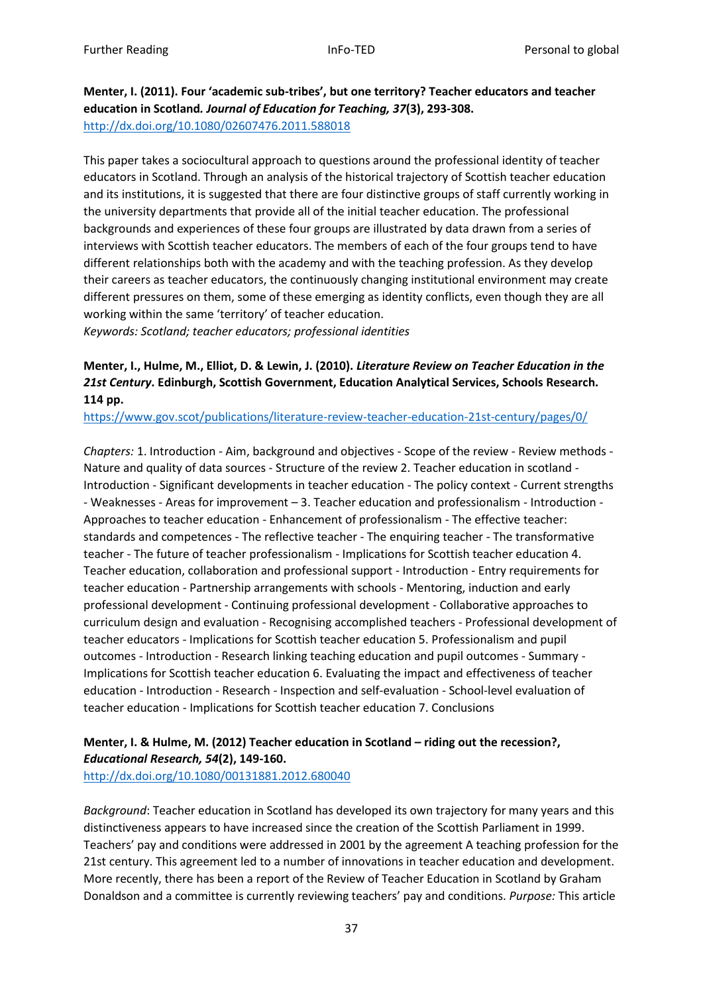### **Menter, I. (2011). Four 'academic sub-tribes', but one territory? Teacher educators and teacher education in Scotland***. Journal of Education for Teaching, 37***(3), 293-308.**  <http://dx.doi.org/10.1080/02607476.2011.588018>

This paper takes a sociocultural approach to questions around the professional identity of teacher educators in Scotland. Through an analysis of the historical trajectory of Scottish teacher education and its institutions, it is suggested that there are four distinctive groups of staff currently working in the university departments that provide all of the initial teacher education. The professional backgrounds and experiences of these four groups are illustrated by data drawn from a series of interviews with Scottish teacher educators. The members of each of the four groups tend to have different relationships both with the academy and with the teaching profession. As they develop their careers as teacher educators, the continuously changing institutional environment may create different pressures on them, some of these emerging as identity conflicts, even though they are all working within the same 'territory' of teacher education.

*Keywords: Scotland; teacher educators; professional identities*

### **Menter, I., Hulme, M., Elliot, D. & Lewin, J. (2010).** *Literature Review on Teacher Education in the 21st Century***. Edinburgh, Scottish Government, Education Analytical Services, Schools Research. 114 pp.**

<https://www.gov.scot/publications/literature-review-teacher-education-21st-century/pages/0/>

*Chapters:* 1. Introduction - Aim, background and objectives - Scope of the review - Review methods - Nature and quality of data sources - Structure of the review 2. Teacher education in scotland - Introduction - Significant developments in teacher education - The policy context - Current strengths - Weaknesses - Areas for improvement – 3. Teacher education and professionalism - Introduction - Approaches to teacher education - Enhancement of professionalism - The effective teacher: standards and competences - The reflective teacher - The enquiring teacher - The transformative teacher - The future of teacher professionalism - Implications for Scottish teacher education 4. Teacher education, collaboration and professional support - Introduction - Entry requirements for teacher education - Partnership arrangements with schools - Mentoring, induction and early professional development - Continuing professional development - Collaborative approaches to curriculum design and evaluation - Recognising accomplished teachers - Professional development of teacher educators - Implications for Scottish teacher education 5. Professionalism and pupil outcomes - Introduction - Research linking teaching education and pupil outcomes - Summary - Implications for Scottish teacher education 6. Evaluating the impact and effectiveness of teacher education - Introduction - Research - Inspection and self-evaluation - School-level evaluation of teacher education - Implications for Scottish teacher education 7. Conclusions

### **Menter, I. & Hulme, M. (2012) Teacher education in Scotland – riding out the recession?,**  *Educational Research, 54***(2), 149-160.**

<http://dx.doi.org/10.1080/00131881.2012.680040>

*Background*: Teacher education in Scotland has developed its own trajectory for many years and this distinctiveness appears to have increased since the creation of the Scottish Parliament in 1999. Teachers' pay and conditions were addressed in 2001 by the agreement A teaching profession for the 21st century. This agreement led to a number of innovations in teacher education and development. More recently, there has been a report of the Review of Teacher Education in Scotland by Graham Donaldson and a committee is currently reviewing teachers' pay and conditions. *Purpose:* This article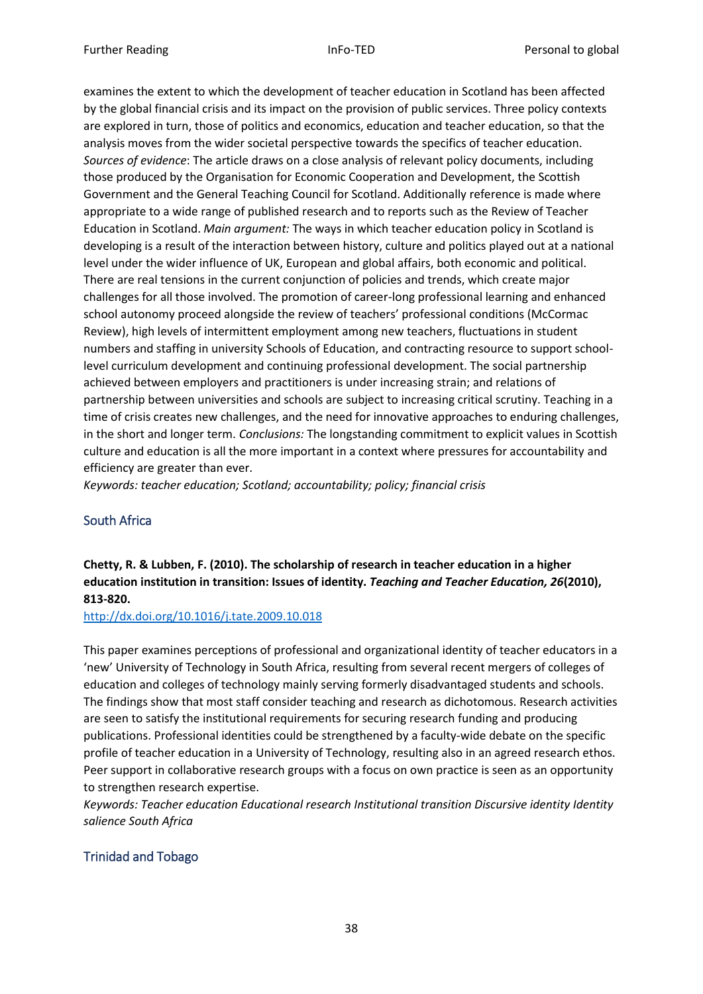examines the extent to which the development of teacher education in Scotland has been affected by the global financial crisis and its impact on the provision of public services. Three policy contexts are explored in turn, those of politics and economics, education and teacher education, so that the analysis moves from the wider societal perspective towards the specifics of teacher education. *Sources of evidence*: The article draws on a close analysis of relevant policy documents, including those produced by the Organisation for Economic Cooperation and Development, the Scottish Government and the General Teaching Council for Scotland. Additionally reference is made where appropriate to a wide range of published research and to reports such as the Review of Teacher Education in Scotland. *Main argument:* The ways in which teacher education policy in Scotland is developing is a result of the interaction between history, culture and politics played out at a national level under the wider influence of UK, European and global affairs, both economic and political. There are real tensions in the current conjunction of policies and trends, which create major challenges for all those involved. The promotion of career-long professional learning and enhanced school autonomy proceed alongside the review of teachers' professional conditions (McCormac Review), high levels of intermittent employment among new teachers, fluctuations in student numbers and staffing in university Schools of Education, and contracting resource to support schoollevel curriculum development and continuing professional development. The social partnership achieved between employers and practitioners is under increasing strain; and relations of partnership between universities and schools are subject to increasing critical scrutiny. Teaching in a time of crisis creates new challenges, and the need for innovative approaches to enduring challenges, in the short and longer term. *Conclusions:* The longstanding commitment to explicit values in Scottish culture and education is all the more important in a context where pressures for accountability and efficiency are greater than ever.

*Keywords: teacher education; Scotland; accountability; policy; financial crisis* 

### <span id="page-37-0"></span>South Africa

### **Chetty, R. & Lubben, F. (2010). The scholarship of research in teacher education in a higher education institution in transition: Issues of identity.** *Teaching and Teacher Education, 26***(2010), 813-820.**

#### <http://dx.doi.org/10.1016/j.tate.2009.10.018>

This paper examines perceptions of professional and organizational identity of teacher educators in a 'new' University of Technology in South Africa, resulting from several recent mergers of colleges of education and colleges of technology mainly serving formerly disadvantaged students and schools. The findings show that most staff consider teaching and research as dichotomous. Research activities are seen to satisfy the institutional requirements for securing research funding and producing publications. Professional identities could be strengthened by a faculty-wide debate on the specific profile of teacher education in a University of Technology, resulting also in an agreed research ethos. Peer support in collaborative research groups with a focus on own practice is seen as an opportunity to strengthen research expertise.

*Keywords: Teacher education Educational research Institutional transition Discursive identity Identity salience South Africa* 

### <span id="page-37-1"></span>Trinidad and Tobago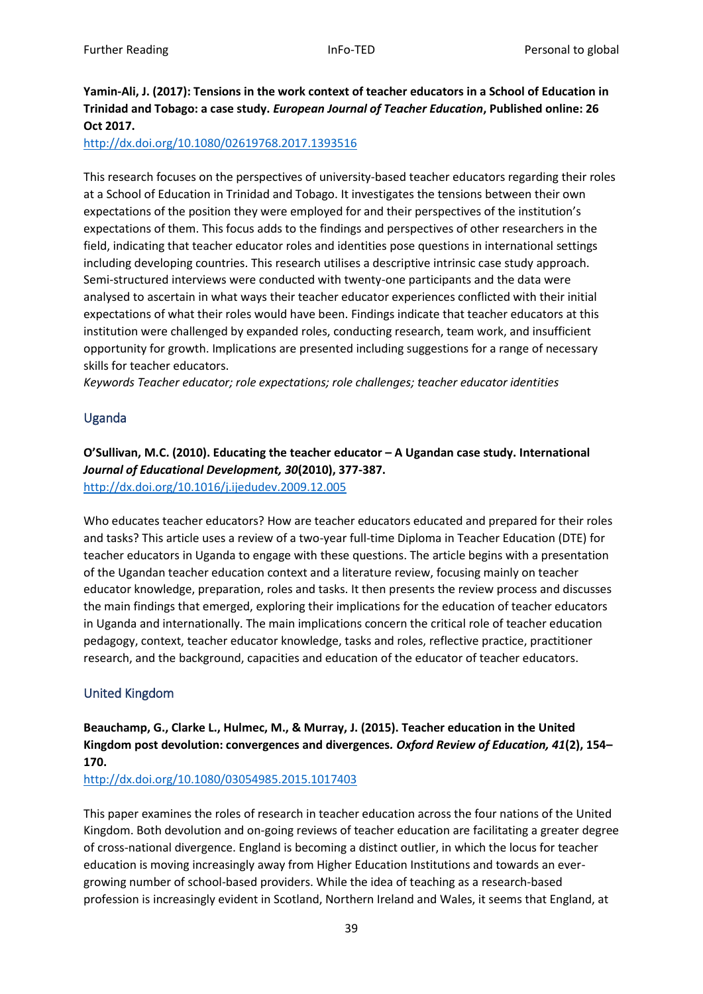### **Yamin-Ali, J. (2017): Tensions in the work context of teacher educators in a School of Education in Trinidad and Tobago: a case study.** *European Journal of Teacher Education***, Published online: 26 Oct 2017.**

<http://dx.doi.org/10.1080/02619768.2017.1393516>

This research focuses on the perspectives of university-based teacher educators regarding their roles at a School of Education in Trinidad and Tobago. It investigates the tensions between their own expectations of the position they were employed for and their perspectives of the institution's expectations of them. This focus adds to the findings and perspectives of other researchers in the field, indicating that teacher educator roles and identities pose questions in international settings including developing countries. This research utilises a descriptive intrinsic case study approach. Semi-structured interviews were conducted with twenty-one participants and the data were analysed to ascertain in what ways their teacher educator experiences conflicted with their initial expectations of what their roles would have been. Findings indicate that teacher educators at this institution were challenged by expanded roles, conducting research, team work, and insufficient opportunity for growth. Implications are presented including suggestions for a range of necessary skills for teacher educators.

*Keywords Teacher educator; role expectations; role challenges; teacher educator identities* 

#### <span id="page-38-0"></span>Uganda

**O'Sullivan, M.C. (2010). Educating the teacher educator – A Ugandan case study. International**  *Journal of Educational Development, 30***(2010), 377-387.**  <http://dx.doi.org/10.1016/j.ijedudev.2009.12.005>

Who educates teacher educators? How are teacher educators educated and prepared for their roles and tasks? This article uses a review of a two-year full-time Diploma in Teacher Education (DTE) for teacher educators in Uganda to engage with these questions. The article begins with a presentation of the Ugandan teacher education context and a literature review, focusing mainly on teacher educator knowledge, preparation, roles and tasks. It then presents the review process and discusses the main findings that emerged, exploring their implications for the education of teacher educators in Uganda and internationally. The main implications concern the critical role of teacher education pedagogy, context, teacher educator knowledge, tasks and roles, reflective practice, practitioner research, and the background, capacities and education of the educator of teacher educators.

#### <span id="page-38-1"></span>United Kingdom

**Beauchamp, G., Clarke L., Hulmec, M., & Murray, J. (2015). Teacher education in the United Kingdom post devolution: convergences and divergences***. Oxford Review of Education, 41***(2), 154– 170.** 

<http://dx.doi.org/10.1080/03054985.2015.1017403>

This paper examines the roles of research in teacher education across the four nations of the United Kingdom. Both devolution and on-going reviews of teacher education are facilitating a greater degree of cross-national divergence. England is becoming a distinct outlier, in which the locus for teacher education is moving increasingly away from Higher Education Institutions and towards an evergrowing number of school-based providers. While the idea of teaching as a research-based profession is increasingly evident in Scotland, Northern Ireland and Wales, it seems that England, at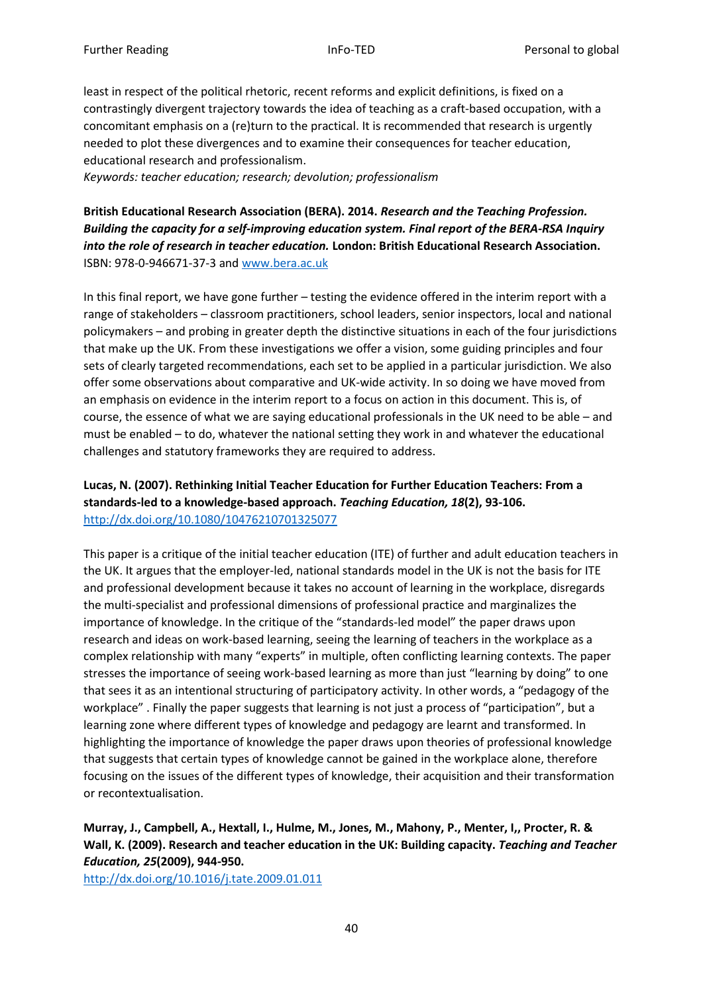least in respect of the political rhetoric, recent reforms and explicit definitions, is fixed on a contrastingly divergent trajectory towards the idea of teaching as a craft-based occupation, with a concomitant emphasis on a (re)turn to the practical. It is recommended that research is urgently needed to plot these divergences and to examine their consequences for teacher education, educational research and professionalism.

*Keywords: teacher education; research; devolution; professionalism* 

**British Educational Research Association (BERA). 2014.** *Research and the Teaching Profession. Building the capacity for a self-improving education system. Final report of the BERA-RSA Inquiry into the role of research in teacher education.* **London: British Educational Research Association.**  ISBN: 978-0-946671-37-3 and [www.bera.ac.uk](http://www.bera.ac.uk/)

In this final report, we have gone further – testing the evidence offered in the interim report with a range of stakeholders – classroom practitioners, school leaders, senior inspectors, local and national policymakers – and probing in greater depth the distinctive situations in each of the four jurisdictions that make up the UK. From these investigations we offer a vision, some guiding principles and four sets of clearly targeted recommendations, each set to be applied in a particular jurisdiction. We also offer some observations about comparative and UK-wide activity. In so doing we have moved from an emphasis on evidence in the interim report to a focus on action in this document. This is, of course, the essence of what we are saying educational professionals in the UK need to be able – and must be enabled – to do, whatever the national setting they work in and whatever the educational challenges and statutory frameworks they are required to address.

### **Lucas, N. (2007). Rethinking Initial Teacher Education for Further Education Teachers: From a standards-led to a knowledge-based approach.** *Teaching Education, 18***(2), 93-106.**  <http://dx.doi.org/10.1080/10476210701325077>

This paper is a critique of the initial teacher education (ITE) of further and adult education teachers in the UK. It argues that the employer-led, national standards model in the UK is not the basis for ITE and professional development because it takes no account of learning in the workplace, disregards the multi-specialist and professional dimensions of professional practice and marginalizes the importance of knowledge. In the critique of the "standards-led model" the paper draws upon research and ideas on work-based learning, seeing the learning of teachers in the workplace as a complex relationship with many "experts" in multiple, often conflicting learning contexts. The paper stresses the importance of seeing work-based learning as more than just "learning by doing" to one that sees it as an intentional structuring of participatory activity. In other words, a "pedagogy of the workplace" . Finally the paper suggests that learning is not just a process of "participation", but a learning zone where different types of knowledge and pedagogy are learnt and transformed. In highlighting the importance of knowledge the paper draws upon theories of professional knowledge that suggests that certain types of knowledge cannot be gained in the workplace alone, therefore focusing on the issues of the different types of knowledge, their acquisition and their transformation or recontextualisation.

**Murray, J., Campbell, A., Hextall, I., Hulme, M., Jones, M., Mahony, P., Menter, I,, Procter, R. & Wall, K. (2009). Research and teacher education in the UK: Building capacity.** *Teaching and Teacher Education, 25***(2009), 944-950.** 

<http://dx.doi.org/10.1016/j.tate.2009.01.011>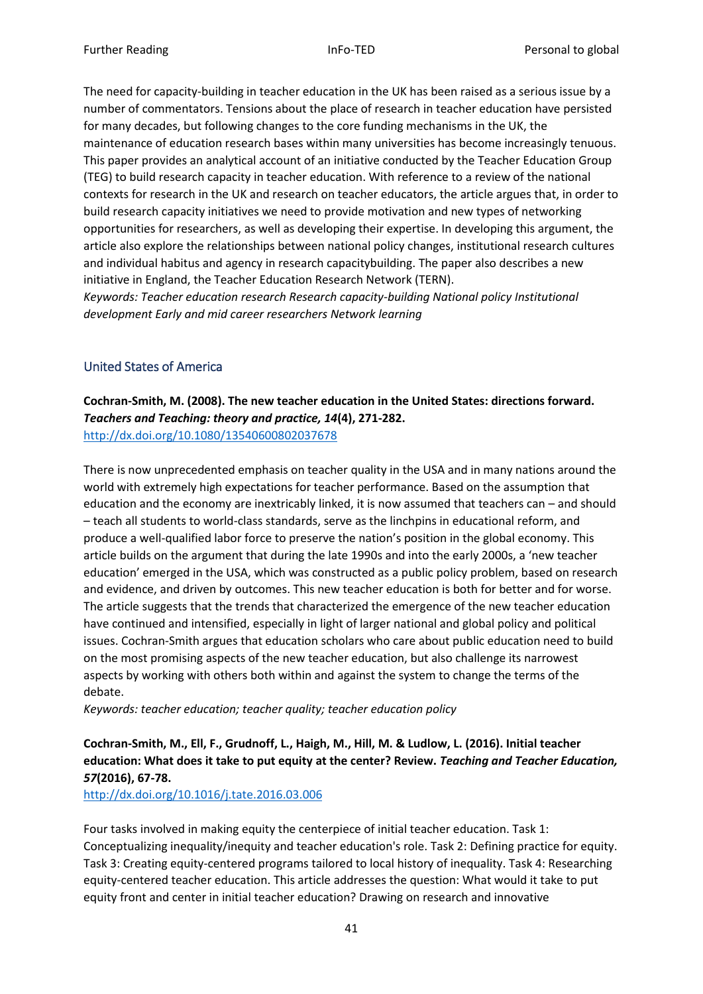The need for capacity-building in teacher education in the UK has been raised as a serious issue by a number of commentators. Tensions about the place of research in teacher education have persisted for many decades, but following changes to the core funding mechanisms in the UK, the maintenance of education research bases within many universities has become increasingly tenuous. This paper provides an analytical account of an initiative conducted by the Teacher Education Group (TEG) to build research capacity in teacher education. With reference to a review of the national contexts for research in the UK and research on teacher educators, the article argues that, in order to build research capacity initiatives we need to provide motivation and new types of networking opportunities for researchers, as well as developing their expertise. In developing this argument, the article also explore the relationships between national policy changes, institutional research cultures and individual habitus and agency in research capacitybuilding. The paper also describes a new initiative in England, the Teacher Education Research Network (TERN). *Keywords: Teacher education research Research capacity-building National policy Institutional* 

*development Early and mid career researchers Network learning* 

### <span id="page-40-0"></span>United States of America

**Cochran-Smith, M. (2008). The new teacher education in the United States: directions forward.**  *Teachers and Teaching: theory and practice, 14***(4), 271-282.**  <http://dx.doi.org/10.1080/13540600802037678>

There is now unprecedented emphasis on teacher quality in the USA and in many nations around the world with extremely high expectations for teacher performance. Based on the assumption that education and the economy are inextricably linked, it is now assumed that teachers can – and should – teach all students to world-class standards, serve as the linchpins in educational reform, and produce a well-qualified labor force to preserve the nation's position in the global economy. This article builds on the argument that during the late 1990s and into the early 2000s, a 'new teacher education' emerged in the USA, which was constructed as a public policy problem, based on research and evidence, and driven by outcomes. This new teacher education is both for better and for worse. The article suggests that the trends that characterized the emergence of the new teacher education have continued and intensified, especially in light of larger national and global policy and political issues. Cochran-Smith argues that education scholars who care about public education need to build on the most promising aspects of the new teacher education, but also challenge its narrowest aspects by working with others both within and against the system to change the terms of the debate.

*Keywords: teacher education; teacher quality; teacher education policy* 

### **Cochran-Smith, M., Ell, F., Grudnoff, L., Haigh, M., Hill, M. & Ludlow, L. (2016). Initial teacher education: What does it take to put equity at the center? Review.** *Teaching and Teacher Education, 57***(2016), 67-78.**

<http://dx.doi.org/10.1016/j.tate.2016.03.006>

Four tasks involved in making equity the centerpiece of initial teacher education. Task 1: Conceptualizing inequality/inequity and teacher education's role. Task 2: Defining practice for equity. Task 3: Creating equity-centered programs tailored to local history of inequality. Task 4: Researching equity-centered teacher education. This article addresses the question: What would it take to put equity front and center in initial teacher education? Drawing on research and innovative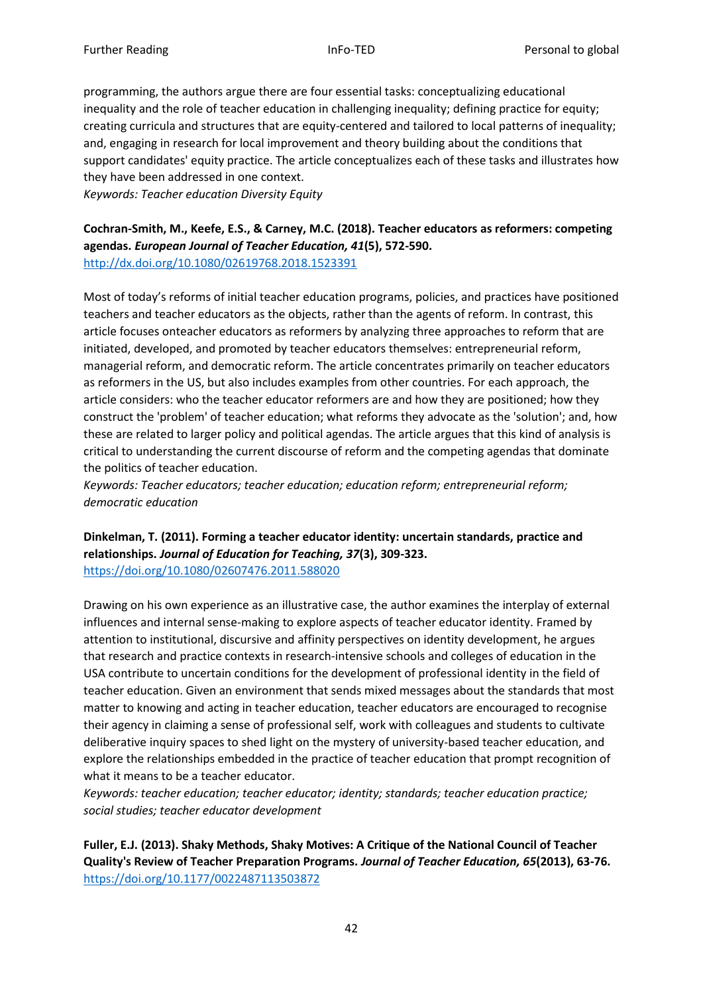programming, the authors argue there are four essential tasks: conceptualizing educational inequality and the role of teacher education in challenging inequality; defining practice for equity; creating curricula and structures that are equity-centered and tailored to local patterns of inequality; and, engaging in research for local improvement and theory building about the conditions that support candidates' equity practice. The article conceptualizes each of these tasks and illustrates how they have been addressed in one context.

*Keywords: Teacher education Diversity Equity* 

**Cochran-Smith, M., Keefe, E.S., & Carney, M.C. (2018). Teacher educators as reformers: competing agendas.** *European Journal of Teacher Education, 41***(5), 572-590.** <http://dx.doi.org/10.1080/02619768.2018.1523391>

Most of today's reforms of initial teacher education programs, policies, and practices have positioned teachers and teacher educators as the objects, rather than the agents of reform. In contrast, this article focuses onteacher educators as reformers by analyzing three approaches to reform that are initiated, developed, and promoted by teacher educators themselves: entrepreneurial reform, managerial reform, and democratic reform. The article concentrates primarily on teacher educators as reformers in the US, but also includes examples from other countries. For each approach, the article considers: who the teacher educator reformers are and how they are positioned; how they construct the 'problem' of teacher education; what reforms they advocate as the 'solution'; and, how these are related to larger policy and political agendas. The article argues that this kind of analysis is critical to understanding the current discourse of reform and the competing agendas that dominate the politics of teacher education.

*Keywords: Teacher educators; teacher education; education reform; entrepreneurial reform; democratic education*

**Dinkelman, T. (2011). Forming a teacher educator identity: uncertain standards, practice and relationships.** *Journal of Education for Teaching, 37***(3), 309-323.** <https://doi.org/10.1080/02607476.2011.588020>

Drawing on his own experience as an illustrative case, the author examines the interplay of external influences and internal sense-making to explore aspects of teacher educator identity. Framed by attention to institutional, discursive and affinity perspectives on identity development, he argues that research and practice contexts in research-intensive schools and colleges of education in the USA contribute to uncertain conditions for the development of professional identity in the field of teacher education. Given an environment that sends mixed messages about the standards that most matter to knowing and acting in teacher education, teacher educators are encouraged to recognise their agency in claiming a sense of professional self, work with colleagues and students to cultivate deliberative inquiry spaces to shed light on the mystery of university-based teacher education, and explore the relationships embedded in the practice of teacher education that prompt recognition of what it means to be a teacher educator.

*Keywords: teacher education; teacher educator; identity; standards; teacher education practice; social studies; teacher educator development* 

**Fuller, E.J. (2013). Shaky Methods, Shaky Motives: A Critique of the National Council of Teacher Quality's Review of Teacher Preparation Programs.** *Journal of Teacher Education, 65***(2013), 63-76.**  <https://doi.org/10.1177/0022487113503872>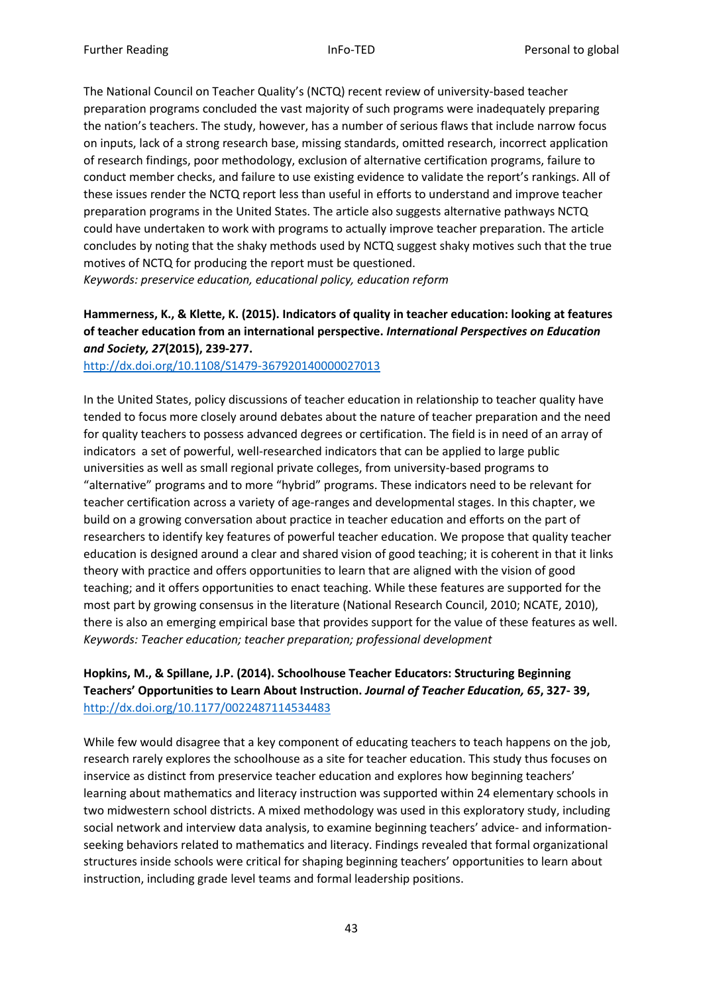The National Council on Teacher Quality's (NCTQ) recent review of university-based teacher preparation programs concluded the vast majority of such programs were inadequately preparing the nation's teachers. The study, however, has a number of serious flaws that include narrow focus on inputs, lack of a strong research base, missing standards, omitted research, incorrect application of research findings, poor methodology, exclusion of alternative certification programs, failure to conduct member checks, and failure to use existing evidence to validate the report's rankings. All of these issues render the NCTQ report less than useful in efforts to understand and improve teacher preparation programs in the United States. The article also suggests alternative pathways NCTQ could have undertaken to work with programs to actually improve teacher preparation. The article concludes by noting that the shaky methods used by NCTQ suggest shaky motives such that the true motives of NCTQ for producing the report must be questioned.

*Keywords: preservice education, educational policy, education reform* 

### **Hammerness, K., & Klette, K. (2015). Indicators of quality in teacher education: looking at features of teacher education from an international perspective.** *International Perspectives on Education and Society, 27***(2015), 239-277.**

#### <http://dx.doi.org/10.1108/S1479-367920140000027013>

In the United States, policy discussions of teacher education in relationship to teacher quality have tended to focus more closely around debates about the nature of teacher preparation and the need for quality teachers to possess advanced degrees or certification. The field is in need of an array of indicators a set of powerful, well-researched indicators that can be applied to large public universities as well as small regional private colleges, from university-based programs to "alternative" programs and to more "hybrid" programs. These indicators need to be relevant for teacher certification across a variety of age-ranges and developmental stages. In this chapter, we build on a growing conversation about practice in teacher education and efforts on the part of researchers to identify key features of powerful teacher education. We propose that quality teacher education is designed around a clear and shared vision of good teaching; it is coherent in that it links theory with practice and offers opportunities to learn that are aligned with the vision of good teaching; and it offers opportunities to enact teaching. While these features are supported for the most part by growing consensus in the literature (National Research Council, 2010; NCATE, 2010), there is also an emerging empirical base that provides support for the value of these features as well. *Keywords: Teacher education; teacher preparation; professional development*

### **Hopkins, M., & Spillane, J.P. (2014). Schoolhouse Teacher Educators: Structuring Beginning Teachers' Opportunities to Learn About Instruction.** *Journal of Teacher Education, 65***, 327- 39,**  <http://dx.doi.org/10.1177/0022487114534483>

While few would disagree that a key component of educating teachers to teach happens on the job, research rarely explores the schoolhouse as a site for teacher education. This study thus focuses on inservice as distinct from preservice teacher education and explores how beginning teachers' learning about mathematics and literacy instruction was supported within 24 elementary schools in two midwestern school districts. A mixed methodology was used in this exploratory study, including social network and interview data analysis, to examine beginning teachers' advice- and informationseeking behaviors related to mathematics and literacy. Findings revealed that formal organizational structures inside schools were critical for shaping beginning teachers' opportunities to learn about instruction, including grade level teams and formal leadership positions.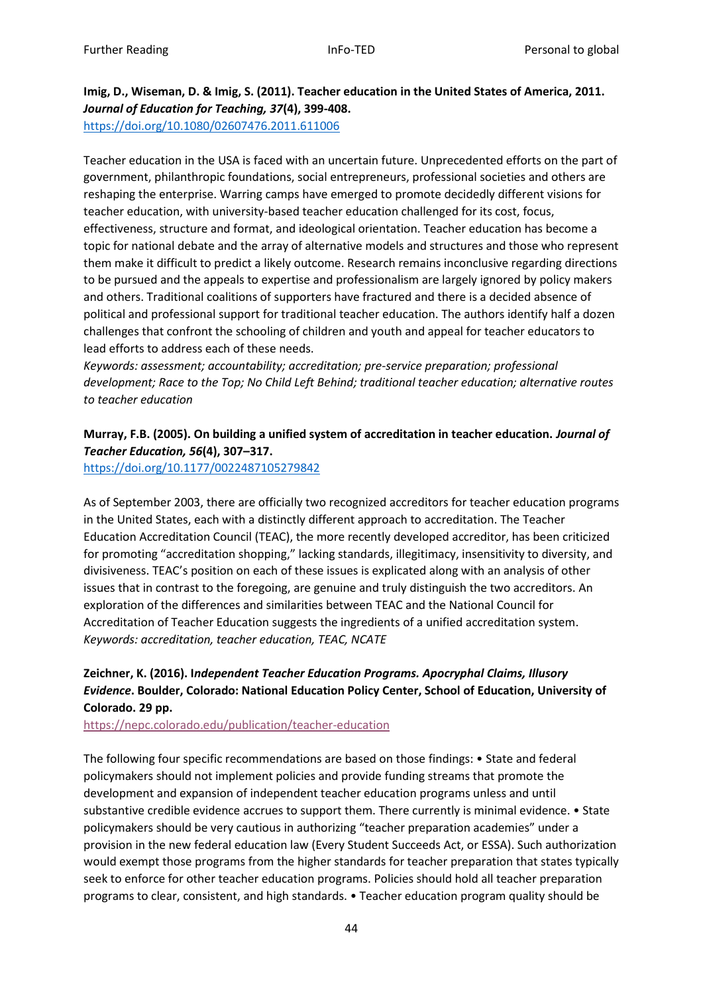#### **Imig, D., Wiseman, D. & Imig, S. (2011). Teacher education in the United States of America, 2011.**  *Journal of Education for Teaching, 37***(4), 399-408.**  <https://doi.org/10.1080/02607476.2011.611006>

Teacher education in the USA is faced with an uncertain future. Unprecedented efforts on the part of government, philanthropic foundations, social entrepreneurs, professional societies and others are reshaping the enterprise. Warring camps have emerged to promote decidedly different visions for teacher education, with university-based teacher education challenged for its cost, focus, effectiveness, structure and format, and ideological orientation. Teacher education has become a topic for national debate and the array of alternative models and structures and those who represent them make it difficult to predict a likely outcome. Research remains inconclusive regarding directions to be pursued and the appeals to expertise and professionalism are largely ignored by policy makers and others. Traditional coalitions of supporters have fractured and there is a decided absence of political and professional support for traditional teacher education. The authors identify half a dozen challenges that confront the schooling of children and youth and appeal for teacher educators to lead efforts to address each of these needs.

*Keywords: assessment; accountability; accreditation; pre-service preparation; professional development; Race to the Top; No Child Left Behind; traditional teacher education; alternative routes to teacher education* 

### **Murray, F.B. (2005). On building a unified system of accreditation in teacher education.** *Journal of Teacher Education, 56***(4), 307–317.**

#### <https://doi.org/10.1177/0022487105279842>

As of September 2003, there are officially two recognized accreditors for teacher education programs in the United States, each with a distinctly different approach to accreditation. The Teacher Education Accreditation Council (TEAC), the more recently developed accreditor, has been criticized for promoting "accreditation shopping," lacking standards, illegitimacy, insensitivity to diversity, and divisiveness. TEAC's position on each of these issues is explicated along with an analysis of other issues that in contrast to the foregoing, are genuine and truly distinguish the two accreditors. An exploration of the differences and similarities between TEAC and the National Council for Accreditation of Teacher Education suggests the ingredients of a unified accreditation system. *Keywords: accreditation, teacher education, TEAC, NCATE* 

### **Zeichner, K. (2016). I***ndependent Teacher Education Programs. Apocryphal Claims, Illusory Evidence***. Boulder, Colorado: National Education Policy Center, School of Education, University of Colorado. 29 pp.**

#### <https://nepc.colorado.edu/publication/teacher-education>

The following four specific recommendations are based on those findings: • State and federal policymakers should not implement policies and provide funding streams that promote the development and expansion of independent teacher education programs unless and until substantive credible evidence accrues to support them. There currently is minimal evidence. • State policymakers should be very cautious in authorizing "teacher preparation academies" under a provision in the new federal education law (Every Student Succeeds Act, or ESSA). Such authorization would exempt those programs from the higher standards for teacher preparation that states typically seek to enforce for other teacher education programs. Policies should hold all teacher preparation programs to clear, consistent, and high standards. • Teacher education program quality should be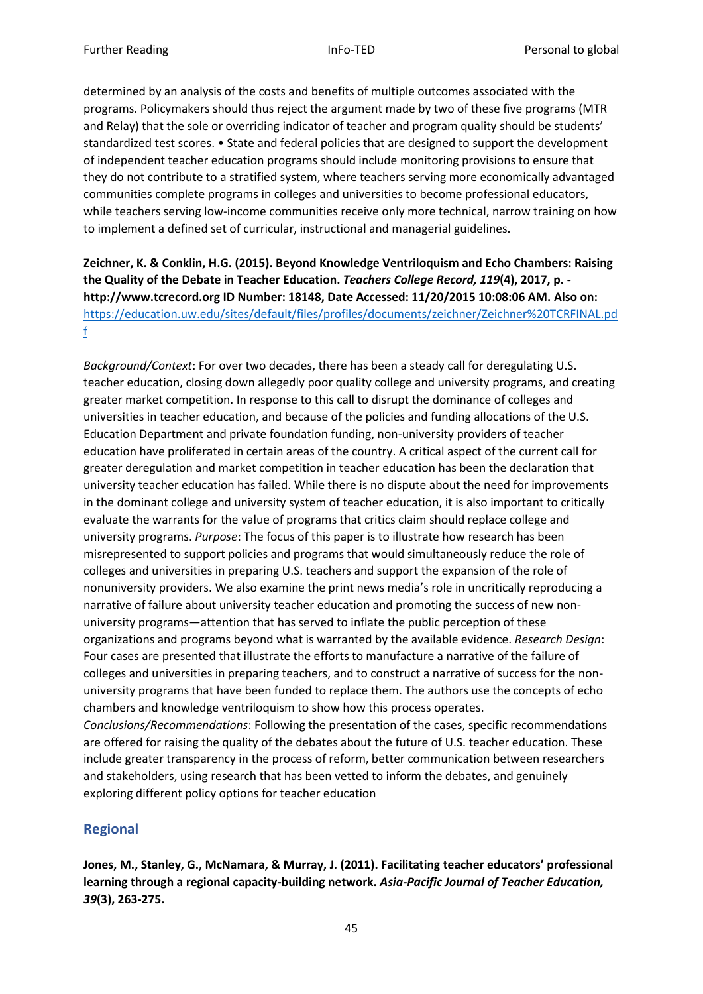determined by an analysis of the costs and benefits of multiple outcomes associated with the programs. Policymakers should thus reject the argument made by two of these five programs (MTR and Relay) that the sole or overriding indicator of teacher and program quality should be students' standardized test scores. • State and federal policies that are designed to support the development of independent teacher education programs should include monitoring provisions to ensure that they do not contribute to a stratified system, where teachers serving more economically advantaged communities complete programs in colleges and universities to become professional educators, while teachers serving low-income communities receive only more technical, narrow training on how to implement a defined set of curricular, instructional and managerial guidelines.

**Zeichner, K. & Conklin, H.G. (2015). Beyond Knowledge Ventriloquism and Echo Chambers: Raising the Quality of the Debate in Teacher Education.** *Teachers College Record, 119***(4), 2017, p. http://www.tcrecord.org ID Number: 18148, Date Accessed: 11/20/2015 10:08:06 AM. Also on:** [https://education.uw.edu/sites/default/files/profiles/documents/zeichner/Zeichner%20TCRFINAL.pd](https://education.uw.edu/sites/default/files/profiles/documents/zeichner/Zeichner%20TCRFINAL.pdf) [f](https://education.uw.edu/sites/default/files/profiles/documents/zeichner/Zeichner%20TCRFINAL.pdf)

*Background/Context*: For over two decades, there has been a steady call for deregulating U.S. teacher education, closing down allegedly poor quality college and university programs, and creating greater market competition. In response to this call to disrupt the dominance of colleges and universities in teacher education, and because of the policies and funding allocations of the U.S. Education Department and private foundation funding, non-university providers of teacher education have proliferated in certain areas of the country. A critical aspect of the current call for greater deregulation and market competition in teacher education has been the declaration that university teacher education has failed. While there is no dispute about the need for improvements in the dominant college and university system of teacher education, it is also important to critically evaluate the warrants for the value of programs that critics claim should replace college and university programs. *Purpose*: The focus of this paper is to illustrate how research has been misrepresented to support policies and programs that would simultaneously reduce the role of colleges and universities in preparing U.S. teachers and support the expansion of the role of nonuniversity providers. We also examine the print news media's role in uncritically reproducing a narrative of failure about university teacher education and promoting the success of new nonuniversity programs—attention that has served to inflate the public perception of these organizations and programs beyond what is warranted by the available evidence. *Research Design*: Four cases are presented that illustrate the efforts to manufacture a narrative of the failure of colleges and universities in preparing teachers, and to construct a narrative of success for the nonuniversity programs that have been funded to replace them. The authors use the concepts of echo chambers and knowledge ventriloquism to show how this process operates.

*Conclusions/Recommendations*: Following the presentation of the cases, specific recommendations are offered for raising the quality of the debates about the future of U.S. teacher education. These include greater transparency in the process of reform, better communication between researchers and stakeholders, using research that has been vetted to inform the debates, and genuinely exploring different policy options for teacher education

### <span id="page-44-0"></span>**Regional**

**Jones, M., Stanley, G., McNamara, & Murray, J. (2011). Facilitating teacher educators' professional learning through a regional capacity-building network.** *Asia-Pacific Journal of Teacher Education, 39***(3), 263-275.**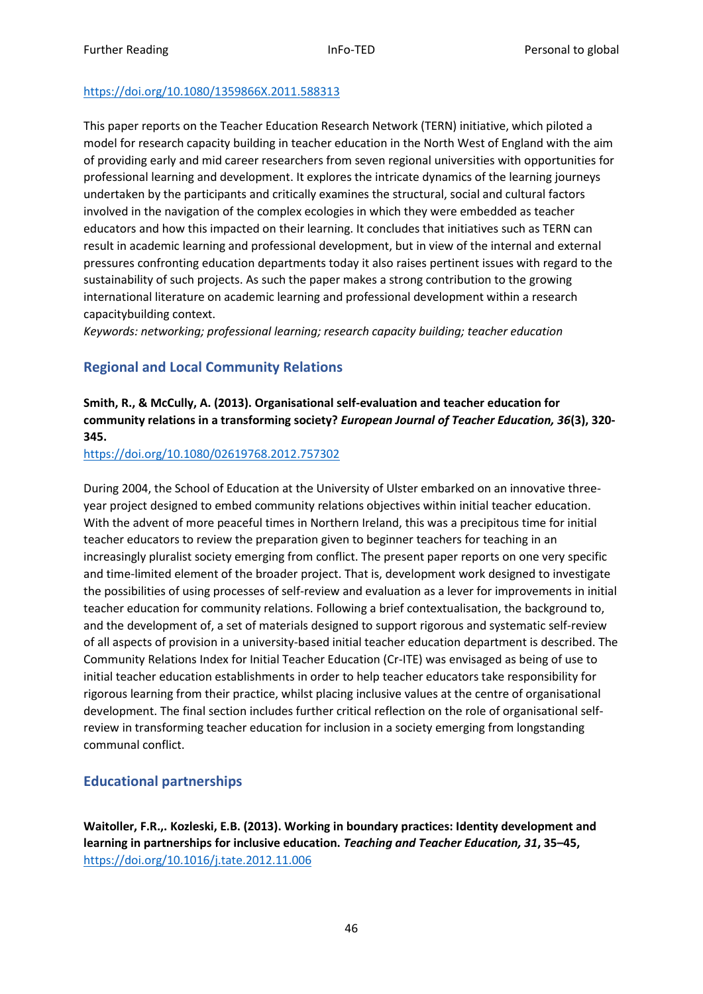#### <https://doi.org/10.1080/1359866X.2011.588313>

This paper reports on the Teacher Education Research Network (TERN) initiative, which piloted a model for research capacity building in teacher education in the North West of England with the aim of providing early and mid career researchers from seven regional universities with opportunities for professional learning and development. It explores the intricate dynamics of the learning journeys undertaken by the participants and critically examines the structural, social and cultural factors involved in the navigation of the complex ecologies in which they were embedded as teacher educators and how this impacted on their learning. It concludes that initiatives such as TERN can result in academic learning and professional development, but in view of the internal and external pressures confronting education departments today it also raises pertinent issues with regard to the sustainability of such projects. As such the paper makes a strong contribution to the growing international literature on academic learning and professional development within a research capacitybuilding context.

*Keywords: networking; professional learning; research capacity building; teacher education* 

### <span id="page-45-0"></span>**Regional and Local Community Relations**

**Smith, R., & McCully, A. (2013). Organisational self-evaluation and teacher education for community relations in a transforming society?** *European Journal of Teacher Education, 36***(3), 320- 345.** 

<https://doi.org/10.1080/02619768.2012.757302>

During 2004, the School of Education at the University of Ulster embarked on an innovative threeyear project designed to embed community relations objectives within initial teacher education. With the advent of more peaceful times in Northern Ireland, this was a precipitous time for initial teacher educators to review the preparation given to beginner teachers for teaching in an increasingly pluralist society emerging from conflict. The present paper reports on one very specific and time-limited element of the broader project. That is, development work designed to investigate the possibilities of using processes of self-review and evaluation as a lever for improvements in initial teacher education for community relations. Following a brief contextualisation, the background to, and the development of, a set of materials designed to support rigorous and systematic self-review of all aspects of provision in a university-based initial teacher education department is described. The Community Relations Index for Initial Teacher Education (Cr-ITE) was envisaged as being of use to initial teacher education establishments in order to help teacher educators take responsibility for rigorous learning from their practice, whilst placing inclusive values at the centre of organisational development. The final section includes further critical reflection on the role of organisational selfreview in transforming teacher education for inclusion in a society emerging from longstanding communal conflict.

### <span id="page-45-1"></span>**Educational partnerships**

**Waitoller, F.R.,. Kozleski, E.B. (2013). Working in boundary practices: Identity development and learning in partnerships for inclusive education.** *Teaching and Teacher Education, 31***, 35–45,**  <https://doi.org/10.1016/j.tate.2012.11.006>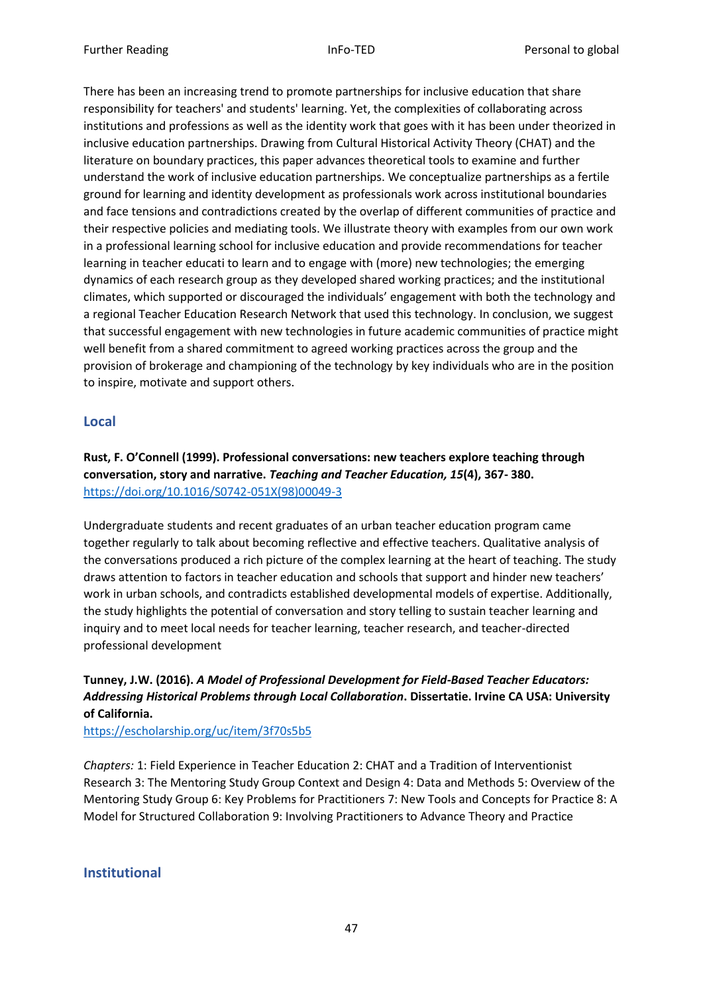There has been an increasing trend to promote partnerships for inclusive education that share responsibility for teachers' and students' learning. Yet, the complexities of collaborating across institutions and professions as well as the identity work that goes with it has been under theorized in inclusive education partnerships. Drawing from Cultural Historical Activity Theory (CHAT) and the literature on boundary practices, this paper advances theoretical tools to examine and further understand the work of inclusive education partnerships. We conceptualize partnerships as a fertile ground for learning and identity development as professionals work across institutional boundaries and face tensions and contradictions created by the overlap of different communities of practice and their respective policies and mediating tools. We illustrate theory with examples from our own work in a professional learning school for inclusive education and provide recommendations for teacher learning in teacher educati to learn and to engage with (more) new technologies; the emerging dynamics of each research group as they developed shared working practices; and the institutional climates, which supported or discouraged the individuals' engagement with both the technology and a regional Teacher Education Research Network that used this technology. In conclusion, we suggest that successful engagement with new technologies in future academic communities of practice might well benefit from a shared commitment to agreed working practices across the group and the provision of brokerage and championing of the technology by key individuals who are in the position to inspire, motivate and support others.

### <span id="page-46-0"></span>**Local**

**Rust, F. O'Connell (1999). Professional conversations: new teachers explore teaching through conversation, story and narrative.** *Teaching and Teacher Education, 15***(4), 367- 380.**  [https://doi.org/10.1016/S0742-051X\(98\)00049-3](https://doi.org/10.1016/S0742-051X(98)00049-3)

Undergraduate students and recent graduates of an urban teacher education program came together regularly to talk about becoming reflective and effective teachers. Qualitative analysis of the conversations produced a rich picture of the complex learning at the heart of teaching. The study draws attention to factors in teacher education and schools that support and hinder new teachers' work in urban schools, and contradicts established developmental models of expertise. Additionally, the study highlights the potential of conversation and story telling to sustain teacher learning and inquiry and to meet local needs for teacher learning, teacher research, and teacher-directed professional development

### **Tunney, J.W. (2016).** *A Model of Professional Development for Field-Based Teacher Educators: Addressing Historical Problems through Local Collaboration***. Dissertatie. Irvine CA USA: University of California.**

<https://escholarship.org/uc/item/3f70s5b5>

*Chapters:* 1: Field Experience in Teacher Education 2: CHAT and a Tradition of Interventionist Research 3: The Mentoring Study Group Context and Design 4: Data and Methods 5: Overview of the Mentoring Study Group 6: Key Problems for Practitioners 7: New Tools and Concepts for Practice 8: A Model for Structured Collaboration 9: Involving Practitioners to Advance Theory and Practice

### <span id="page-46-1"></span>**Institutional**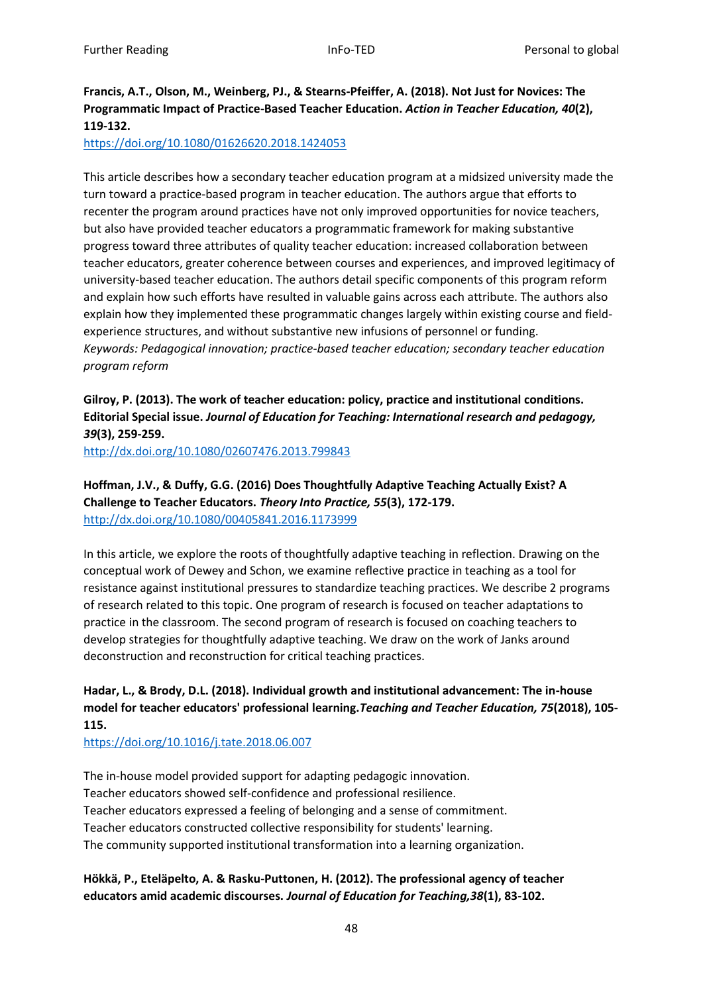### **Francis, A.T., Olson, M., Weinberg, PJ., & Stearns-Pfeiffer, A. (2018). Not Just for Novices: The Programmatic Impact of Practice-Based Teacher Education.** *Action in Teacher Education, 40***(2), 119-132.**

<https://doi.org/10.1080/01626620.2018.1424053>

This article describes how a secondary teacher education program at a midsized university made the turn toward a practice-based program in teacher education. The authors argue that efforts to recenter the program around practices have not only improved opportunities for novice teachers, but also have provided teacher educators a programmatic framework for making substantive progress toward three attributes of quality teacher education: increased collaboration between teacher educators, greater coherence between courses and experiences, and improved legitimacy of university-based teacher education. The authors detail specific components of this program reform and explain how such efforts have resulted in valuable gains across each attribute. The authors also explain how they implemented these programmatic changes largely within existing course and fieldexperience structures, and without substantive new infusions of personnel or funding. *Keywords: Pedagogical innovation; practice-based teacher education; secondary teacher education program reform*

**Gilroy, P. (2013). The work of teacher education: policy, practice and institutional conditions. Editorial Special issue.** *Journal of Education for Teaching: International research and pedagogy, 39***(3), 259-259.** 

<http://dx.doi.org/10.1080/02607476.2013.799843>

**Hoffman, J.V., & Duffy, G.G. (2016) Does Thoughtfully Adaptive Teaching Actually Exist? A Challenge to Teacher Educators.** *Theory Into Practice, 55***(3), 172-179.**  <http://dx.doi.org/10.1080/00405841.2016.1173999>

In this article, we explore the roots of thoughtfully adaptive teaching in reflection. Drawing on the conceptual work of Dewey and Schon, we examine reflective practice in teaching as a tool for resistance against institutional pressures to standardize teaching practices. We describe 2 programs of research related to this topic. One program of research is focused on teacher adaptations to practice in the classroom. The second program of research is focused on coaching teachers to develop strategies for thoughtfully adaptive teaching. We draw on the work of Janks around deconstruction and reconstruction for critical teaching practices.

**Hadar, L., & Brody, D.L. (2018). Individual growth and institutional advancement: The in-house model for teacher educators' professional learning.***Teaching and Teacher Education, 75***(2018), 105- 115.** 

<https://doi.org/10.1016/j.tate.2018.06.007>

The in-house model provided support for adapting pedagogic innovation. Teacher educators showed self-confidence and professional resilience. Teacher educators expressed a feeling of belonging and a sense of commitment. Teacher educators constructed collective responsibility for students' learning. The community supported institutional transformation into a learning organization.

**Hökkä, P., Eteläpelto, A. & Rasku-Puttonen, H. (2012). The professional agency of teacher educators amid academic discourses.** *Journal of Education for Teaching,38***(1), 83-102.**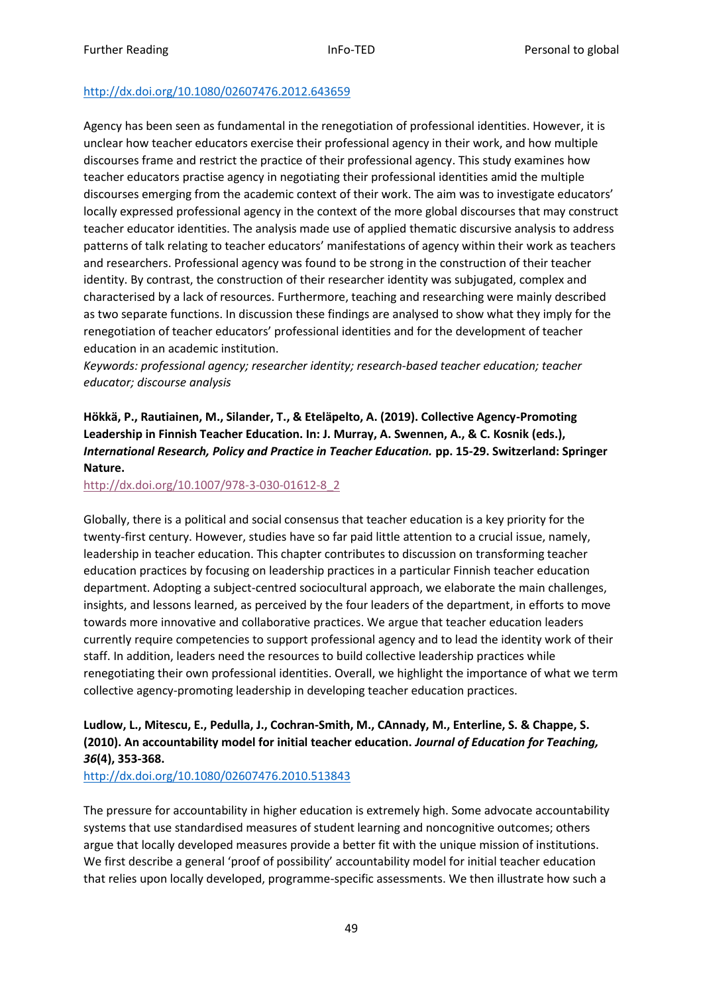#### <http://dx.doi.org/10.1080/02607476.2012.643659>

Agency has been seen as fundamental in the renegotiation of professional identities. However, it is unclear how teacher educators exercise their professional agency in their work, and how multiple discourses frame and restrict the practice of their professional agency. This study examines how teacher educators practise agency in negotiating their professional identities amid the multiple discourses emerging from the academic context of their work. The aim was to investigate educators' locally expressed professional agency in the context of the more global discourses that may construct teacher educator identities. The analysis made use of applied thematic discursive analysis to address patterns of talk relating to teacher educators' manifestations of agency within their work as teachers and researchers. Professional agency was found to be strong in the construction of their teacher identity. By contrast, the construction of their researcher identity was subjugated, complex and characterised by a lack of resources. Furthermore, teaching and researching were mainly described as two separate functions. In discussion these findings are analysed to show what they imply for the renegotiation of teacher educators' professional identities and for the development of teacher education in an academic institution.

*Keywords: professional agency; researcher identity; research-based teacher education; teacher educator; discourse analysis*

**Hökkä, P., Rautiainen, M., Silander, T., & Eteläpelto, A. (2019). Collective Agency-Promoting Leadership in Finnish Teacher Education. In: J. Murray, A. Swennen, A., & C. Kosnik (eds.),**  *International Research, Policy and Practice in Teacher Education.* **pp. 15-29. Switzerland: Springer Nature.**

[http://dx.doi.org/10.1007/978-3-030-01612-8\\_2](http://dx.doi.org/10.1007/978-3-030-01612-8_2)

Globally, there is a political and social consensus that teacher education is a key priority for the twenty-first century. However, studies have so far paid little attention to a crucial issue, namely, leadership in teacher education. This chapter contributes to discussion on transforming teacher education practices by focusing on leadership practices in a particular Finnish teacher education department. Adopting a subject-centred sociocultural approach, we elaborate the main challenges, insights, and lessons learned, as perceived by the four leaders of the department, in efforts to move towards more innovative and collaborative practices. We argue that teacher education leaders currently require competencies to support professional agency and to lead the identity work of their staff. In addition, leaders need the resources to build collective leadership practices while renegotiating their own professional identities. Overall, we highlight the importance of what we term collective agency-promoting leadership in developing teacher education practices.

#### **Ludlow, L., Mitescu, E., Pedulla, J., Cochran-Smith, M., CAnnady, M., Enterline, S. & Chappe, S. (2010). An accountability model for initial teacher education.** *Journal of Education for Teaching, 36***(4), 353-368.**

<http://dx.doi.org/10.1080/02607476.2010.513843>

The pressure for accountability in higher education is extremely high. Some advocate accountability systems that use standardised measures of student learning and noncognitive outcomes; others argue that locally developed measures provide a better fit with the unique mission of institutions. We first describe a general 'proof of possibility' accountability model for initial teacher education that relies upon locally developed, programme-specific assessments. We then illustrate how such a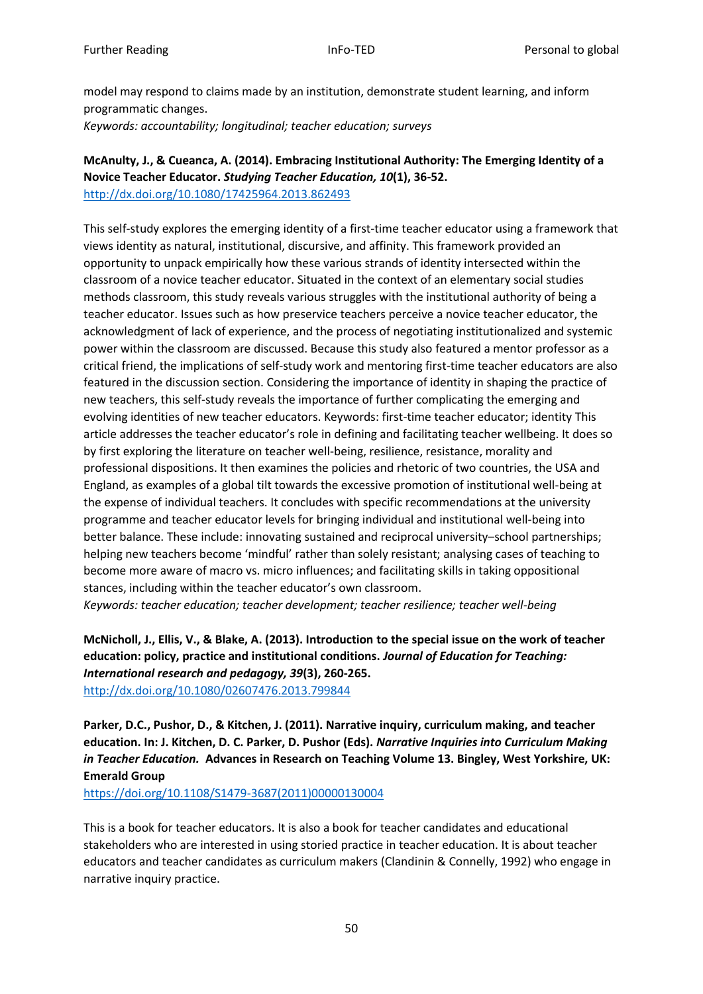model may respond to claims made by an institution, demonstrate student learning, and inform programmatic changes. *Keywords: accountability; longitudinal; teacher education; surveys* 

#### **McAnulty, J., & Cueanca, A. (2014). Embracing Institutional Authority: The Emerging Identity of a Novice Teacher Educator.** *Studying Teacher Education, 10***(1), 36-52.**  <http://dx.doi.org/10.1080/17425964.2013.862493>

This self-study explores the emerging identity of a first-time teacher educator using a framework that views identity as natural, institutional, discursive, and affinity. This framework provided an opportunity to unpack empirically how these various strands of identity intersected within the classroom of a novice teacher educator. Situated in the context of an elementary social studies methods classroom, this study reveals various struggles with the institutional authority of being a teacher educator. Issues such as how preservice teachers perceive a novice teacher educator, the acknowledgment of lack of experience, and the process of negotiating institutionalized and systemic power within the classroom are discussed. Because this study also featured a mentor professor as a critical friend, the implications of self-study work and mentoring first-time teacher educators are also featured in the discussion section. Considering the importance of identity in shaping the practice of new teachers, this self-study reveals the importance of further complicating the emerging and evolving identities of new teacher educators. Keywords: first-time teacher educator; identity This article addresses the teacher educator's role in defining and facilitating teacher wellbeing. It does so by first exploring the literature on teacher well-being, resilience, resistance, morality and professional dispositions. It then examines the policies and rhetoric of two countries, the USA and England, as examples of a global tilt towards the excessive promotion of institutional well-being at the expense of individual teachers. It concludes with specific recommendations at the university programme and teacher educator levels for bringing individual and institutional well-being into better balance. These include: innovating sustained and reciprocal university–school partnerships; helping new teachers become 'mindful' rather than solely resistant; analysing cases of teaching to become more aware of macro vs. micro influences; and facilitating skills in taking oppositional stances, including within the teacher educator's own classroom.

*Keywords: teacher education; teacher development; teacher resilience; teacher well-being* 

### **McNicholl, J., Ellis, V., & Blake, A. (2013). Introduction to the special issue on the work of teacher education: policy, practice and institutional conditions.** *Journal of Education for Teaching: International research and pedagogy, 39***(3), 260-265.**

<http://dx.doi.org/10.1080/02607476.2013.799844>

**Parker, D.C., Pushor, D., & Kitchen, J. (2011). Narrative inquiry, curriculum making, and teacher education. In: J. Kitchen, D. C. Parker, D. Pushor (Eds).** *Narrative Inquiries into Curriculum Making in Teacher Education.* **Advances in Research on Teaching Volume 13. Bingley, West Yorkshire, UK: Emerald Group**

[https://doi.org/10.1108/S1479-3687\(2011\)00000130004](https://doi.org/10.1108/S1479-3687(2011)00000130004)

This is a book for teacher educators. It is also a book for teacher candidates and educational stakeholders who are interested in using storied practice in teacher education. It is about teacher educators and teacher candidates as curriculum makers (Clandinin & Connelly, 1992) who engage in narrative inquiry practice.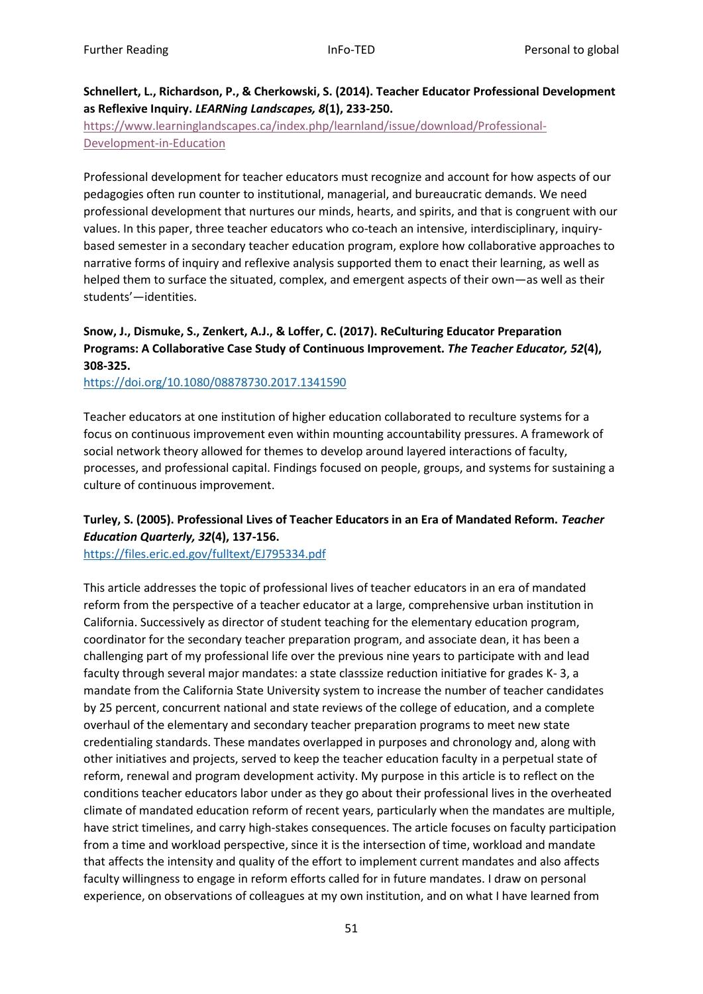### **Schnellert, L., Richardson, P., & Cherkowski, S. (2014). Teacher Educator Professional Development as Reflexive Inquiry.** *LEARNing Landscapes, 8***(1), 233-250.**

[https://www.learninglandscapes.ca/index.php/learnland/issue/download/Professional-](https://www.learninglandscapes.ca/index.php/learnland/issue/download/Professional-Development-in-Education)[Development-in-Education](https://www.learninglandscapes.ca/index.php/learnland/issue/download/Professional-Development-in-Education)

Professional development for teacher educators must recognize and account for how aspects of our pedagogies often run counter to institutional, managerial, and bureaucratic demands. We need professional development that nurtures our minds, hearts, and spirits, and that is congruent with our values. In this paper, three teacher educators who co-teach an intensive, interdisciplinary, inquirybased semester in a secondary teacher education program, explore how collaborative approaches to narrative forms of inquiry and reflexive analysis supported them to enact their learning, as well as helped them to surface the situated, complex, and emergent aspects of their own—as well as their students'—identities.

### **Snow, J., Dismuke, S., Zenkert, A.J., & Loffer, C. (2017). ReCulturing Educator Preparation Programs: A Collaborative Case Study of Continuous Improvement.** *The Teacher Educator, 52***(4), 308-325.**

#### <https://doi.org/10.1080/08878730.2017.1341590>

Teacher educators at one institution of higher education collaborated to reculture systems for a focus on continuous improvement even within mounting accountability pressures. A framework of social network theory allowed for themes to develop around layered interactions of faculty, processes, and professional capital. Findings focused on people, groups, and systems for sustaining a culture of continuous improvement.

### **Turley, S. (2005). Professional Lives of Teacher Educators in an Era of Mandated Reform.** *Teacher Education Quarterly, 32***(4), 137-156.**

<https://files.eric.ed.gov/fulltext/EJ795334.pdf>

This article addresses the topic of professional lives of teacher educators in an era of mandated reform from the perspective of a teacher educator at a large, comprehensive urban institution in California. Successively as director of student teaching for the elementary education program, coordinator for the secondary teacher preparation program, and associate dean, it has been a challenging part of my professional life over the previous nine years to participate with and lead faculty through several major mandates: a state classsize reduction initiative for grades K- 3, a mandate from the California State University system to increase the number of teacher candidates by 25 percent, concurrent national and state reviews of the college of education, and a complete overhaul of the elementary and secondary teacher preparation programs to meet new state credentialing standards. These mandates overlapped in purposes and chronology and, along with other initiatives and projects, served to keep the teacher education faculty in a perpetual state of reform, renewal and program development activity. My purpose in this article is to reflect on the conditions teacher educators labor under as they go about their professional lives in the overheated climate of mandated education reform of recent years, particularly when the mandates are multiple, have strict timelines, and carry high-stakes consequences. The article focuses on faculty participation from a time and workload perspective, since it is the intersection of time, workload and mandate that affects the intensity and quality of the effort to implement current mandates and also affects faculty willingness to engage in reform efforts called for in future mandates. I draw on personal experience, on observations of colleagues at my own institution, and on what I have learned from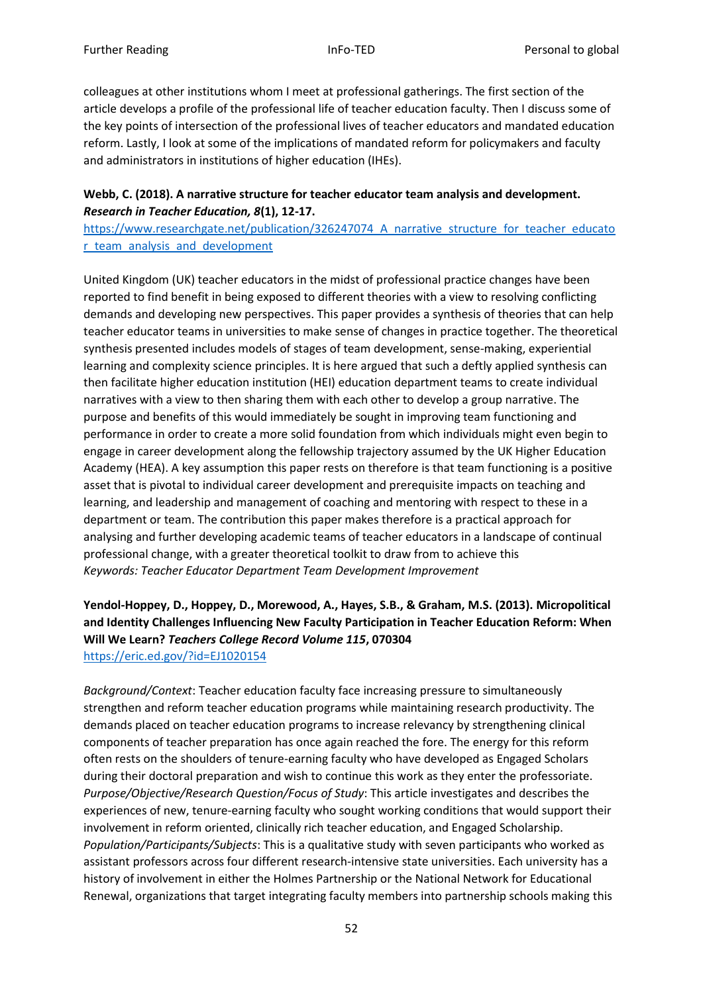colleagues at other institutions whom I meet at professional gatherings. The first section of the article develops a profile of the professional life of teacher education faculty. Then I discuss some of the key points of intersection of the professional lives of teacher educators and mandated education reform. Lastly, I look at some of the implications of mandated reform for policymakers and faculty and administrators in institutions of higher education (IHEs).

#### **Webb, C. (2018). A narrative structure for teacher educator team analysis and development.**  *Research in Teacher Education, 8***(1), 12-17.**

[https://www.researchgate.net/publication/326247074\\_A\\_narrative\\_structure\\_for\\_teacher\\_educato](https://www.researchgate.net/publication/326247074_A_narrative_structure_for_teacher_educator_team_analysis_and_development) r team analysis and development

United Kingdom (UK) teacher educators in the midst of professional practice changes have been reported to find benefit in being exposed to different theories with a view to resolving conflicting demands and developing new perspectives. This paper provides a synthesis of theories that can help teacher educator teams in universities to make sense of changes in practice together. The theoretical synthesis presented includes models of stages of team development, sense-making, experiential learning and complexity science principles. It is here argued that such a deftly applied synthesis can then facilitate higher education institution (HEI) education department teams to create individual narratives with a view to then sharing them with each other to develop a group narrative. The purpose and benefits of this would immediately be sought in improving team functioning and performance in order to create a more solid foundation from which individuals might even begin to engage in career development along the fellowship trajectory assumed by the UK Higher Education Academy (HEA). A key assumption this paper rests on therefore is that team functioning is a positive asset that is pivotal to individual career development and prerequisite impacts on teaching and learning, and leadership and management of coaching and mentoring with respect to these in a department or team. The contribution this paper makes therefore is a practical approach for analysing and further developing academic teams of teacher educators in a landscape of continual professional change, with a greater theoretical toolkit to draw from to achieve this *Keywords: Teacher Educator Department Team Development Improvement*

### **Yendol-Hoppey, D., Hoppey, D., Morewood, A., Hayes, S.B., & Graham, M.S. (2013). Micropolitical and Identity Challenges Influencing New Faculty Participation in Teacher Education Reform: When Will We Learn?** *Teachers College Record Volume 115***, 070304**  <https://eric.ed.gov/?id=EJ1020154>

*Background/Context*: Teacher education faculty face increasing pressure to simultaneously strengthen and reform teacher education programs while maintaining research productivity. The demands placed on teacher education programs to increase relevancy by strengthening clinical components of teacher preparation has once again reached the fore. The energy for this reform often rests on the shoulders of tenure-earning faculty who have developed as Engaged Scholars during their doctoral preparation and wish to continue this work as they enter the professoriate. *Purpose/Objective/Research Question/Focus of Study*: This article investigates and describes the experiences of new, tenure-earning faculty who sought working conditions that would support their involvement in reform oriented, clinically rich teacher education, and Engaged Scholarship. *Population/Participants/Subjects*: This is a qualitative study with seven participants who worked as assistant professors across four different research-intensive state universities. Each university has a history of involvement in either the Holmes Partnership or the National Network for Educational Renewal, organizations that target integrating faculty members into partnership schools making this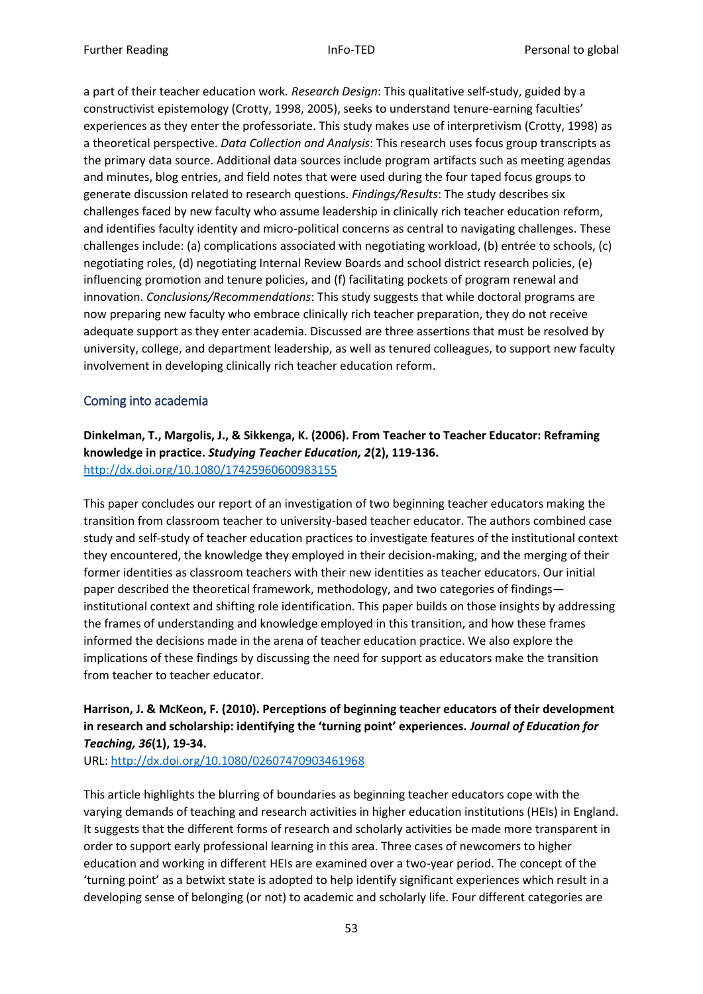a part of their teacher education work*. Research Design*: This qualitative self-study, guided by a constructivist epistemology (Crotty, 1998, 2005), seeks to understand tenure-earning faculties' experiences as they enter the professoriate. This study makes use of interpretivism (Crotty, 1998) as a theoretical perspective. *Data Collection and Analysis*: This research uses focus group transcripts as the primary data source. Additional data sources include program artifacts such as meeting agendas and minutes, blog entries, and field notes that were used during the four taped focus groups to generate discussion related to research questions. *Findings/Results*: The study describes six challenges faced by new faculty who assume leadership in clinically rich teacher education reform, and identifies faculty identity and micro-political concerns as central to navigating challenges. These challenges include: (a) complications associated with negotiating workload, (b) entrée to schools, (c) negotiating roles, (d) negotiating Internal Review Boards and school district research policies, (e) influencing promotion and tenure policies, and (f) facilitating pockets of program renewal and innovation. *Conclusions/Recommendations*: This study suggests that while doctoral programs are now preparing new faculty who embrace clinically rich teacher preparation, they do not receive adequate support as they enter academia. Discussed are three assertions that must be resolved by university, college, and department leadership, as well as tenured colleagues, to support new faculty involvement in developing clinically rich teacher education reform.

### <span id="page-52-0"></span>Coming into academia

**Dinkelman, T., Margolis, J., & Sikkenga, K. (2006). From Teacher to Teacher Educator: Reframing knowledge in practice.** *Studying Teacher Education, 2***(2), 119-136.**  <http://dx.doi.org/10.1080/17425960600983155>

This paper concludes our report of an investigation of two beginning teacher educators making the transition from classroom teacher to university-based teacher educator. The authors combined case study and self-study of teacher education practices to investigate features of the institutional context they encountered, the knowledge they employed in their decision-making, and the merging of their former identities as classroom teachers with their new identities as teacher educators. Our initial paper described the theoretical framework, methodology, and two categories of findings institutional context and shifting role identification. This paper builds on those insights by addressing the frames of understanding and knowledge employed in this transition, and how these frames informed the decisions made in the arena of teacher education practice. We also explore the implications of these findings by discussing the need for support as educators make the transition from teacher to teacher educator.

### **Harrison, J. & McKeon, F. (2010). Perceptions of beginning teacher educators of their development in research and scholarship: identifying the 'turning point' experiences.** *Journal of Education for Teaching, 36***(1), 19-34.**

URL:<http://dx.doi.org/10.1080/02607470903461968>

This article highlights the blurring of boundaries as beginning teacher educators cope with the varying demands of teaching and research activities in higher education institutions (HEIs) in England. It suggests that the different forms of research and scholarly activities be made more transparent in order to support early professional learning in this area. Three cases of newcomers to higher education and working in different HEIs are examined over a two-year period. The concept of the 'turning point' as a betwixt state is adopted to help identify significant experiences which result in a developing sense of belonging (or not) to academic and scholarly life. Four different categories are